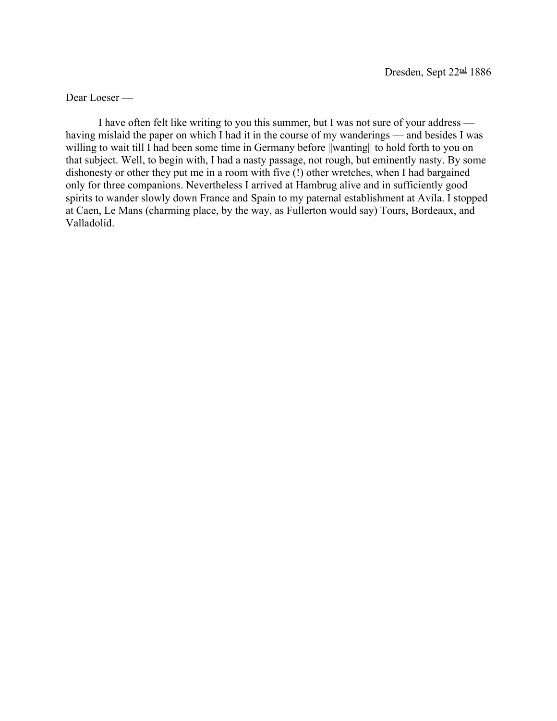Dear Loeser —

I have often felt like writing to you this summer, but I was not sure of your address having mislaid the paper on which I had it in the course of my wanderings — and besides I was willing to wait till I had been some time in Germany before ||wanting|| to hold forth to you on that subject. Well, to begin with, I had a nasty passage, not rough, but eminently nasty. By some dishonesty or other they put me in a room with five (!) other wretches, when I had bargained only for three companions. Nevertheless I arrived at Hambrug alive and in sufficiently good spirits to wander slowly down France and Spain to my paternal establishment at Avila. I stopped at Caen, Le Mans (charming place, by the way, as Fullerton would say) Tours, Bordeaux, and Valladolid.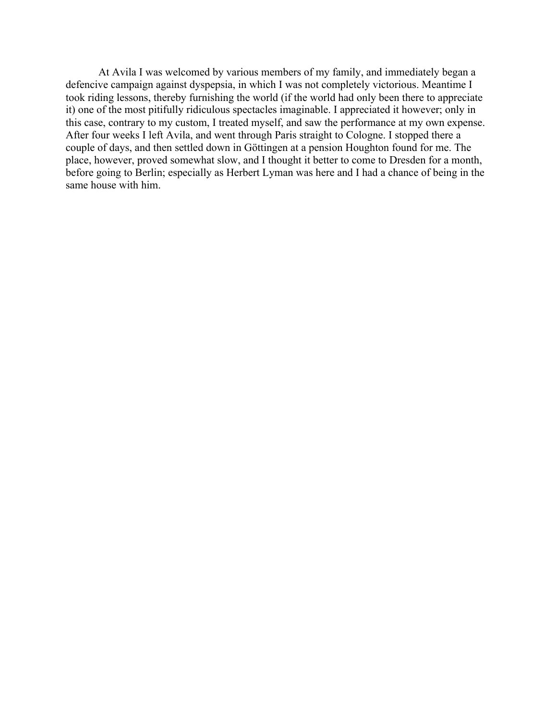At Avila I was welcomed by various members of my family, and immediately began a defencive campaign against dyspepsia, in which I was not completely victorious. Meantime I took riding lessons, thereby furnishing the world (if the world had only been there to appreciate it) one of the most pitifully ridiculous spectacles imaginable. I appreciated it however; only in this case, contrary to my custom, I treated myself, and saw the performance at my own expense. After four weeks I left Avila, and went through Paris straight to Cologne. I stopped there a couple of days, and then settled down in Göttingen at a pension Houghton found for me. The place, however, proved somewhat slow, and I thought it better to come to Dresden for a month, before going to Berlin; especially as Herbert Lyman was here and I had a chance of being in the same house with him.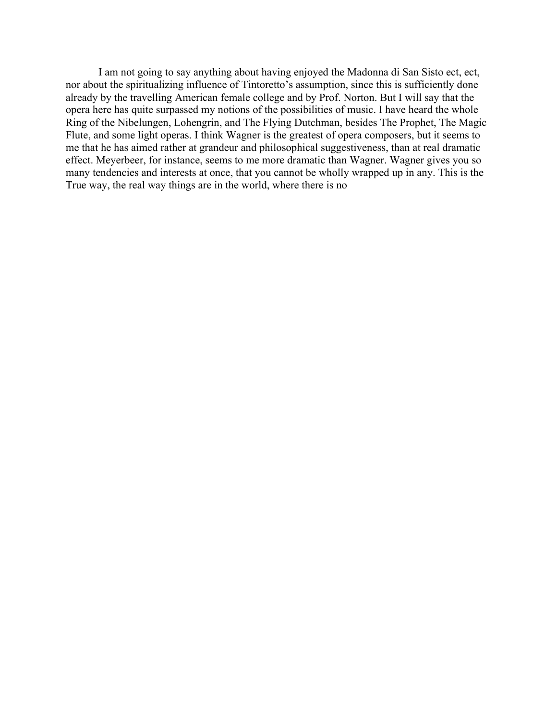I am not going to say anything about having enjoyed the Madonna di San Sisto ect, ect, nor about the spiritualizing influence of Tintoretto's assumption, since this is sufficiently done already by the travelling American female college and by Prof. Norton. But I will say that the opera here has quite surpassed my notions of the possibilities of music. I have heard the whole Ring of the Nibelungen, Lohengrin, and The Flying Dutchman, besides The Prophet, The Magic Flute, and some light operas. I think Wagner is the greatest of opera composers, but it seems to me that he has aimed rather at grandeur and philosophical suggestiveness, than at real dramatic effect. Meyerbeer, for instance, seems to me more dramatic than Wagner. Wagner gives you so many tendencies and interests at once, that you cannot be wholly wrapped up in any. This is the True way, the real way things are in the world, where there is no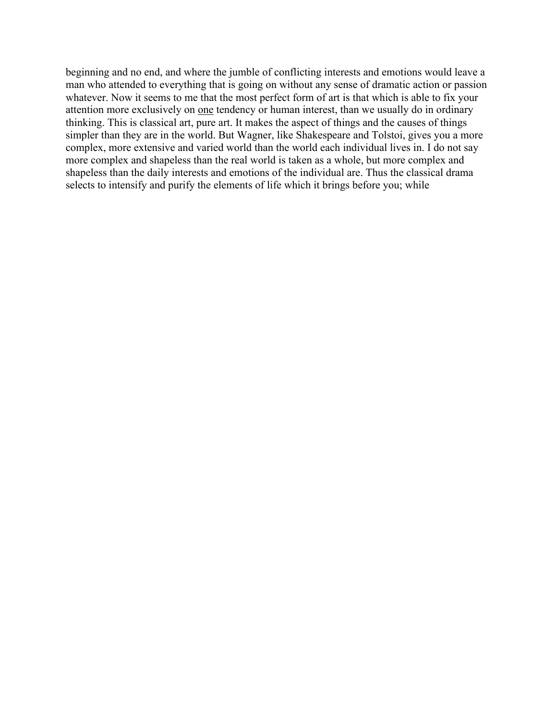beginning and no end, and where the jumble of conflicting interests and emotions would leave a man who attended to everything that is going on without any sense of dramatic action or passion whatever. Now it seems to me that the most perfect form of art is that which is able to fix your attention more exclusively on one tendency or human interest, than we usually do in ordinary thinking. This is classical art, pure art. It makes the aspect of things and the causes of things simpler than they are in the world. But Wagner, like Shakespeare and Tolstoi, gives you a more complex, more extensive and varied world than the world each individual lives in. I do not say more complex and shapeless than the real world is taken as a whole, but more complex and shapeless than the daily interests and emotions of the individual are. Thus the classical drama selects to intensify and purify the elements of life which it brings before you; while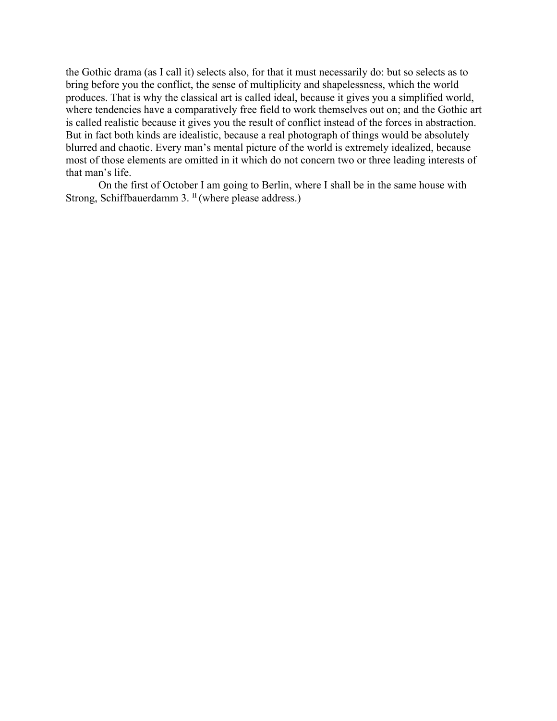the Gothic drama (as I call it) selects also, for that it must necessarily do: but so selects as to bring before you the conflict, the sense of multiplicity and shapelessness, which the world produces. That is why the classical art is called ideal, because it gives you a simplified world, where tendencies have a comparatively free field to work themselves out on; and the Gothic art is called realistic because it gives you the result of conflict instead of the forces in abstraction. But in fact both kinds are idealistic, because a real photograph of things would be absolutely blurred and chaotic. Every man's mental picture of the world is extremely idealized, because most of those elements are omitted in it which do not concern two or three leading interests of that man's life.

On the first of October I am going to Berlin, where I shall be in the same house with Strong, Schiffbauerdamm 3.<sup>II</sup> (where please address.)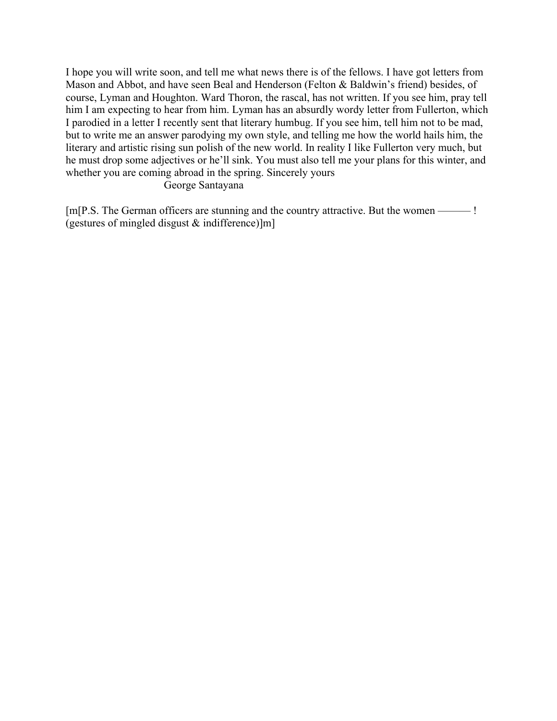I hope you will write soon, and tell me what news there is of the fellows. I have got letters from Mason and Abbot, and have seen Beal and Henderson (Felton & Baldwin's friend) besides, of course, Lyman and Houghton. Ward Thoron, the rascal, has not written. If you see him, pray tell him I am expecting to hear from him. Lyman has an absurdly wordy letter from Fullerton, which I parodied in a letter I recently sent that literary humbug. If you see him, tell him not to be mad, but to write me an answer parodying my own style, and telling me how the world hails him, the literary and artistic rising sun polish of the new world. In reality I like Fullerton very much, but he must drop some adjectives or he'll sink. You must also tell me your plans for this winter, and whether you are coming abroad in the spring. Sincerely yours

## George Santayana

[m[P.S. The German officers are stunning and the country attractive. But the women ——— ! (gestures of mingled disgust & indifference)]m]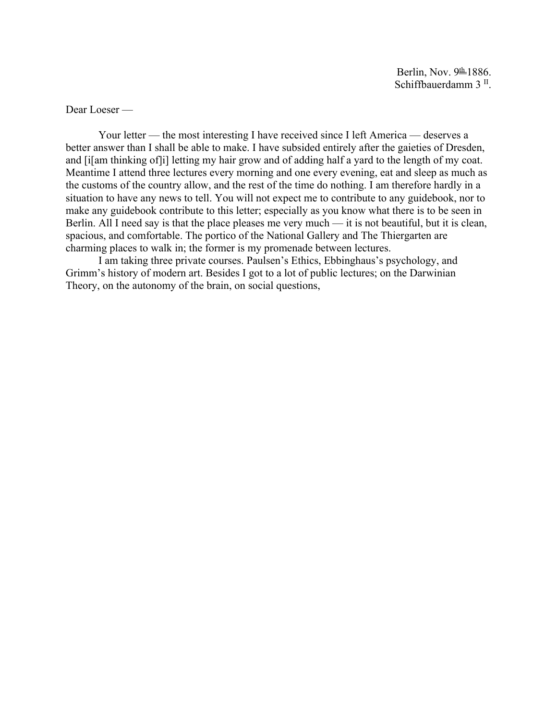Dear Loeser —

Your letter — the most interesting I have received since I left America — deserves a better answer than I shall be able to make. I have subsided entirely after the gaieties of Dresden, and [i] am thinking of [i] letting my hair grow and of adding half a yard to the length of my coat. Meantime I attend three lectures every morning and one every evening, eat and sleep as much as the customs of the country allow, and the rest of the time do nothing. I am therefore hardly in a situation to have any news to tell. You will not expect me to contribute to any guidebook, nor to make any guidebook contribute to this letter; especially as you know what there is to be seen in Berlin. All I need say is that the place pleases me very much — it is not beautiful, but it is clean, spacious, and comfortable. The portico of the National Gallery and The Thiergarten are charming places to walk in; the former is my promenade between lectures.

I am taking three private courses. Paulsen's Ethics, Ebbinghaus's psychology, and Grimm's history of modern art. Besides I got to a lot of public lectures; on the Darwinian Theory, on the autonomy of the brain, on social questions,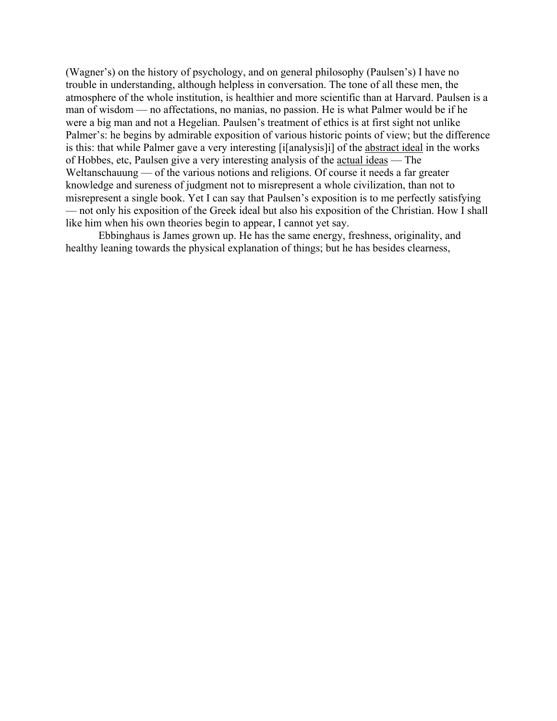(Wagner's) on the history of psychology, and on general philosophy (Paulsen's) I have no trouble in understanding, although helpless in conversation. The tone of all these men, the atmosphere of the whole institution, is healthier and more scientific than at Harvard. Paulsen is a man of wisdom — no affectations, no manias, no passion. He is what Palmer would be if he were a big man and not a Hegelian. Paulsen's treatment of ethics is at first sight not unlike Palmer's: he begins by admirable exposition of various historic points of view; but the difference is this: that while Palmer gave a very interesting [i[analysis]i] of the abstract ideal in the works of Hobbes, etc, Paulsen give a very interesting analysis of the actual ideas — The Weltanschauung — of the various notions and religions. Of course it needs a far greater knowledge and sureness of judgment not to misrepresent a whole civilization, than not to misrepresent a single book. Yet I can say that Paulsen's exposition is to me perfectly satisfying — not only his exposition of the Greek ideal but also his exposition of the Christian. How I shall like him when his own theories begin to appear, I cannot yet say.

Ebbinghaus is James grown up. He has the same energy, freshness, originality, and healthy leaning towards the physical explanation of things; but he has besides clearness,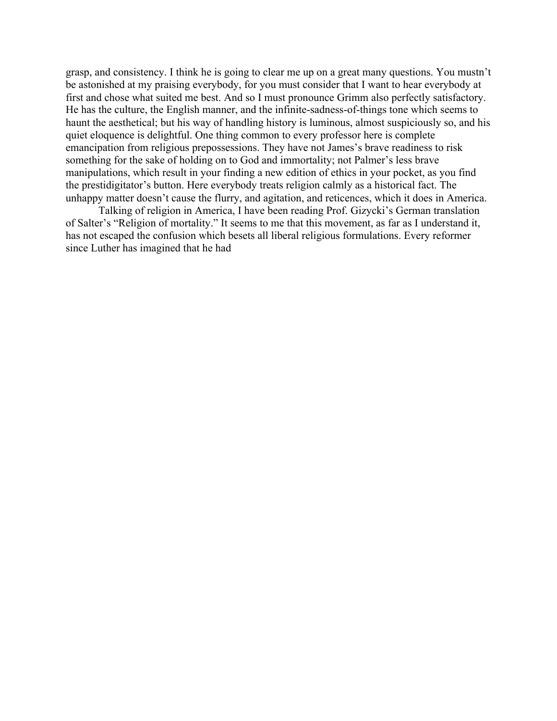grasp, and consistency. I think he is going to clear me up on a great many questions. You mustn't be astonished at my praising everybody, for you must consider that I want to hear everybody at first and chose what suited me best. And so I must pronounce Grimm also perfectly satisfactory. He has the culture, the English manner, and the infinite-sadness-of-things tone which seems to haunt the aesthetical; but his way of handling history is luminous, almost suspiciously so, and his quiet eloquence is delightful. One thing common to every professor here is complete emancipation from religious prepossessions. They have not James's brave readiness to risk something for the sake of holding on to God and immortality; not Palmer's less brave manipulations, which result in your finding a new edition of ethics in your pocket, as you find the prestidigitator's button. Here everybody treats religion calmly as a historical fact. The unhappy matter doesn't cause the flurry, and agitation, and reticences, which it does in America.

Talking of religion in America, I have been reading Prof. Gizycki's German translation of Salter's "Religion of mortality." It seems to me that this movement, as far as I understand it, has not escaped the confusion which besets all liberal religious formulations. Every reformer since Luther has imagined that he had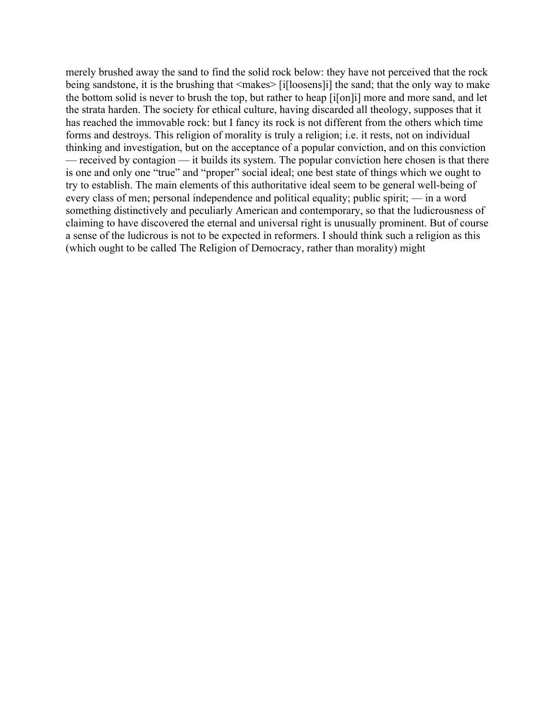merely brushed away the sand to find the solid rock below: they have not perceived that the rock being sandstone, it is the brushing that <makes> [i[loosens]i] the sand; that the only way to make the bottom solid is never to brush the top, but rather to heap [i[on]i] more and more sand, and let the strata harden. The society for ethical culture, having discarded all theology, supposes that it has reached the immovable rock: but I fancy its rock is not different from the others which time forms and destroys. This religion of morality is truly a religion; i.e. it rests, not on individual thinking and investigation, but on the acceptance of a popular conviction, and on this conviction — received by contagion — it builds its system. The popular conviction here chosen is that there is one and only one "true" and "proper" social ideal; one best state of things which we ought to try to establish. The main elements of this authoritative ideal seem to be general well-being of every class of men; personal independence and political equality; public spirit; — in a word something distinctively and peculiarly American and contemporary, so that the ludicrousness of claiming to have discovered the eternal and universal right is unusually prominent. But of course a sense of the ludicrous is not to be expected in reformers. I should think such a religion as this (which ought to be called The Religion of Democracy, rather than morality) might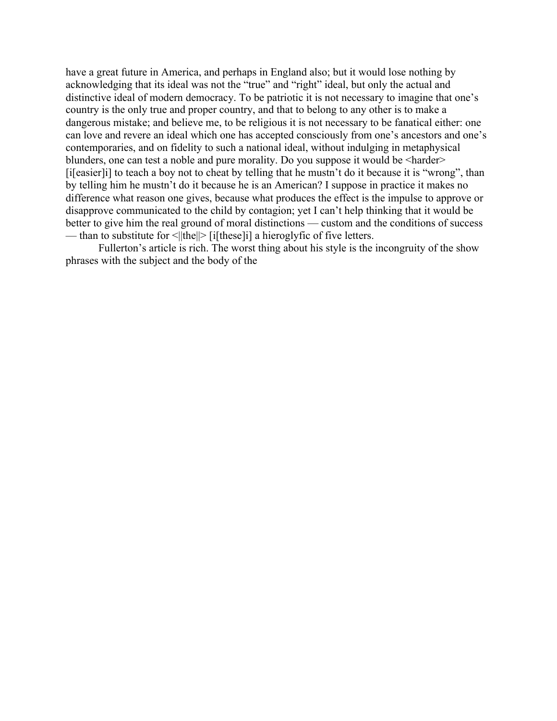have a great future in America, and perhaps in England also; but it would lose nothing by acknowledging that its ideal was not the "true" and "right" ideal, but only the actual and distinctive ideal of modern democracy. To be patriotic it is not necessary to imagine that one's country is the only true and proper country, and that to belong to any other is to make a dangerous mistake; and believe me, to be religious it is not necessary to be fanatical either: one can love and revere an ideal which one has accepted consciously from one's ancestors and one's contemporaries, and on fidelity to such a national ideal, without indulging in metaphysical blunders, one can test a noble and pure morality. Do you suppose it would be <harder> [i[easier]i] to teach a boy not to cheat by telling that he mustn't do it because it is "wrong", than by telling him he mustn't do it because he is an American? I suppose in practice it makes no difference what reason one gives, because what produces the effect is the impulse to approve or disapprove communicated to the child by contagion; yet I can't help thinking that it would be better to give him the real ground of moral distinctions — custom and the conditions of success — than to substitute for  $\leq ||\text{the}|| > |i|$  [these]i] a hieroglyfic of five letters.

Fullerton's article is rich. The worst thing about his style is the incongruity of the show phrases with the subject and the body of the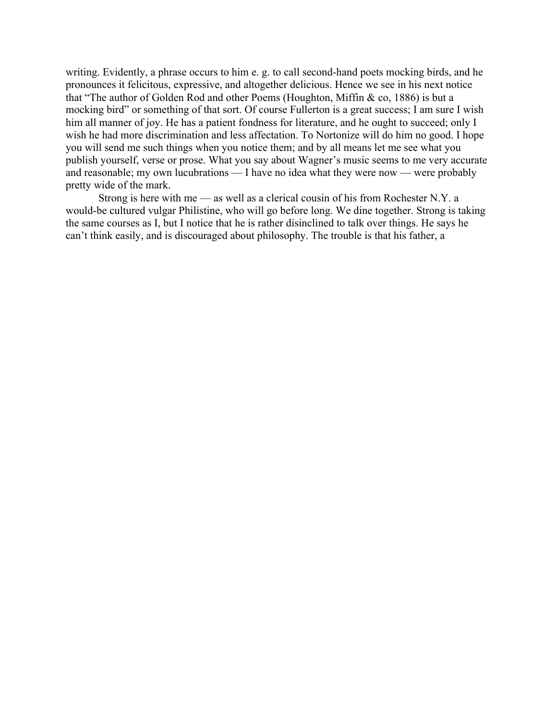writing. Evidently, a phrase occurs to him e. g. to call second-hand poets mocking birds, and he pronounces it felicitous, expressive, and altogether delicious. Hence we see in his next notice that "The author of Golden Rod and other Poems (Houghton, Miffin & co, 1886) is but a mocking bird" or something of that sort. Of course Fullerton is a great success; I am sure I wish him all manner of joy. He has a patient fondness for literature, and he ought to succeed; only I wish he had more discrimination and less affectation. To Nortonize will do him no good. I hope you will send me such things when you notice them; and by all means let me see what you publish yourself, verse or prose. What you say about Wagner's music seems to me very accurate and reasonable; my own lucubrations — I have no idea what they were now — were probably pretty wide of the mark.

Strong is here with me — as well as a clerical cousin of his from Rochester N.Y. a would-be cultured vulgar Philistine, who will go before long. We dine together. Strong is taking the same courses as I, but I notice that he is rather disinclined to talk over things. He says he can't think easily, and is discouraged about philosophy. The trouble is that his father, a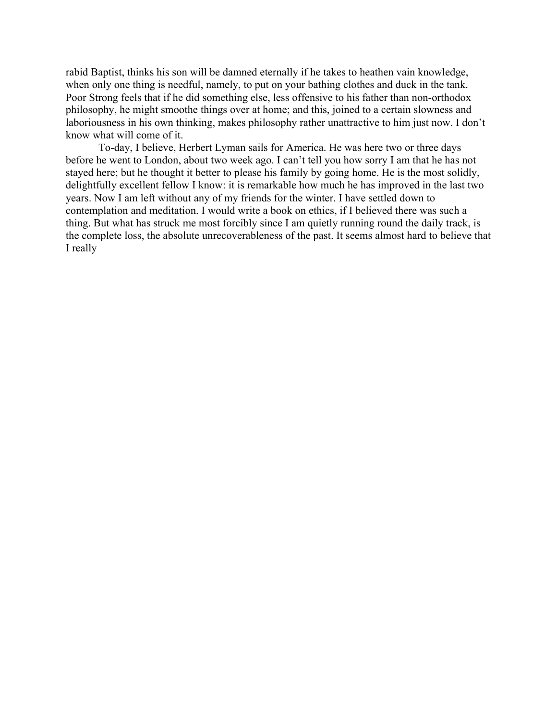rabid Baptist, thinks his son will be damned eternally if he takes to heathen vain knowledge, when only one thing is needful, namely, to put on your bathing clothes and duck in the tank. Poor Strong feels that if he did something else, less offensive to his father than non-orthodox philosophy, he might smoothe things over at home; and this, joined to a certain slowness and laboriousness in his own thinking, makes philosophy rather unattractive to him just now. I don't know what will come of it.

To-day, I believe, Herbert Lyman sails for America. He was here two or three days before he went to London, about two week ago. I can't tell you how sorry I am that he has not stayed here; but he thought it better to please his family by going home. He is the most solidly, delightfully excellent fellow I know: it is remarkable how much he has improved in the last two years. Now I am left without any of my friends for the winter. I have settled down to contemplation and meditation. I would write a book on ethics, if I believed there was such a thing. But what has struck me most forcibly since I am quietly running round the daily track, is the complete loss, the absolute unrecoverableness of the past. It seems almost hard to believe that I really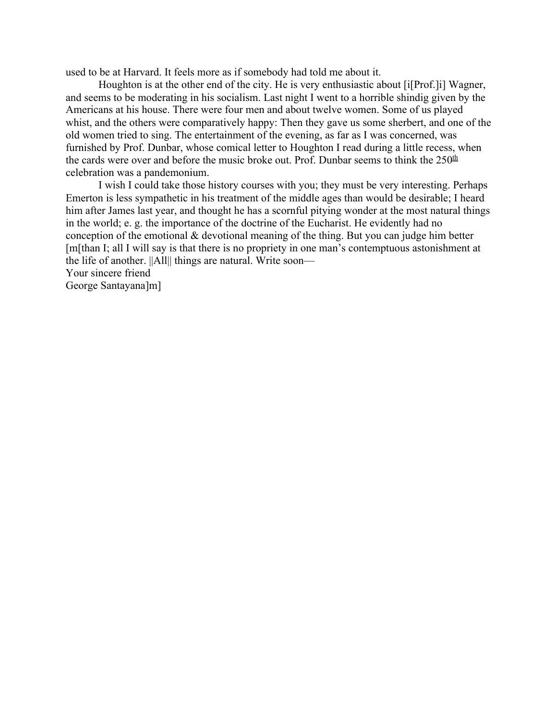used to be at Harvard. It feels more as if somebody had told me about it.

Houghton is at the other end of the city. He is very enthusiastic about [i[Prof.]i] Wagner, and seems to be moderating in his socialism. Last night I went to a horrible shindig given by the Americans at his house. There were four men and about twelve women. Some of us played whist, and the others were comparatively happy: Then they gave us some sherbert, and one of the old women tried to sing. The entertainment of the evening, as far as I was concerned, was furnished by Prof. Dunbar, whose comical letter to Houghton I read during a little recess, when the cards were over and before the music broke out. Prof. Dunbar seems to think the  $250<sup>th</sup>$ celebration was a pandemonium.

I wish I could take those history courses with you; they must be very interesting. Perhaps Emerton is less sympathetic in his treatment of the middle ages than would be desirable; I heard him after James last year, and thought he has a scornful pitying wonder at the most natural things in the world; e. g. the importance of the doctrine of the Eucharist. He evidently had no conception of the emotional & devotional meaning of the thing. But you can judge him better [m[than I; all I will say is that there is no propriety in one man's contemptuous astonishment at the life of another. ||All|| things are natural. Write soon— Your sincere friend George Santayana]m]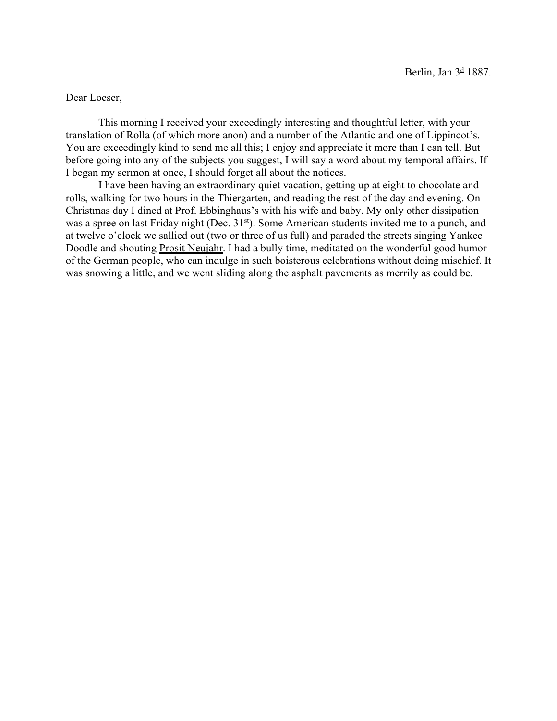Dear Loeser,

This morning I received your exceedingly interesting and thoughtful letter, with your translation of Rolla (of which more anon) and a number of the Atlantic and one of Lippincot's. You are exceedingly kind to send me all this; I enjoy and appreciate it more than I can tell. But before going into any of the subjects you suggest, I will say a word about my temporal affairs. If I began my sermon at once, I should forget all about the notices.

I have been having an extraordinary quiet vacation, getting up at eight to chocolate and rolls, walking for two hours in the Thiergarten, and reading the rest of the day and evening. On Christmas day I dined at Prof. Ebbinghaus's with his wife and baby. My only other dissipation was a spree on last Friday night (Dec. 31<sup>st</sup>). Some American students invited me to a punch, and at twelve o'clock we sallied out (two or three of us full) and paraded the streets singing Yankee Doodle and shouting **Prosit Neujahr**. I had a bully time, meditated on the wonderful good humor of the German people, who can indulge in such boisterous celebrations without doing mischief. It was snowing a little, and we went sliding along the asphalt pavements as merrily as could be.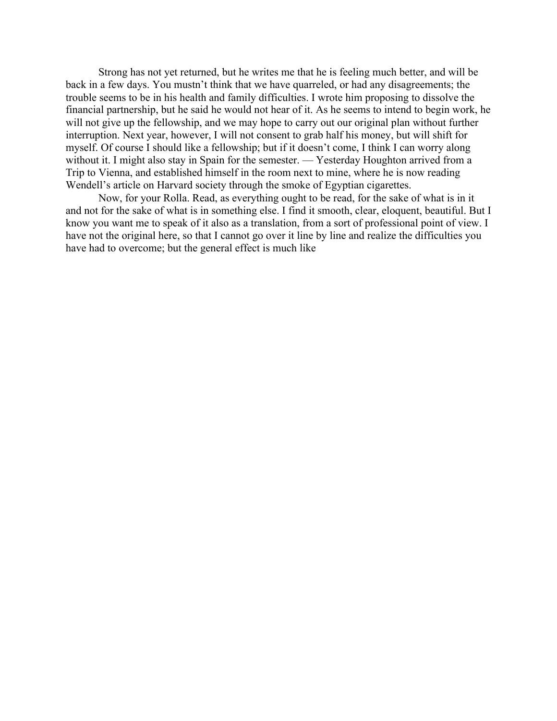Strong has not yet returned, but he writes me that he is feeling much better, and will be back in a few days. You mustn't think that we have quarreled, or had any disagreements; the trouble seems to be in his health and family difficulties. I wrote him proposing to dissolve the financial partnership, but he said he would not hear of it. As he seems to intend to begin work, he will not give up the fellowship, and we may hope to carry out our original plan without further interruption. Next year, however, I will not consent to grab half his money, but will shift for myself. Of course I should like a fellowship; but if it doesn't come, I think I can worry along without it. I might also stay in Spain for the semester. — Yesterday Houghton arrived from a Trip to Vienna, and established himself in the room next to mine, where he is now reading Wendell's article on Harvard society through the smoke of Egyptian cigarettes.

Now, for your Rolla. Read, as everything ought to be read, for the sake of what is in it and not for the sake of what is in something else. I find it smooth, clear, eloquent, beautiful. But I know you want me to speak of it also as a translation, from a sort of professional point of view. I have not the original here, so that I cannot go over it line by line and realize the difficulties you have had to overcome; but the general effect is much like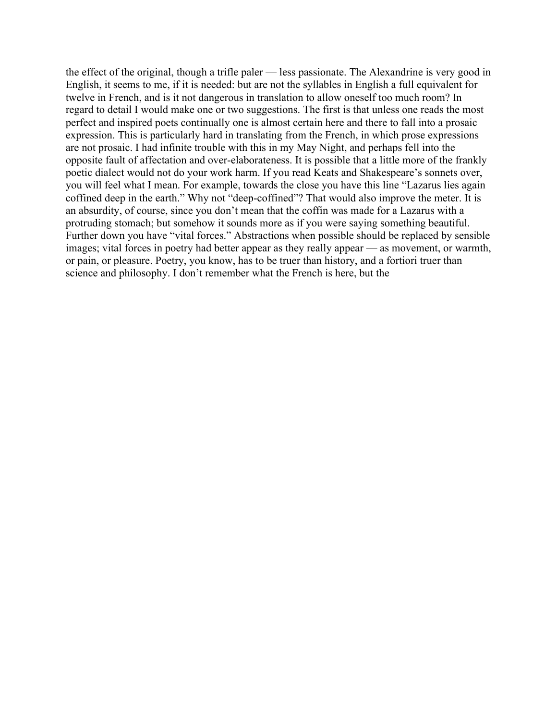the effect of the original, though a trifle paler — less passionate. The Alexandrine is very good in English, it seems to me, if it is needed: but are not the syllables in English a full equivalent for twelve in French, and is it not dangerous in translation to allow oneself too much room? In regard to detail I would make one or two suggestions. The first is that unless one reads the most perfect and inspired poets continually one is almost certain here and there to fall into a prosaic expression. This is particularly hard in translating from the French, in which prose expressions are not prosaic. I had infinite trouble with this in my May Night, and perhaps fell into the opposite fault of affectation and over-elaborateness. It is possible that a little more of the frankly poetic dialect would not do your work harm. If you read Keats and Shakespeare's sonnets over, you will feel what I mean. For example, towards the close you have this line "Lazarus lies again coffined deep in the earth." Why not "deep-coffined"? That would also improve the meter. It is an absurdity, of course, since you don't mean that the coffin was made for a Lazarus with a protruding stomach; but somehow it sounds more as if you were saying something beautiful. Further down you have "vital forces." Abstractions when possible should be replaced by sensible images; vital forces in poetry had better appear as they really appear — as movement, or warmth, or pain, or pleasure. Poetry, you know, has to be truer than history, and a fortiori truer than science and philosophy. I don't remember what the French is here, but the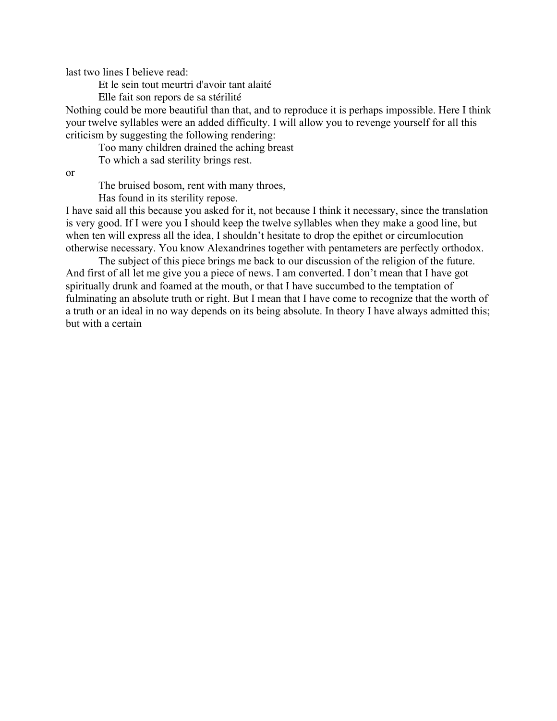last two lines I believe read:

Et le sein tout meurtri d'avoir tant alaité

Elle fait son repors de sa stérilité

Nothing could be more beautiful than that, and to reproduce it is perhaps impossible. Here I think your twelve syllables were an added difficulty. I will allow you to revenge yourself for all this criticism by suggesting the following rendering:

Too many children drained the aching breast

To which a sad sterility brings rest.

or

The bruised bosom, rent with many throes,

Has found in its sterility repose.

I have said all this because you asked for it, not because I think it necessary, since the translation is very good. If I were you I should keep the twelve syllables when they make a good line, but when ten will express all the idea, I shouldn't hesitate to drop the epithet or circumlocution otherwise necessary. You know Alexandrines together with pentameters are perfectly orthodox.

The subject of this piece brings me back to our discussion of the religion of the future. And first of all let me give you a piece of news. I am converted. I don't mean that I have got spiritually drunk and foamed at the mouth, or that I have succumbed to the temptation of fulminating an absolute truth or right. But I mean that I have come to recognize that the worth of a truth or an ideal in no way depends on its being absolute. In theory I have always admitted this; but with a certain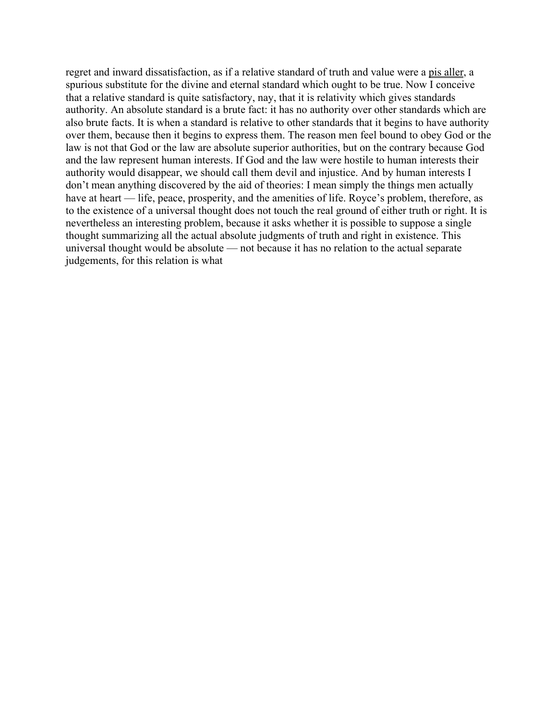regret and inward dissatisfaction, as if a relative standard of truth and value were a pis aller, a spurious substitute for the divine and eternal standard which ought to be true. Now I conceive that a relative standard is quite satisfactory, nay, that it is relativity which gives standards authority. An absolute standard is a brute fact: it has no authority over other standards which are also brute facts. It is when a standard is relative to other standards that it begins to have authority over them, because then it begins to express them. The reason men feel bound to obey God or the law is not that God or the law are absolute superior authorities, but on the contrary because God and the law represent human interests. If God and the law were hostile to human interests their authority would disappear, we should call them devil and injustice. And by human interests I don't mean anything discovered by the aid of theories: I mean simply the things men actually have at heart — life, peace, prosperity, and the amenities of life. Royce's problem, therefore, as to the existence of a universal thought does not touch the real ground of either truth or right. It is nevertheless an interesting problem, because it asks whether it is possible to suppose a single thought summarizing all the actual absolute judgments of truth and right in existence. This universal thought would be absolute — not because it has no relation to the actual separate judgements, for this relation is what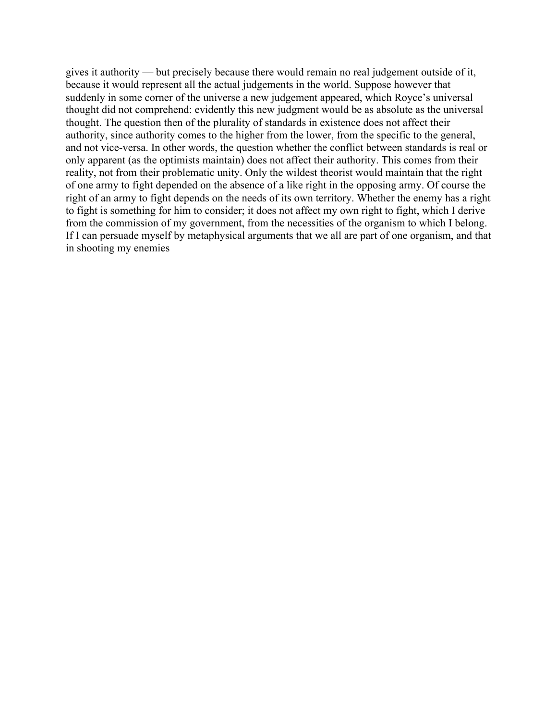gives it authority — but precisely because there would remain no real judgement outside of it, because it would represent all the actual judgements in the world. Suppose however that suddenly in some corner of the universe a new judgement appeared, which Royce's universal thought did not comprehend: evidently this new judgment would be as absolute as the universal thought. The question then of the plurality of standards in existence does not affect their authority, since authority comes to the higher from the lower, from the specific to the general, and not vice-versa. In other words, the question whether the conflict between standards is real or only apparent (as the optimists maintain) does not affect their authority. This comes from their reality, not from their problematic unity. Only the wildest theorist would maintain that the right of one army to fight depended on the absence of a like right in the opposing army. Of course the right of an army to fight depends on the needs of its own territory. Whether the enemy has a right to fight is something for him to consider; it does not affect my own right to fight, which I derive from the commission of my government, from the necessities of the organism to which I belong. If I can persuade myself by metaphysical arguments that we all are part of one organism, and that in shooting my enemies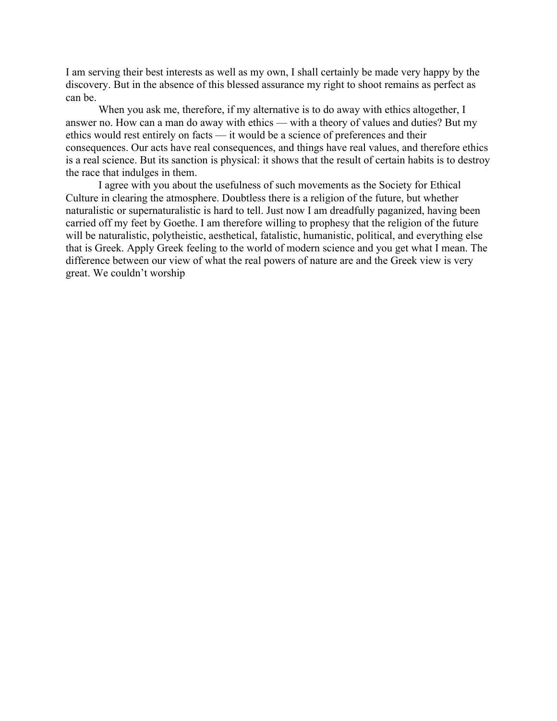I am serving their best interests as well as my own, I shall certainly be made very happy by the discovery. But in the absence of this blessed assurance my right to shoot remains as perfect as can be.

When you ask me, therefore, if my alternative is to do away with ethics altogether, I answer no. How can a man do away with ethics — with a theory of values and duties? But my ethics would rest entirely on facts — it would be a science of preferences and their consequences. Our acts have real consequences, and things have real values, and therefore ethics is a real science. But its sanction is physical: it shows that the result of certain habits is to destroy the race that indulges in them.

I agree with you about the usefulness of such movements as the Society for Ethical Culture in clearing the atmosphere. Doubtless there is a religion of the future, but whether naturalistic or supernaturalistic is hard to tell. Just now I am dreadfully paganized, having been carried off my feet by Goethe. I am therefore willing to prophesy that the religion of the future will be naturalistic, polytheistic, aesthetical, fatalistic, humanistic, political, and everything else that is Greek. Apply Greek feeling to the world of modern science and you get what I mean. The difference between our view of what the real powers of nature are and the Greek view is very great. We couldn't worship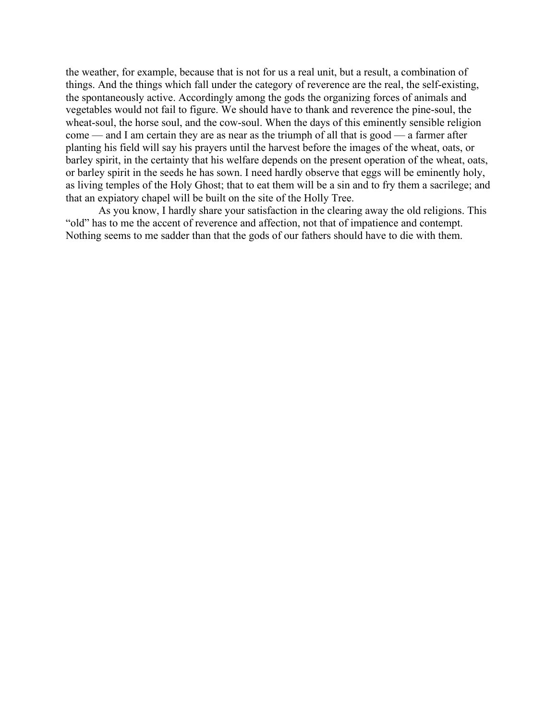the weather, for example, because that is not for us a real unit, but a result, a combination of things. And the things which fall under the category of reverence are the real, the self-existing, the spontaneously active. Accordingly among the gods the organizing forces of animals and vegetables would not fail to figure. We should have to thank and reverence the pine-soul, the wheat-soul, the horse soul, and the cow-soul. When the days of this eminently sensible religion come — and I am certain they are as near as the triumph of all that is good — a farmer after planting his field will say his prayers until the harvest before the images of the wheat, oats, or barley spirit, in the certainty that his welfare depends on the present operation of the wheat, oats, or barley spirit in the seeds he has sown. I need hardly observe that eggs will be eminently holy, as living temples of the Holy Ghost; that to eat them will be a sin and to fry them a sacrilege; and that an expiatory chapel will be built on the site of the Holly Tree.

As you know, I hardly share your satisfaction in the clearing away the old religions. This "old" has to me the accent of reverence and affection, not that of impatience and contempt. Nothing seems to me sadder than that the gods of our fathers should have to die with them.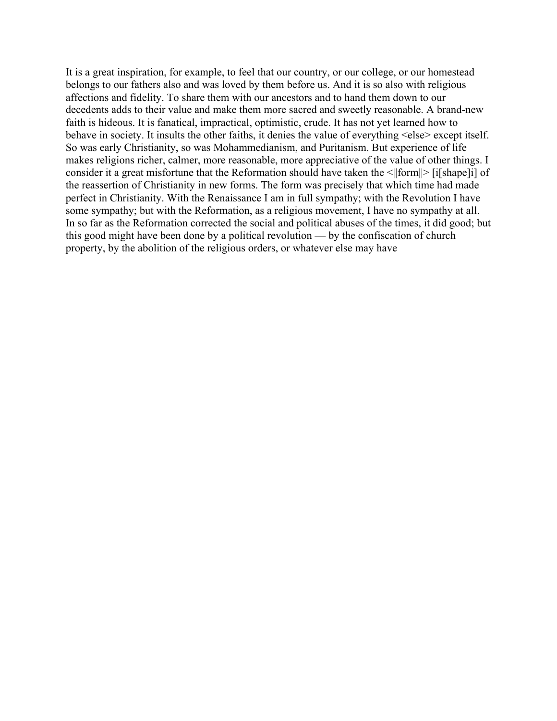It is a great inspiration, for example, to feel that our country, or our college, or our homestead belongs to our fathers also and was loved by them before us. And it is so also with religious affections and fidelity. To share them with our ancestors and to hand them down to our decedents adds to their value and make them more sacred and sweetly reasonable. A brand-new faith is hideous. It is fanatical, impractical, optimistic, crude. It has not yet learned how to behave in society. It insults the other faiths, it denies the value of everything <else> except itself. So was early Christianity, so was Mohammedianism, and Puritanism. But experience of life makes religions richer, calmer, more reasonable, more appreciative of the value of other things. I consider it a great misfortune that the Reformation should have taken the <||form||> [i[shape]i] of the reassertion of Christianity in new forms. The form was precisely that which time had made perfect in Christianity. With the Renaissance I am in full sympathy; with the Revolution I have some sympathy; but with the Reformation, as a religious movement, I have no sympathy at all. In so far as the Reformation corrected the social and political abuses of the times, it did good; but this good might have been done by a political revolution — by the confiscation of church property, by the abolition of the religious orders, or whatever else may have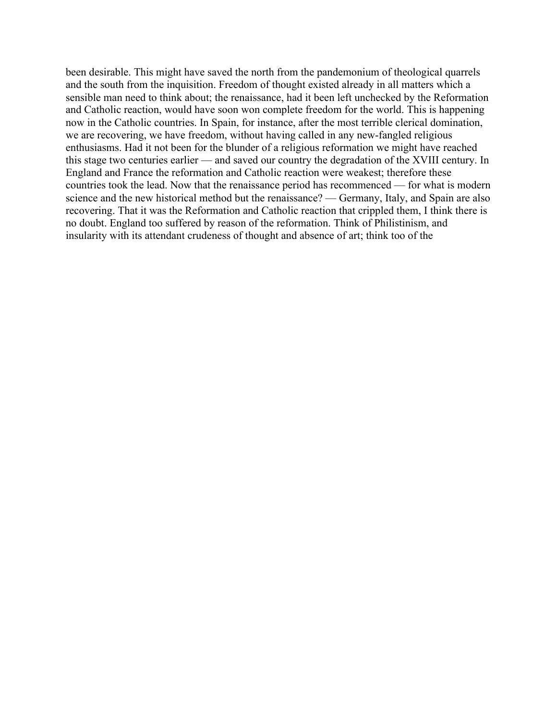been desirable. This might have saved the north from the pandemonium of theological quarrels and the south from the inquisition. Freedom of thought existed already in all matters which a sensible man need to think about; the renaissance, had it been left unchecked by the Reformation and Catholic reaction, would have soon won complete freedom for the world. This is happening now in the Catholic countries. In Spain, for instance, after the most terrible clerical domination, we are recovering, we have freedom, without having called in any new-fangled religious enthusiasms. Had it not been for the blunder of a religious reformation we might have reached this stage two centuries earlier — and saved our country the degradation of the XVIII century. In England and France the reformation and Catholic reaction were weakest; therefore these countries took the lead. Now that the renaissance period has recommenced — for what is modern science and the new historical method but the renaissance? — Germany, Italy, and Spain are also recovering. That it was the Reformation and Catholic reaction that crippled them, I think there is no doubt. England too suffered by reason of the reformation. Think of Philistinism, and insularity with its attendant crudeness of thought and absence of art; think too of the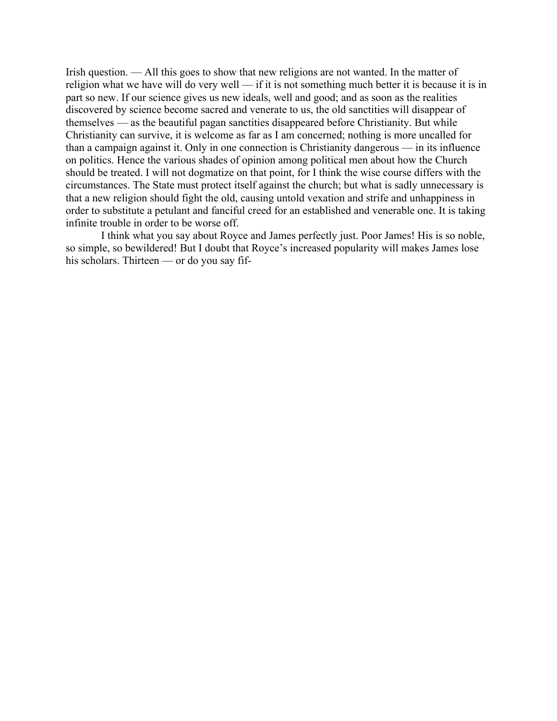Irish question. — All this goes to show that new religions are not wanted. In the matter of religion what we have will do very well — if it is not something much better it is because it is in part so new. If our science gives us new ideals, well and good; and as soon as the realities discovered by science become sacred and venerate to us, the old sanctities will disappear of themselves — as the beautiful pagan sanctities disappeared before Christianity. But while Christianity can survive, it is welcome as far as I am concerned; nothing is more uncalled for than a campaign against it. Only in one connection is Christianity dangerous — in its influence on politics. Hence the various shades of opinion among political men about how the Church should be treated. I will not dogmatize on that point, for I think the wise course differs with the circumstances. The State must protect itself against the church; but what is sadly unnecessary is that a new religion should fight the old, causing untold vexation and strife and unhappiness in order to substitute a petulant and fanciful creed for an established and venerable one. It is taking infinite trouble in order to be worse off.

I think what you say about Royce and James perfectly just. Poor James! His is so noble, so simple, so bewildered! But I doubt that Royce's increased popularity will makes James lose his scholars. Thirteen — or do you say fif-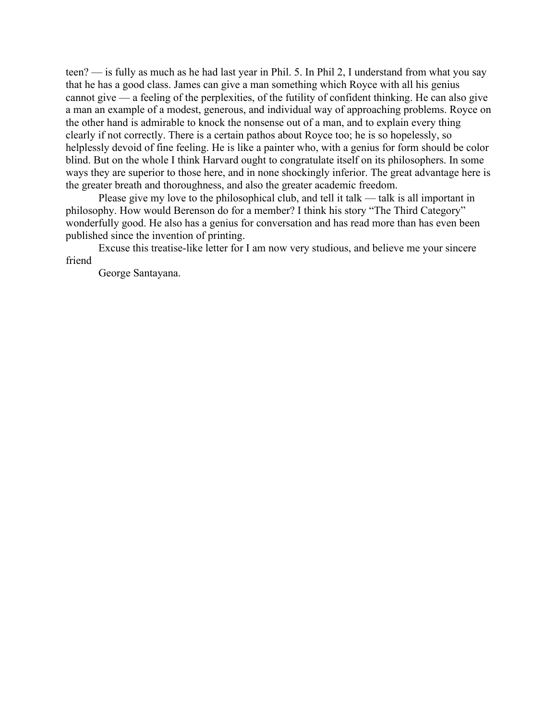teen? — is fully as much as he had last year in Phil. 5. In Phil 2, I understand from what you say that he has a good class. James can give a man something which Royce with all his genius cannot give — a feeling of the perplexities, of the futility of confident thinking. He can also give a man an example of a modest, generous, and individual way of approaching problems. Royce on the other hand is admirable to knock the nonsense out of a man, and to explain every thing clearly if not correctly. There is a certain pathos about Royce too; he is so hopelessly, so helplessly devoid of fine feeling. He is like a painter who, with a genius for form should be color blind. But on the whole I think Harvard ought to congratulate itself on its philosophers. In some ways they are superior to those here, and in none shockingly inferior. The great advantage here is the greater breath and thoroughness, and also the greater academic freedom.

Please give my love to the philosophical club, and tell it talk — talk is all important in philosophy. How would Berenson do for a member? I think his story "The Third Category" wonderfully good. He also has a genius for conversation and has read more than has even been published since the invention of printing.

Excuse this treatise-like letter for I am now very studious, and believe me your sincere friend

George Santayana.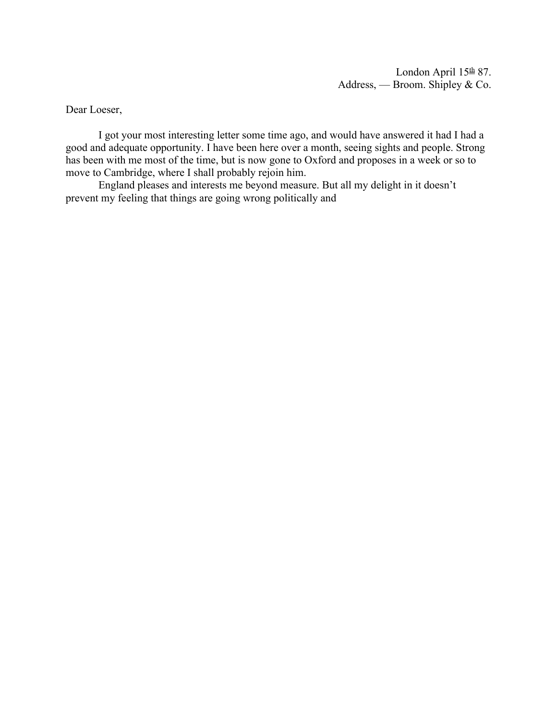Dear Loeser,

I got your most interesting letter some time ago, and would have answered it had I had a good and adequate opportunity. I have been here over a month, seeing sights and people. Strong has been with me most of the time, but is now gone to Oxford and proposes in a week or so to move to Cambridge, where I shall probably rejoin him.

England pleases and interests me beyond measure. But all my delight in it doesn't prevent my feeling that things are going wrong politically and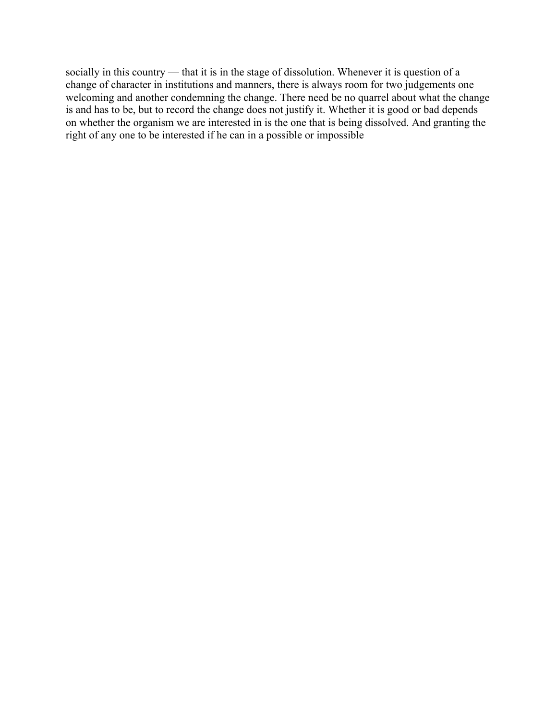socially in this country — that it is in the stage of dissolution. Whenever it is question of a change of character in institutions and manners, there is always room for two judgements one welcoming and another condemning the change. There need be no quarrel about what the change is and has to be, but to record the change does not justify it. Whether it is good or bad depends on whether the organism we are interested in is the one that is being dissolved. And granting the right of any one to be interested if he can in a possible or impossible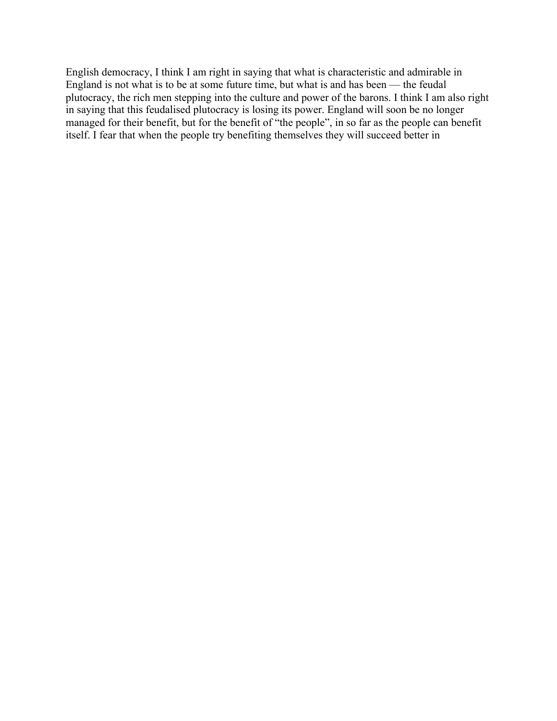English democracy, I think I am right in saying that what is characteristic and admirable in England is not what is to be at some future time, but what is and has been — the feudal plutocracy, the rich men stepping into the culture and power of the barons. I think I am also right in saying that this feudalised plutocracy is losing its power. England will soon be no longer managed for their benefit, but for the benefit of "the people", in so far as the people can benefit itself. I fear that when the people try benefiting themselves they will succeed better in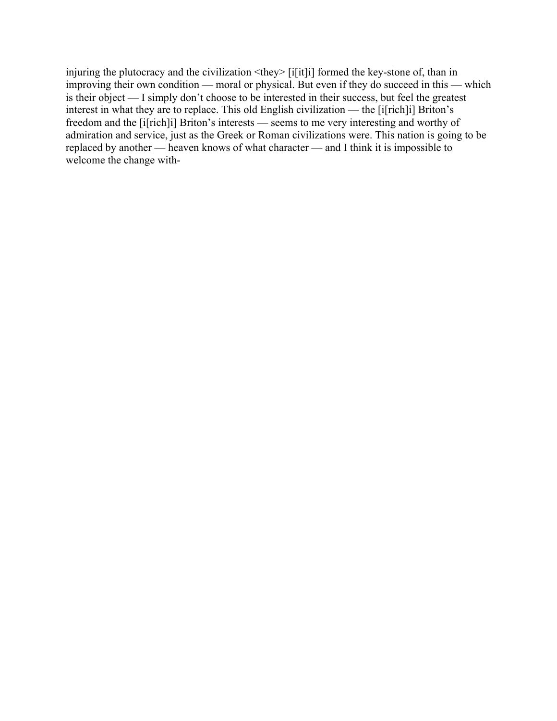injuring the plutocracy and the civilization  $\langle$ they> [i[it]] formed the key-stone of, than in improving their own condition — moral or physical. But even if they do succeed in this — which is their object — I simply don't choose to be interested in their success, but feel the greatest interest in what they are to replace. This old English civilization — the [i[rich]i] Briton's freedom and the [i[rich]i] Briton's interests — seems to me very interesting and worthy of admiration and service, just as the Greek or Roman civilizations were. This nation is going to be replaced by another — heaven knows of what character — and I think it is impossible to welcome the change with-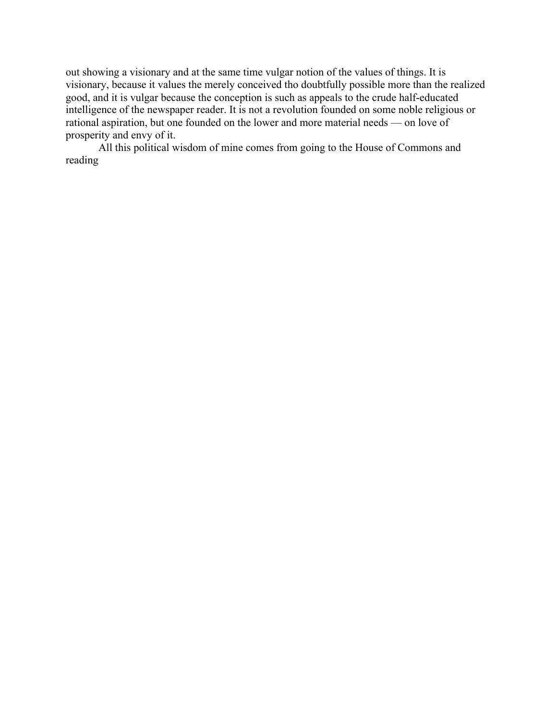out showing a visionary and at the same time vulgar notion of the values of things. It is visionary, because it values the merely conceived tho doubtfully possible more than the realized good, and it is vulgar because the conception is such as appeals to the crude half-educated intelligence of the newspaper reader. It is not a revolution founded on some noble religious or rational aspiration, but one founded on the lower and more material needs — on love of prosperity and envy of it.

All this political wisdom of mine comes from going to the House of Commons and reading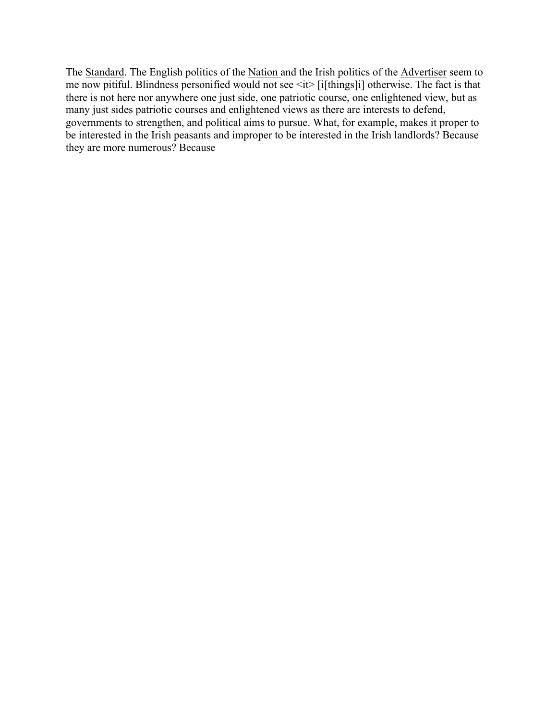The Standard. The English politics of the Nation and the Irish politics of the Advertiser seem to me now pitiful. Blindness personified would not see <it> [i[things]i] otherwise. The fact is that there is not here nor anywhere one just side, one patriotic course, one enlightened view, but as many just sides patriotic courses and enlightened views as there are interests to defend, governments to strengthen, and political aims to pursue. What, for example, makes it proper to be interested in the Irish peasants and improper to be interested in the Irish landlords? Because they are more numerous? Because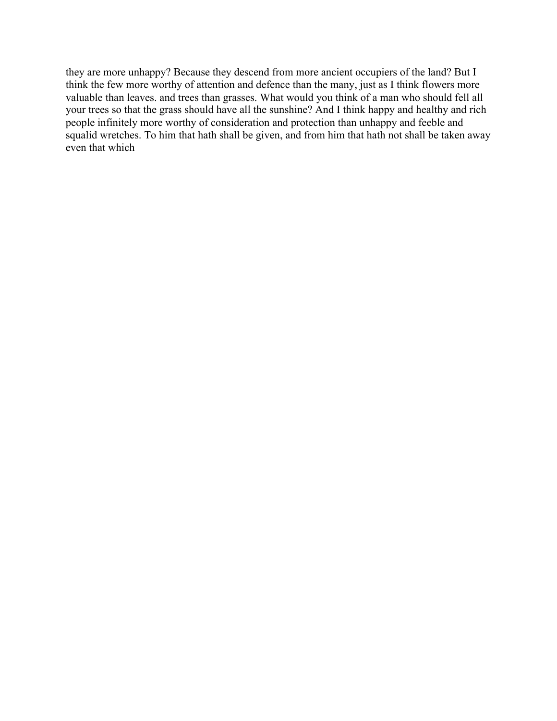they are more unhappy? Because they descend from more ancient occupiers of the land? But I think the few more worthy of attention and defence than the many, just as I think flowers more valuable than leaves. and trees than grasses. What would you think of a man who should fell all your trees so that the grass should have all the sunshine? And I think happy and healthy and rich people infinitely more worthy of consideration and protection than unhappy and feeble and squalid wretches. To him that hath shall be given, and from him that hath not shall be taken away even that which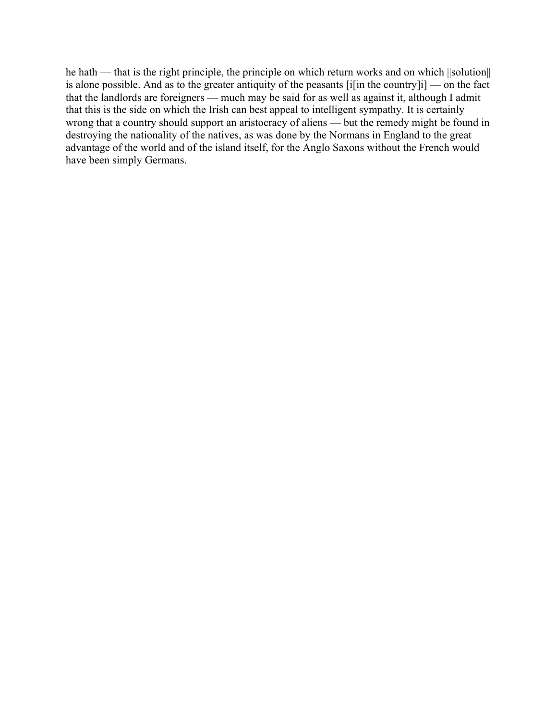he hath — that is the right principle, the principle on which return works and on which ||solution|| is alone possible. And as to the greater antiquity of the peasants [i[in the country]i] — on the fact that the landlords are foreigners — much may be said for as well as against it, although I admit that this is the side on which the Irish can best appeal to intelligent sympathy. It is certainly wrong that a country should support an aristocracy of aliens — but the remedy might be found in destroying the nationality of the natives, as was done by the Normans in England to the great advantage of the world and of the island itself, for the Anglo Saxons without the French would have been simply Germans.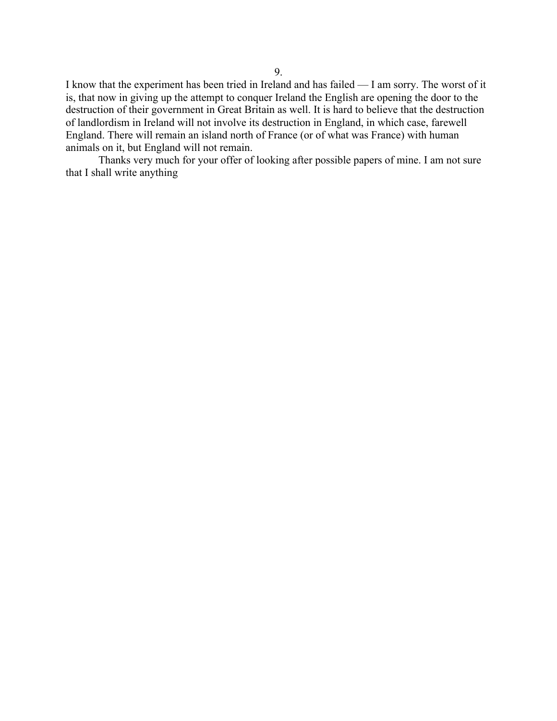I know that the experiment has been tried in Ireland and has failed — I am sorry. The worst of it is, that now in giving up the attempt to conquer Ireland the English are opening the door to the destruction of their government in Great Britain as well. It is hard to believe that the destruction of landlordism in Ireland will not involve its destruction in England, in which case, farewell England. There will remain an island north of France (or of what was France) with human animals on it, but England will not remain.

Thanks very much for your offer of looking after possible papers of mine. I am not sure that I shall write anything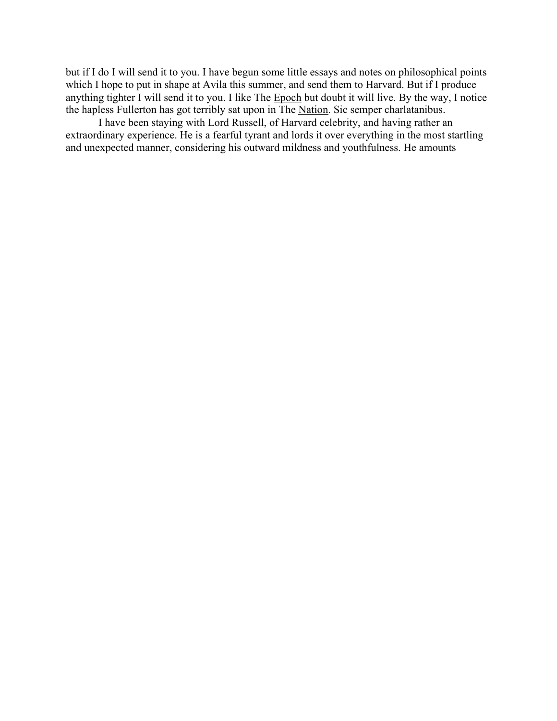but if I do I will send it to you. I have begun some little essays and notes on philosophical points which I hope to put in shape at Avila this summer, and send them to Harvard. But if I produce anything tighter I will send it to you. I like The Epoch but doubt it will live. By the way, I notice the hapless Fullerton has got terribly sat upon in The Nation. Sic semper charlatanibus.

I have been staying with Lord Russell, of Harvard celebrity, and having rather an extraordinary experience. He is a fearful tyrant and lords it over everything in the most startling and unexpected manner, considering his outward mildness and youthfulness. He amounts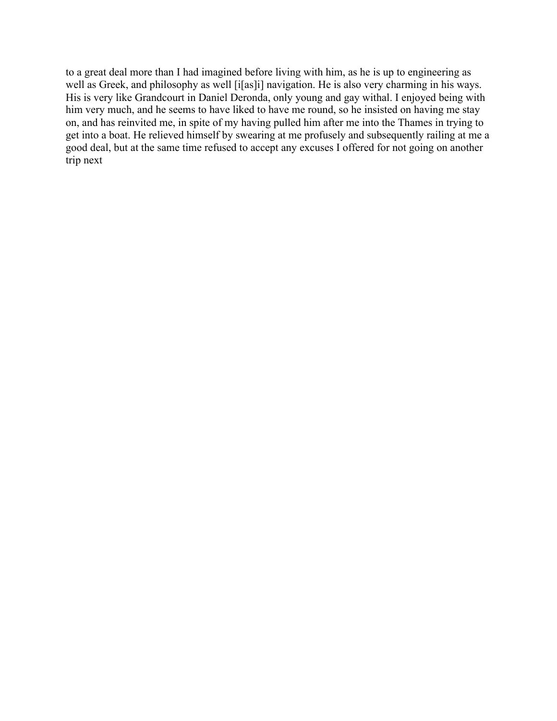to a great deal more than I had imagined before living with him, as he is up to engineering as well as Greek, and philosophy as well [i[as]i] navigation. He is also very charming in his ways. His is very like Grandcourt in Daniel Deronda, only young and gay withal. I enjoyed being with him very much, and he seems to have liked to have me round, so he insisted on having me stay on, and has reinvited me, in spite of my having pulled him after me into the Thames in trying to get into a boat. He relieved himself by swearing at me profusely and subsequently railing at me a good deal, but at the same time refused to accept any excuses I offered for not going on another trip next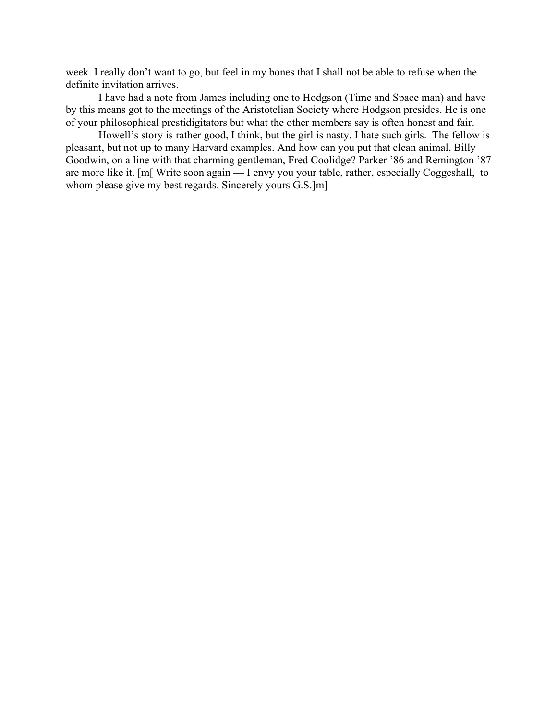week. I really don't want to go, but feel in my bones that I shall not be able to refuse when the definite invitation arrives.

I have had a note from James including one to Hodgson (Time and Space man) and have by this means got to the meetings of the Aristotelian Society where Hodgson presides. He is one of your philosophical prestidigitators but what the other members say is often honest and fair.

Howell's story is rather good, I think, but the girl is nasty. I hate such girls. The fellow is pleasant, but not up to many Harvard examples. And how can you put that clean animal, Billy Goodwin, on a line with that charming gentleman, Fred Coolidge? Parker '86 and Remington '87 are more like it. [m[ Write soon again — I envy you your table, rather, especially Coggeshall, to whom please give my best regards. Sincerely yours G.S.]m]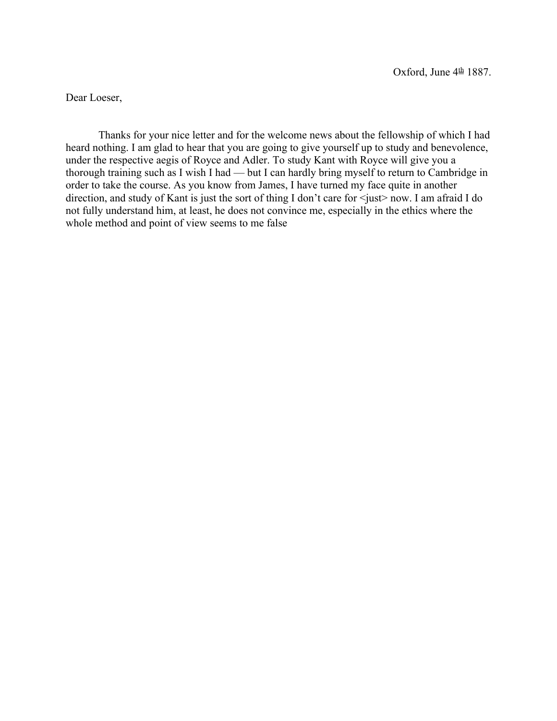Dear Loeser,

Thanks for your nice letter and for the welcome news about the fellowship of which I had heard nothing. I am glad to hear that you are going to give yourself up to study and benevolence, under the respective aegis of Royce and Adler. To study Kant with Royce will give you a thorough training such as I wish I had — but I can hardly bring myself to return to Cambridge in order to take the course. As you know from James, I have turned my face quite in another direction, and study of Kant is just the sort of thing I don't care for  $\leq$ just> now. I am afraid I do not fully understand him, at least, he does not convince me, especially in the ethics where the whole method and point of view seems to me false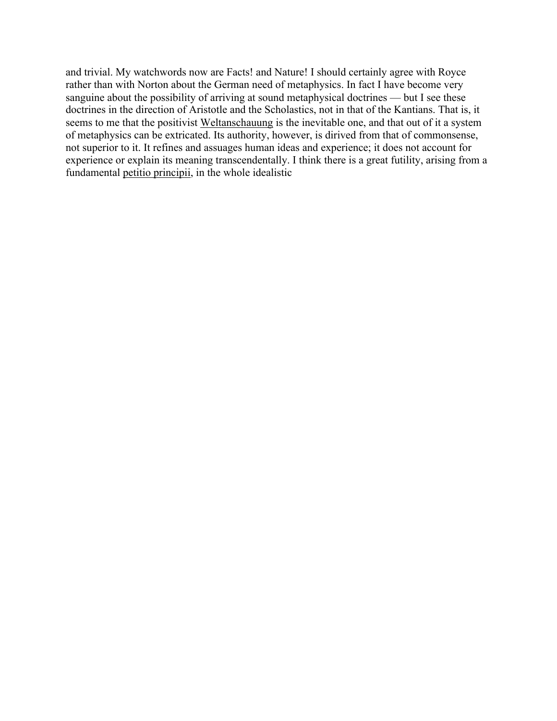and trivial. My watchwords now are Facts! and Nature! I should certainly agree with Royce rather than with Norton about the German need of metaphysics. In fact I have become very sanguine about the possibility of arriving at sound metaphysical doctrines — but I see these doctrines in the direction of Aristotle and the Scholastics, not in that of the Kantians. That is, it seems to me that the positivist Weltanschauung is the inevitable one, and that out of it a system of metaphysics can be extricated. Its authority, however, is dirived from that of commonsense, not superior to it. It refines and assuages human ideas and experience; it does not account for experience or explain its meaning transcendentally. I think there is a great futility, arising from a fundamental petitio principii, in the whole idealistic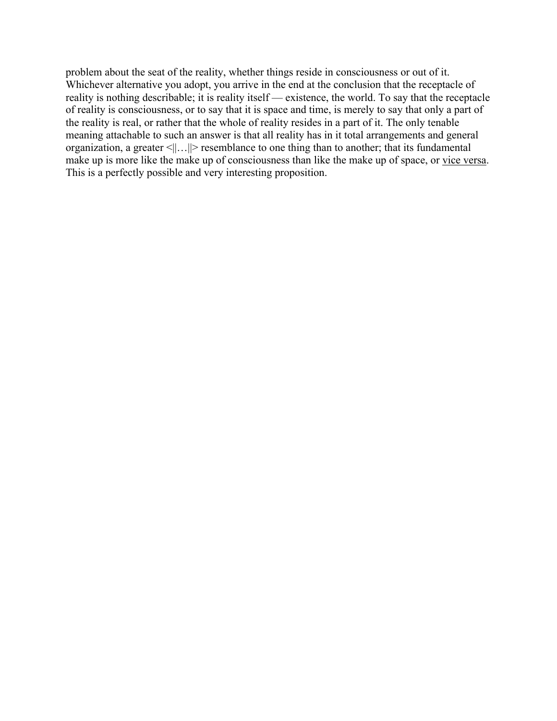problem about the seat of the reality, whether things reside in consciousness or out of it. Whichever alternative you adopt, you arrive in the end at the conclusion that the receptacle of reality is nothing describable; it is reality itself — existence, the world. To say that the receptacle of reality is consciousness, or to say that it is space and time, is merely to say that only a part of the reality is real, or rather that the whole of reality resides in a part of it. The only tenable meaning attachable to such an answer is that all reality has in it total arrangements and general organization, a greater <||…||> resemblance to one thing than to another; that its fundamental make up is more like the make up of consciousness than like the make up of space, or vice versa. This is a perfectly possible and very interesting proposition.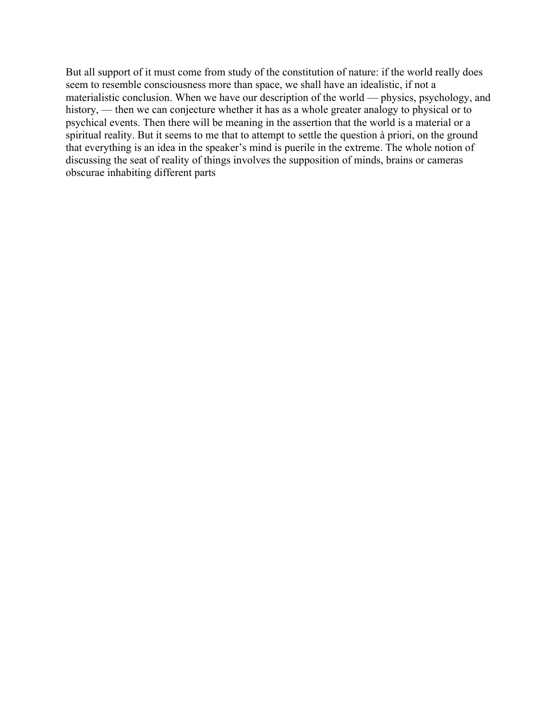But all support of it must come from study of the constitution of nature: if the world really does seem to resemble consciousness more than space, we shall have an idealistic, if not a materialistic conclusion. When we have our description of the world — physics, psychology, and history, — then we can conjecture whether it has as a whole greater analogy to physical or to psychical events. Then there will be meaning in the assertion that the world is a material or a spiritual reality. But it seems to me that to attempt to settle the question à priori, on the ground that everything is an idea in the speaker's mind is puerile in the extreme. The whole notion of discussing the seat of reality of things involves the supposition of minds, brains or cameras obscurae inhabiting different parts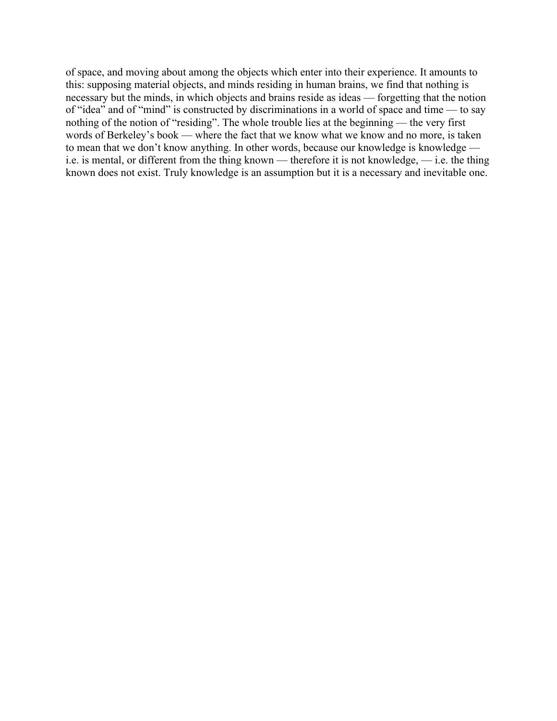of space, and moving about among the objects which enter into their experience. It amounts to this: supposing material objects, and minds residing in human brains, we find that nothing is necessary but the minds, in which objects and brains reside as ideas — forgetting that the notion of "idea" and of "mind" is constructed by discriminations in a world of space and time — to say nothing of the notion of "residing". The whole trouble lies at the beginning — the very first words of Berkeley's book — where the fact that we know what we know and no more, is taken to mean that we don't know anything. In other words, because our knowledge is knowledge i.e. is mental, or different from the thing known — therefore it is not knowledge, — i.e. the thing known does not exist. Truly knowledge is an assumption but it is a necessary and inevitable one.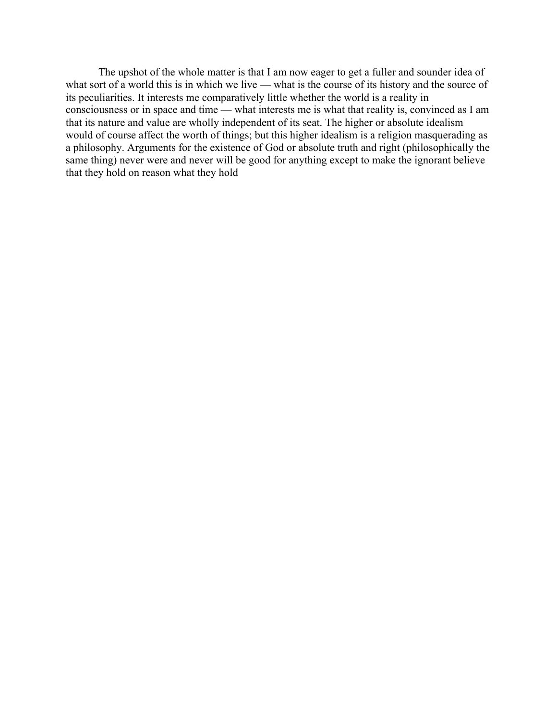The upshot of the whole matter is that I am now eager to get a fuller and sounder idea of what sort of a world this is in which we live — what is the course of its history and the source of its peculiarities. It interests me comparatively little whether the world is a reality in consciousness or in space and time — what interests me is what that reality is, convinced as I am that its nature and value are wholly independent of its seat. The higher or absolute idealism would of course affect the worth of things; but this higher idealism is a religion masquerading as a philosophy. Arguments for the existence of God or absolute truth and right (philosophically the same thing) never were and never will be good for anything except to make the ignorant believe that they hold on reason what they hold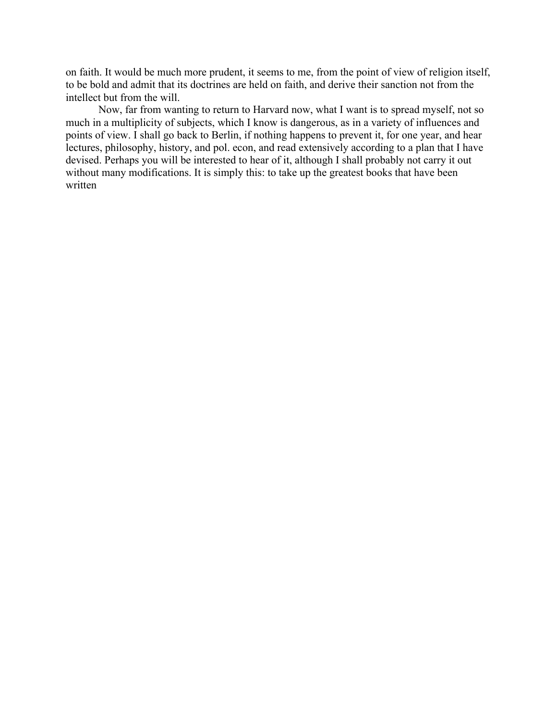on faith. It would be much more prudent, it seems to me, from the point of view of religion itself, to be bold and admit that its doctrines are held on faith, and derive their sanction not from the intellect but from the will.

Now, far from wanting to return to Harvard now, what I want is to spread myself, not so much in a multiplicity of subjects, which I know is dangerous, as in a variety of influences and points of view. I shall go back to Berlin, if nothing happens to prevent it, for one year, and hear lectures, philosophy, history, and pol. econ, and read extensively according to a plan that I have devised. Perhaps you will be interested to hear of it, although I shall probably not carry it out without many modifications. It is simply this: to take up the greatest books that have been written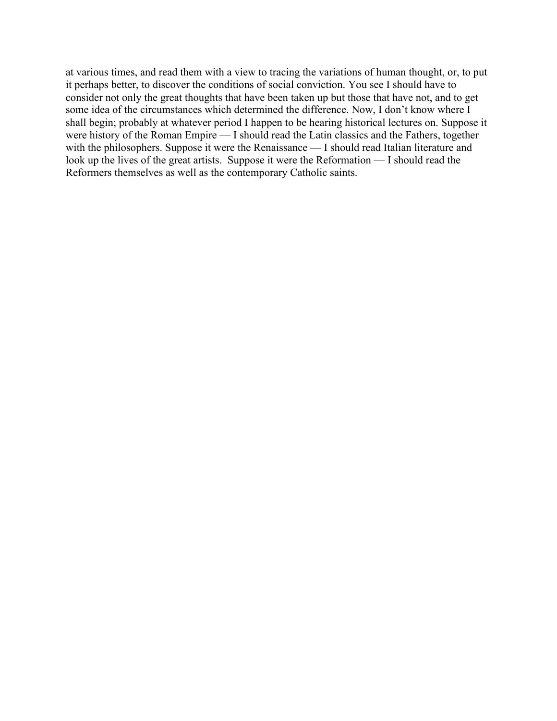at various times, and read them with a view to tracing the variations of human thought, or, to put it perhaps better, to discover the conditions of social conviction. You see I should have to consider not only the great thoughts that have been taken up but those that have not, and to get some idea of the circumstances which determined the difference. Now, I don't know where I shall begin; probably at whatever period I happen to be hearing historical lectures on. Suppose it were history of the Roman Empire — I should read the Latin classics and the Fathers, together with the philosophers. Suppose it were the Renaissance — I should read Italian literature and look up the lives of the great artists. Suppose it were the Reformation — I should read the Reformers themselves as well as the contemporary Catholic saints.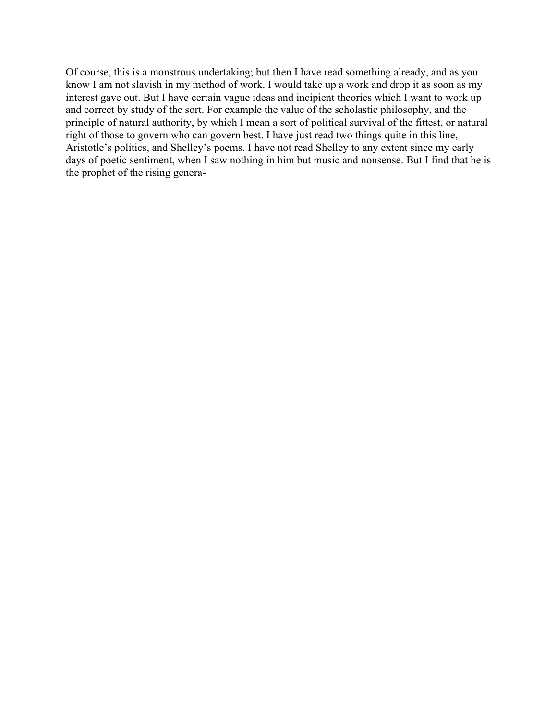Of course, this is a monstrous undertaking; but then I have read something already, and as you know I am not slavish in my method of work. I would take up a work and drop it as soon as my interest gave out. But I have certain vague ideas and incipient theories which I want to work up and correct by study of the sort. For example the value of the scholastic philosophy, and the principle of natural authority, by which I mean a sort of political survival of the fittest, or natural right of those to govern who can govern best. I have just read two things quite in this line, Aristotle's politics, and Shelley's poems. I have not read Shelley to any extent since my early days of poetic sentiment, when I saw nothing in him but music and nonsense. But I find that he is the prophet of the rising genera-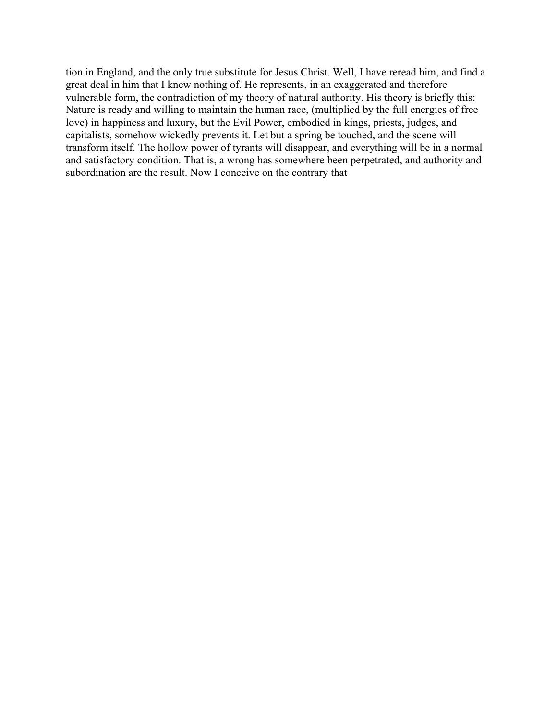tion in England, and the only true substitute for Jesus Christ. Well, I have reread him, and find a great deal in him that I knew nothing of. He represents, in an exaggerated and therefore vulnerable form, the contradiction of my theory of natural authority. His theory is briefly this: Nature is ready and willing to maintain the human race, (multiplied by the full energies of free love) in happiness and luxury, but the Evil Power, embodied in kings, priests, judges, and capitalists, somehow wickedly prevents it. Let but a spring be touched, and the scene will transform itself. The hollow power of tyrants will disappear, and everything will be in a normal and satisfactory condition. That is, a wrong has somewhere been perpetrated, and authority and subordination are the result. Now I conceive on the contrary that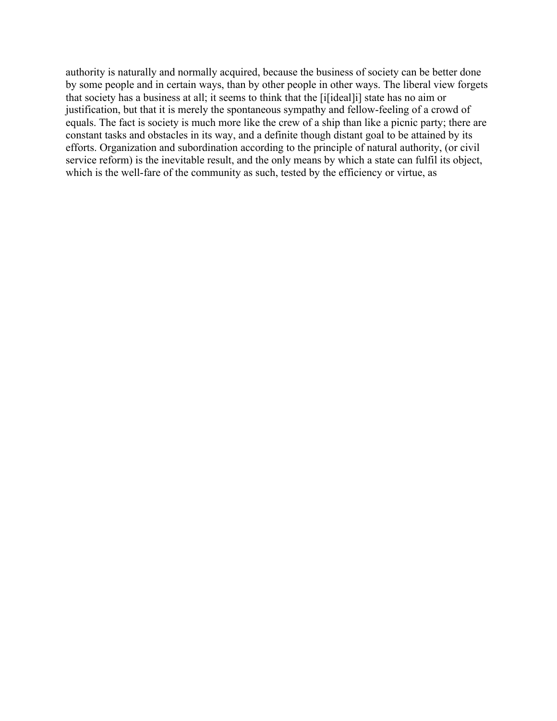authority is naturally and normally acquired, because the business of society can be better done by some people and in certain ways, than by other people in other ways. The liberal view forgets that society has a business at all; it seems to think that the [i[ideal]i] state has no aim or justification, but that it is merely the spontaneous sympathy and fellow-feeling of a crowd of equals. The fact is society is much more like the crew of a ship than like a picnic party; there are constant tasks and obstacles in its way, and a definite though distant goal to be attained by its efforts. Organization and subordination according to the principle of natural authority, (or civil service reform) is the inevitable result, and the only means by which a state can fulfil its object, which is the well-fare of the community as such, tested by the efficiency or virtue, as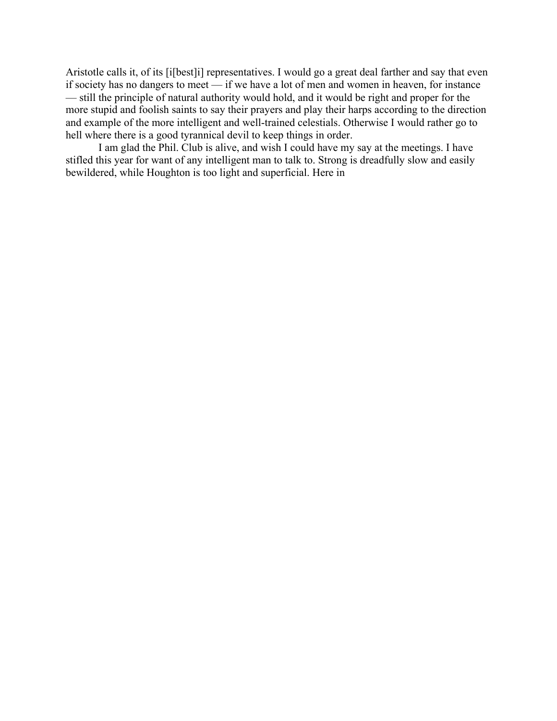Aristotle calls it, of its [i[best]i] representatives. I would go a great deal farther and say that even if society has no dangers to meet — if we have a lot of men and women in heaven, for instance — still the principle of natural authority would hold, and it would be right and proper for the more stupid and foolish saints to say their prayers and play their harps according to the direction and example of the more intelligent and well-trained celestials. Otherwise I would rather go to hell where there is a good tyrannical devil to keep things in order.

I am glad the Phil. Club is alive, and wish I could have my say at the meetings. I have stifled this year for want of any intelligent man to talk to. Strong is dreadfully slow and easily bewildered, while Houghton is too light and superficial. Here in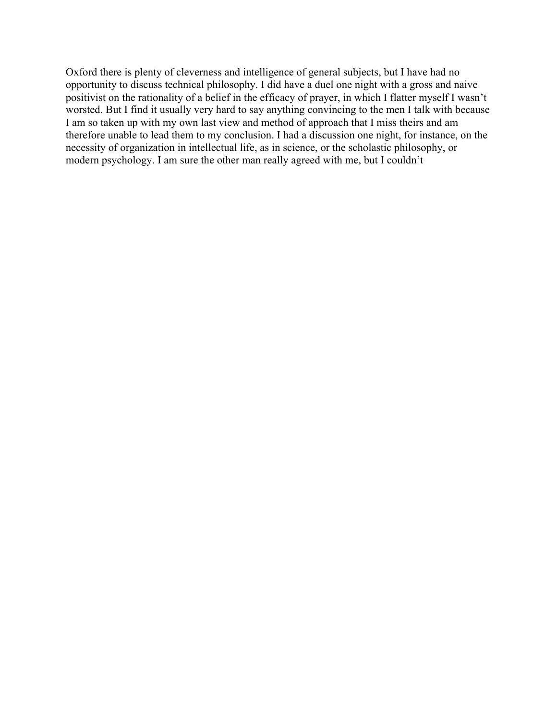Oxford there is plenty of cleverness and intelligence of general subjects, but I have had no opportunity to discuss technical philosophy. I did have a duel one night with a gross and naive positivist on the rationality of a belief in the efficacy of prayer, in which I flatter myself I wasn't worsted. But I find it usually very hard to say anything convincing to the men I talk with because I am so taken up with my own last view and method of approach that I miss theirs and am therefore unable to lead them to my conclusion. I had a discussion one night, for instance, on the necessity of organization in intellectual life, as in science, or the scholastic philosophy, or modern psychology. I am sure the other man really agreed with me, but I couldn't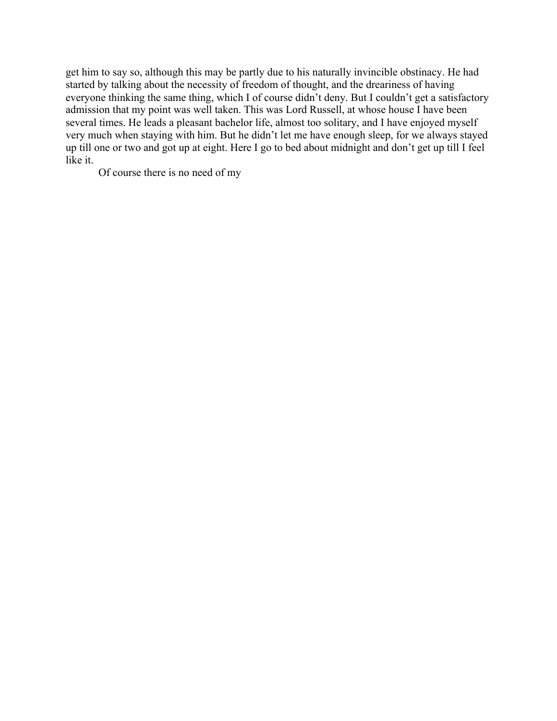get him to say so, although this may be partly due to his naturally invincible obstinacy. He had started by talking about the necessity of freedom of thought, and the dreariness of having everyone thinking the same thing, which I of course didn't deny. But I couldn't get a satisfactory admission that my point was well taken. This was Lord Russell, at whose house I have been several times. He leads a pleasant bachelor life, almost too solitary, and I have enjoyed myself very much when staying with him. But he didn't let me have enough sleep, for we always stayed up till one or two and got up at eight. Here I go to bed about midnight and don't get up till I feel like it.

Of course there is no need of my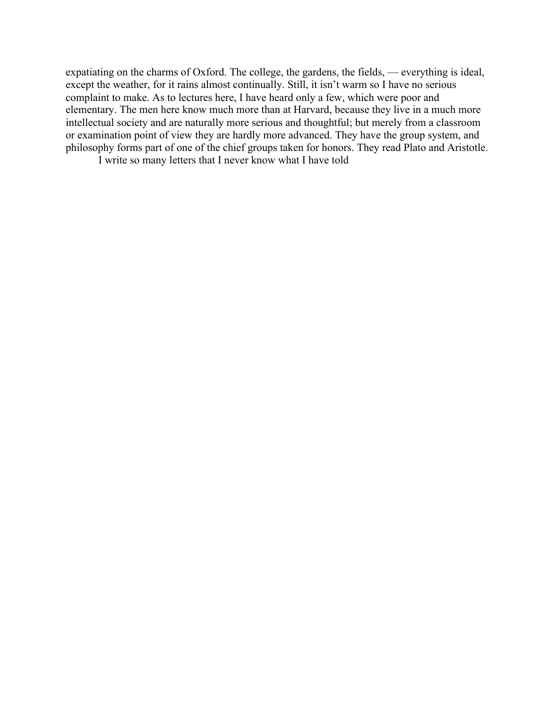expatiating on the charms of Oxford. The college, the gardens, the fields, — everything is ideal, except the weather, for it rains almost continually. Still, it isn't warm so I have no serious complaint to make. As to lectures here, I have heard only a few, which were poor and elementary. The men here know much more than at Harvard, because they live in a much more intellectual society and are naturally more serious and thoughtful; but merely from a classroom or examination point of view they are hardly more advanced. They have the group system, and philosophy forms part of one of the chief groups taken for honors. They read Plato and Aristotle.

I write so many letters that I never know what I have told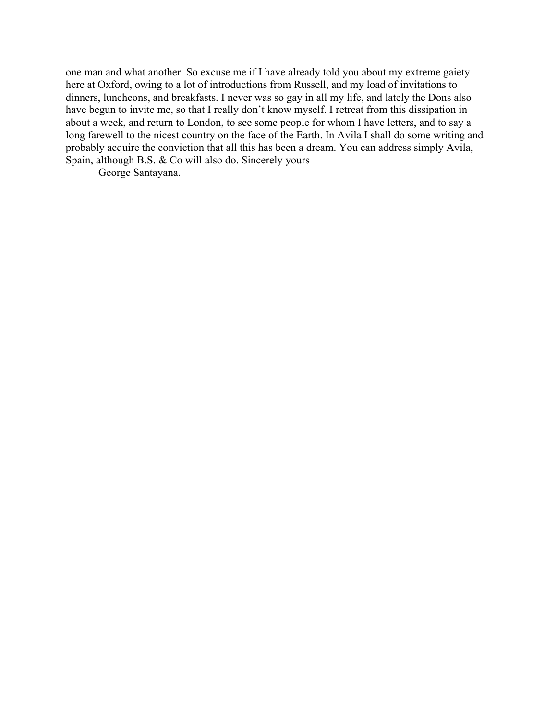one man and what another. So excuse me if I have already told you about my extreme gaiety here at Oxford, owing to a lot of introductions from Russell, and my load of invitations to dinners, luncheons, and breakfasts. I never was so gay in all my life, and lately the Dons also have begun to invite me, so that I really don't know myself. I retreat from this dissipation in about a week, and return to London, to see some people for whom I have letters, and to say a long farewell to the nicest country on the face of the Earth. In Avila I shall do some writing and probably acquire the conviction that all this has been a dream. You can address simply Avila, Spain, although B.S. & Co will also do. Sincerely yours

George Santayana.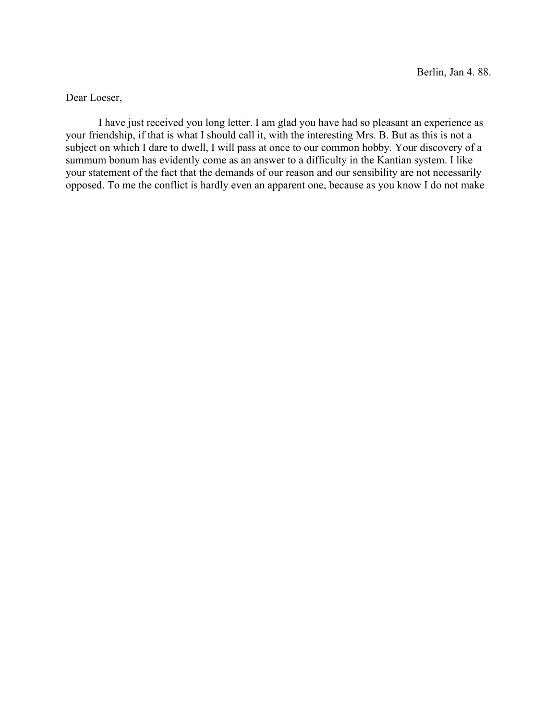Dear Loeser,

I have just received you long letter. I am glad you have had so pleasant an experience as your friendship, if that is what I should call it, with the interesting Mrs. B. But as this is not a subject on which I dare to dwell, I will pass at once to our common hobby. Your discovery of a summum bonum has evidently come as an answer to a difficulty in the Kantian system. I like your statement of the fact that the demands of our reason and our sensibility are not necessarily opposed. To me the conflict is hardly even an apparent one, because as you know I do not make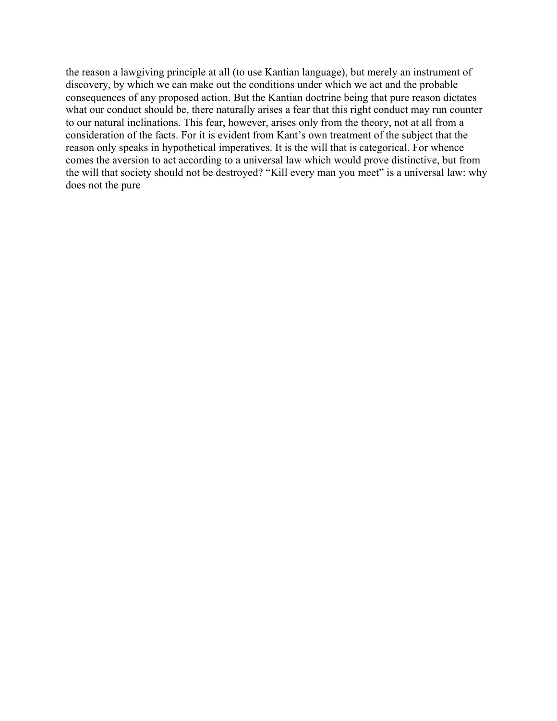the reason a lawgiving principle at all (to use Kantian language), but merely an instrument of discovery, by which we can make out the conditions under which we act and the probable consequences of any proposed action. But the Kantian doctrine being that pure reason dictates what our conduct should be, there naturally arises a fear that this right conduct may run counter to our natural inclinations. This fear, however, arises only from the theory, not at all from a consideration of the facts. For it is evident from Kant's own treatment of the subject that the reason only speaks in hypothetical imperatives. It is the will that is categorical. For whence comes the aversion to act according to a universal law which would prove distinctive, but from the will that society should not be destroyed? "Kill every man you meet" is a universal law: why does not the pure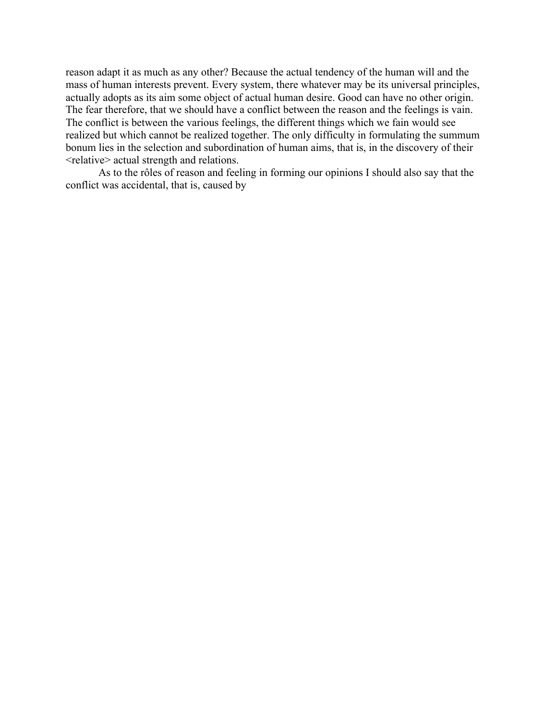reason adapt it as much as any other? Because the actual tendency of the human will and the mass of human interests prevent. Every system, there whatever may be its universal principles, actually adopts as its aim some object of actual human desire. Good can have no other origin. The fear therefore, that we should have a conflict between the reason and the feelings is vain. The conflict is between the various feelings, the different things which we fain would see realized but which cannot be realized together. The only difficulty in formulating the summum bonum lies in the selection and subordination of human aims, that is, in the discovery of their <relative> actual strength and relations.

As to the rôles of reason and feeling in forming our opinions I should also say that the conflict was accidental, that is, caused by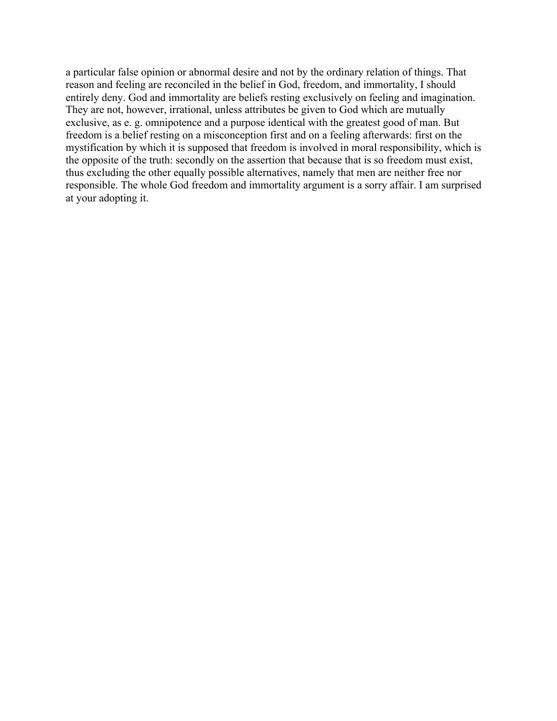a particular false opinion or abnormal desire and not by the ordinary relation of things. That reason and feeling are reconciled in the belief in God, freedom, and immortality, I should entirely deny. God and immortality are beliefs resting exclusively on feeling and imagination. They are not, however, irrational, unless attributes be given to God which are mutually exclusive, as e. g. omnipotence and a purpose identical with the greatest good of man. But freedom is a belief resting on a misconception first and on a feeling afterwards: first on the mystification by which it is supposed that freedom is involved in moral responsibility, which is the opposite of the truth: secondly on the assertion that because that is so freedom must exist, thus excluding the other equally possible alternatives, namely that men are neither free nor responsible. The whole God freedom and immortality argument is a sorry affair. I am surprised at your adopting it.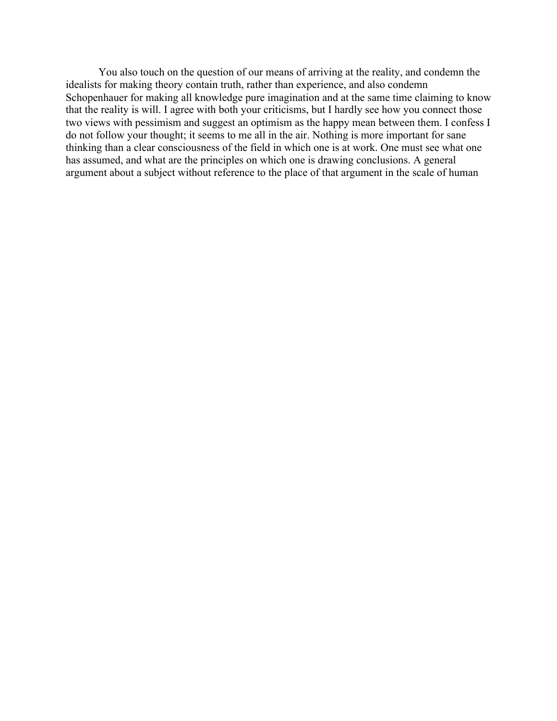You also touch on the question of our means of arriving at the reality, and condemn the idealists for making theory contain truth, rather than experience, and also condemn Schopenhauer for making all knowledge pure imagination and at the same time claiming to know that the reality is will. I agree with both your criticisms, but I hardly see how you connect those two views with pessimism and suggest an optimism as the happy mean between them. I confess I do not follow your thought; it seems to me all in the air. Nothing is more important for sane thinking than a clear consciousness of the field in which one is at work. One must see what one has assumed, and what are the principles on which one is drawing conclusions. A general argument about a subject without reference to the place of that argument in the scale of human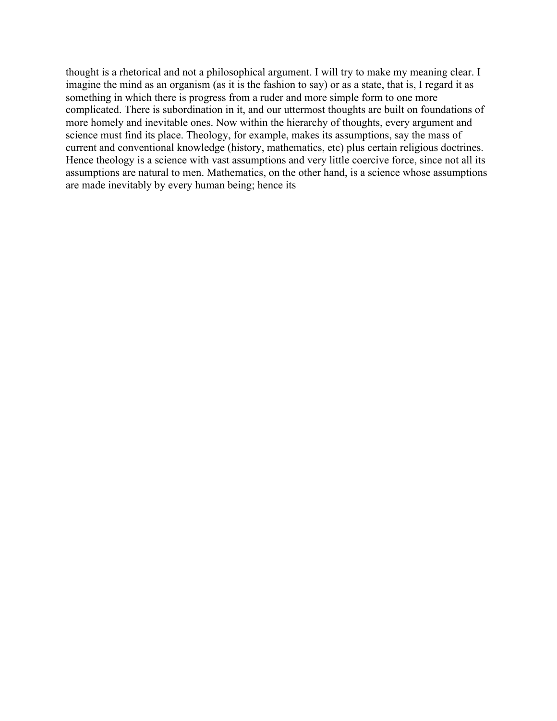thought is a rhetorical and not a philosophical argument. I will try to make my meaning clear. I imagine the mind as an organism (as it is the fashion to say) or as a state, that is, I regard it as something in which there is progress from a ruder and more simple form to one more complicated. There is subordination in it, and our uttermost thoughts are built on foundations of more homely and inevitable ones. Now within the hierarchy of thoughts, every argument and science must find its place. Theology, for example, makes its assumptions, say the mass of current and conventional knowledge (history, mathematics, etc) plus certain religious doctrines. Hence theology is a science with vast assumptions and very little coercive force, since not all its assumptions are natural to men. Mathematics, on the other hand, is a science whose assumptions are made inevitably by every human being; hence its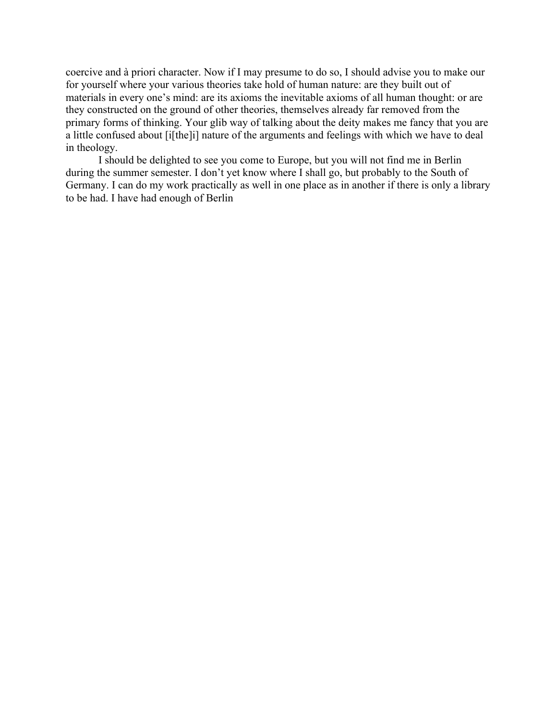coercive and à priori character. Now if I may presume to do so, I should advise you to make our for yourself where your various theories take hold of human nature: are they built out of materials in every one's mind: are its axioms the inevitable axioms of all human thought: or are they constructed on the ground of other theories, themselves already far removed from the primary forms of thinking. Your glib way of talking about the deity makes me fancy that you are a little confused about [i[the]i] nature of the arguments and feelings with which we have to deal in theology.

I should be delighted to see you come to Europe, but you will not find me in Berlin during the summer semester. I don't yet know where I shall go, but probably to the South of Germany. I can do my work practically as well in one place as in another if there is only a library to be had. I have had enough of Berlin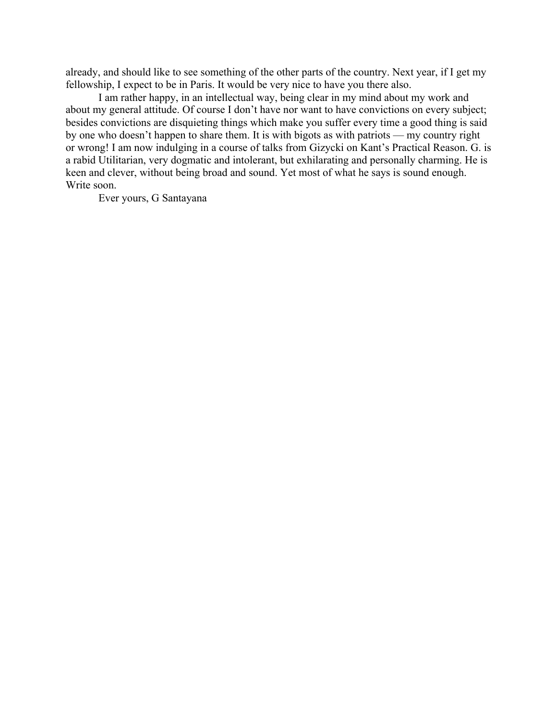already, and should like to see something of the other parts of the country. Next year, if I get my fellowship, I expect to be in Paris. It would be very nice to have you there also.

I am rather happy, in an intellectual way, being clear in my mind about my work and about my general attitude. Of course I don't have nor want to have convictions on every subject; besides convictions are disquieting things which make you suffer every time a good thing is said by one who doesn't happen to share them. It is with bigots as with patriots — my country right or wrong! I am now indulging in a course of talks from Gizycki on Kant's Practical Reason. G. is a rabid Utilitarian, very dogmatic and intolerant, but exhilarating and personally charming. He is keen and clever, without being broad and sound. Yet most of what he says is sound enough. Write soon.

Ever yours, G Santayana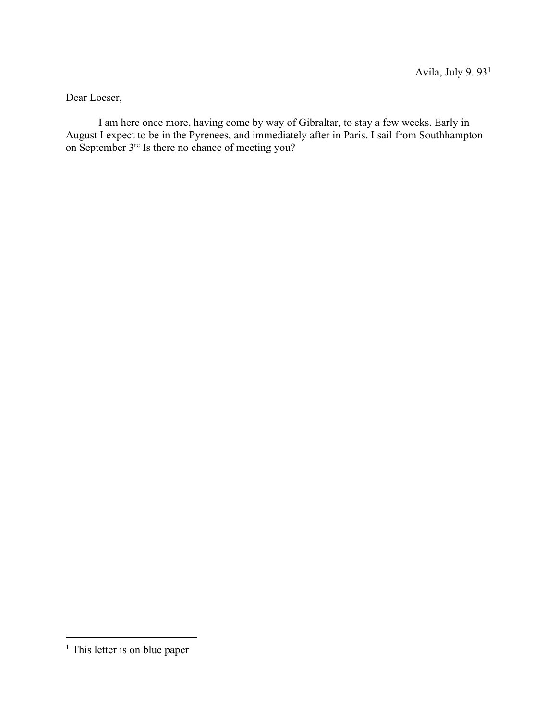Dear Loeser,

I am here once more, having come by way of Gibraltar, to stay a few weeks. Early in August I expect to be in the Pyrenees, and immediately after in Paris. I sail from Southhampton on September  $3<sup>te</sup>$  Is there no chance of meeting you?

<sup>&</sup>lt;sup>1</sup> This letter is on blue paper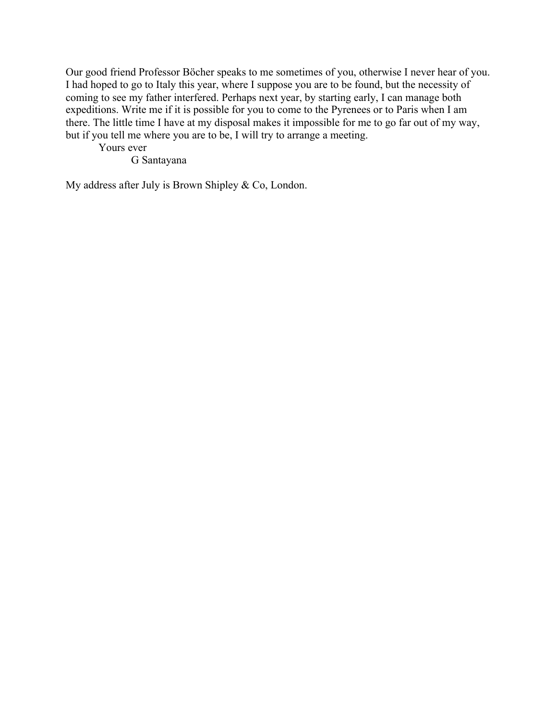Our good friend Professor Böcher speaks to me sometimes of you, otherwise I never hear of you. I had hoped to go to Italy this year, where I suppose you are to be found, but the necessity of coming to see my father interfered. Perhaps next year, by starting early, I can manage both expeditions. Write me if it is possible for you to come to the Pyrenees or to Paris when I am there. The little time I have at my disposal makes it impossible for me to go far out of my way, but if you tell me where you are to be, I will try to arrange a meeting.

Yours ever

G Santayana

My address after July is Brown Shipley & Co, London.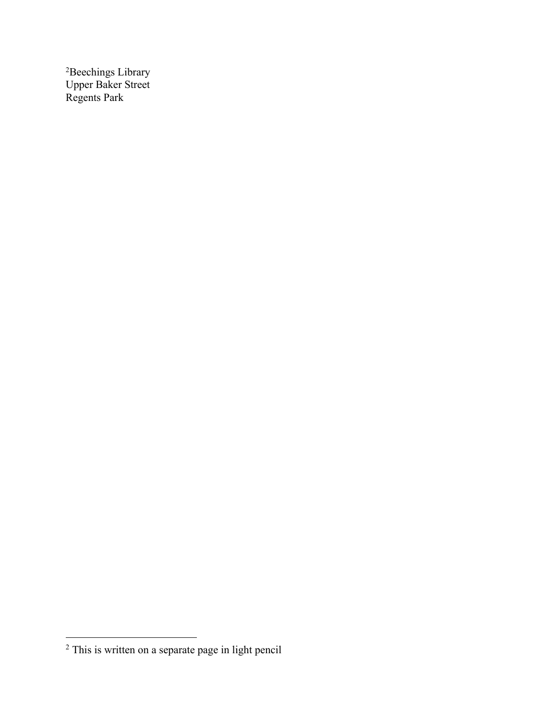<sup>2</sup>Beechings Library Upper Baker Street Regents Park

<sup>2</sup> This is written on a separate page in light pencil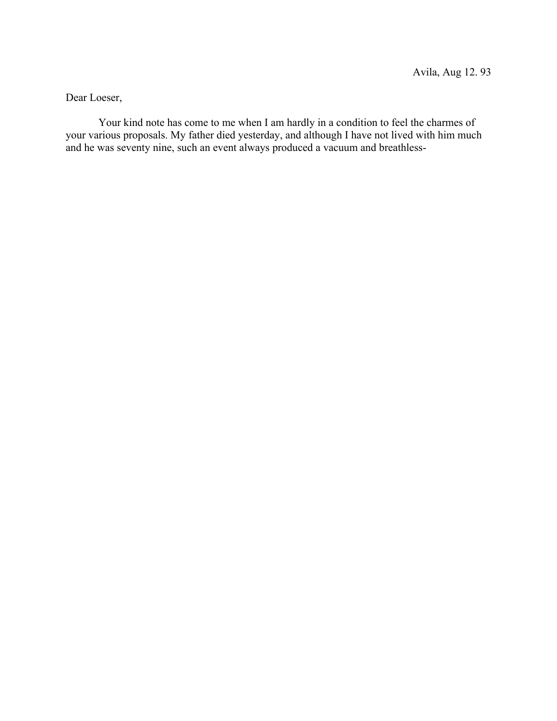Dear Loeser,

Your kind note has come to me when I am hardly in a condition to feel the charmes of your various proposals. My father died yesterday, and although I have not lived with him much and he was seventy nine, such an event always produced a vacuum and breathless-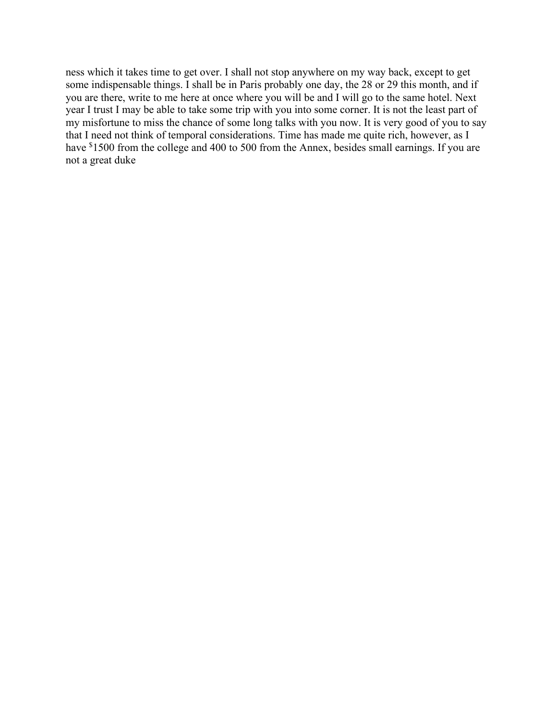ness which it takes time to get over. I shall not stop anywhere on my way back, except to get some indispensable things. I shall be in Paris probably one day, the 28 or 29 this month, and if you are there, write to me here at once where you will be and I will go to the same hotel. Next year I trust I may be able to take some trip with you into some corner. It is not the least part of my misfortune to miss the chance of some long talks with you now. It is very good of you to say that I need not think of temporal considerations. Time has made me quite rich, however, as I have <sup>\$</sup>1500 from the college and 400 to 500 from the Annex, besides small earnings. If you are not a great duke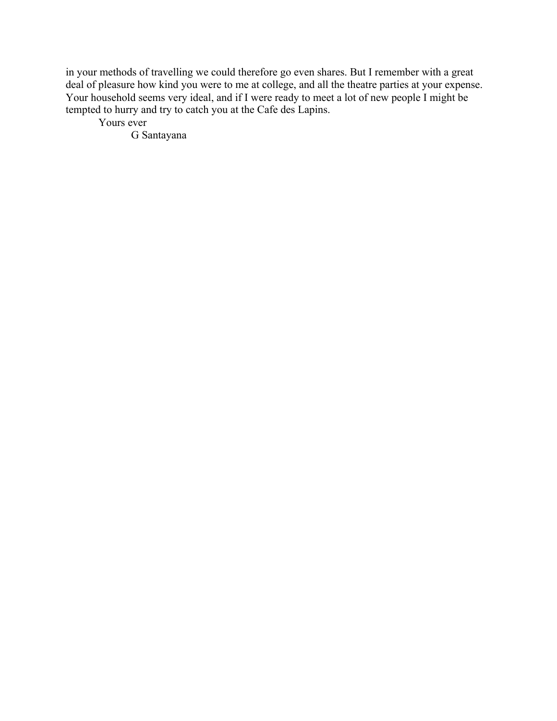in your methods of travelling we could therefore go even shares. But I remember with a great deal of pleasure how kind you were to me at college, and all the theatre parties at your expense. Your household seems very ideal, and if I were ready to meet a lot of new people I might be tempted to hurry and try to catch you at the Cafe des Lapins.

Yours ever

G Santayana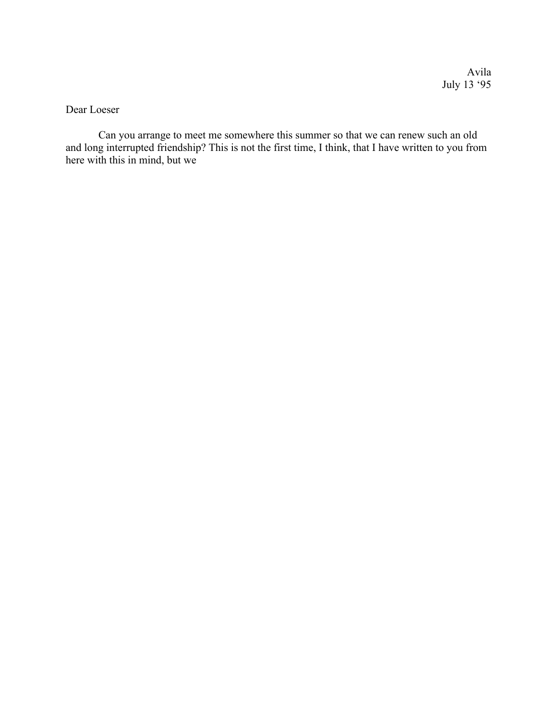Dear Loeser

Can you arrange to meet me somewhere this summer so that we can renew such an old and long interrupted friendship? This is not the first time, I think, that I have written to you from here with this in mind, but we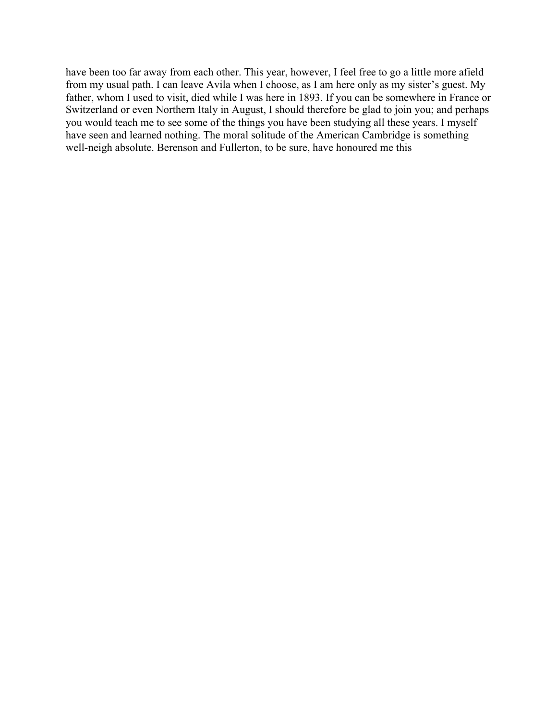have been too far away from each other. This year, however, I feel free to go a little more afield from my usual path. I can leave Avila when I choose, as I am here only as my sister's guest. My father, whom I used to visit, died while I was here in 1893. If you can be somewhere in France or Switzerland or even Northern Italy in August, I should therefore be glad to join you; and perhaps you would teach me to see some of the things you have been studying all these years. I myself have seen and learned nothing. The moral solitude of the American Cambridge is something well-neigh absolute. Berenson and Fullerton, to be sure, have honoured me this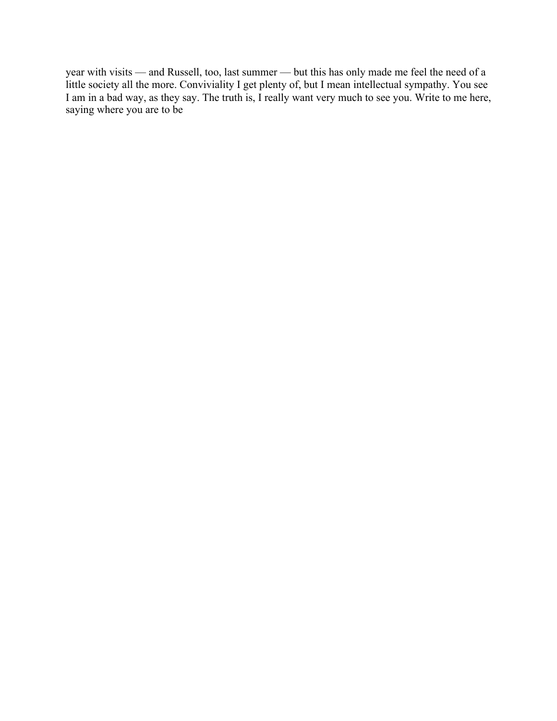year with visits — and Russell, too, last summer — but this has only made me feel the need of a little society all the more. Conviviality I get plenty of, but I mean intellectual sympathy. You see I am in a bad way, as they say. The truth is, I really want very much to see you. Write to me here, saying where you are to be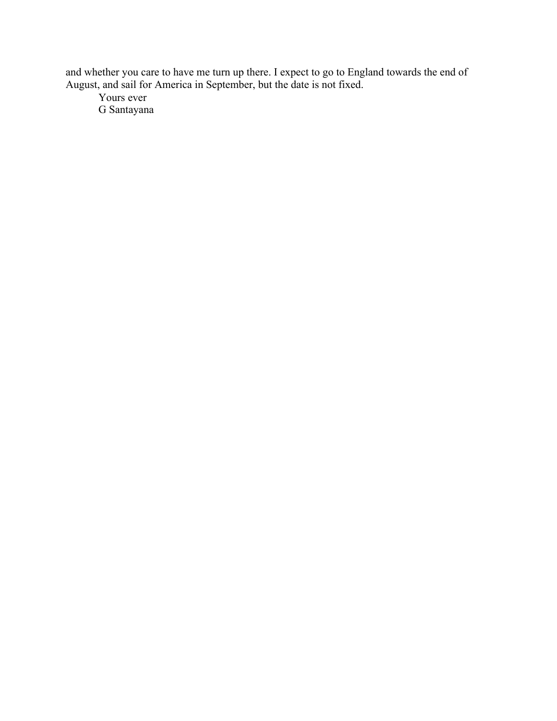and whether you care to have me turn up there. I expect to go to England towards the end of August, and sail for America in September, but the date is not fixed.

Yours ever G Santayana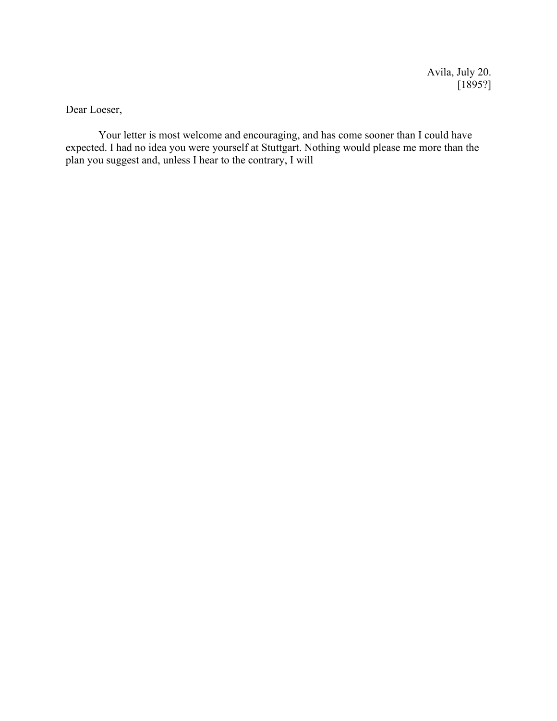Avila, July 20.  $[1895?]$ 

Dear Loeser,

Your letter is most welcome and encouraging, and has come sooner than I could have expected. I had no idea you were yourself at Stuttgart. Nothing would please me more than the plan you suggest and, unless I hear to the contrary, I will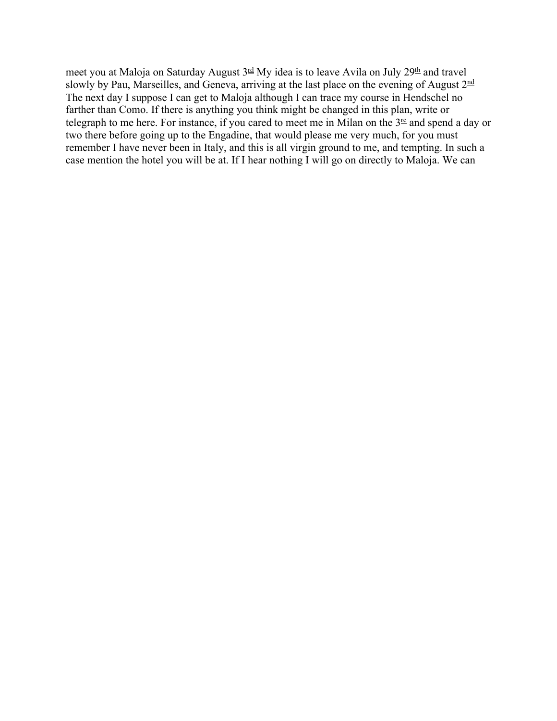meet you at Maloja on Saturday August  $3<sup>rd</sup>$  My idea is to leave Avila on July  $29<sup>th</sup>$  and travel slowly by Pau, Marseilles, and Geneva, arriving at the last place on the evening of August 2<sup>nd</sup> The next day I suppose I can get to Maloja although I can trace my course in Hendschel no farther than Como. If there is anything you think might be changed in this plan, write or telegraph to me here. For instance, if you cared to meet me in Milan on the  $3<sup>ee</sup>$  and spend a day or two there before going up to the Engadine, that would please me very much, for you must remember I have never been in Italy, and this is all virgin ground to me, and tempting. In such a case mention the hotel you will be at. If I hear nothing I will go on directly to Maloja. We can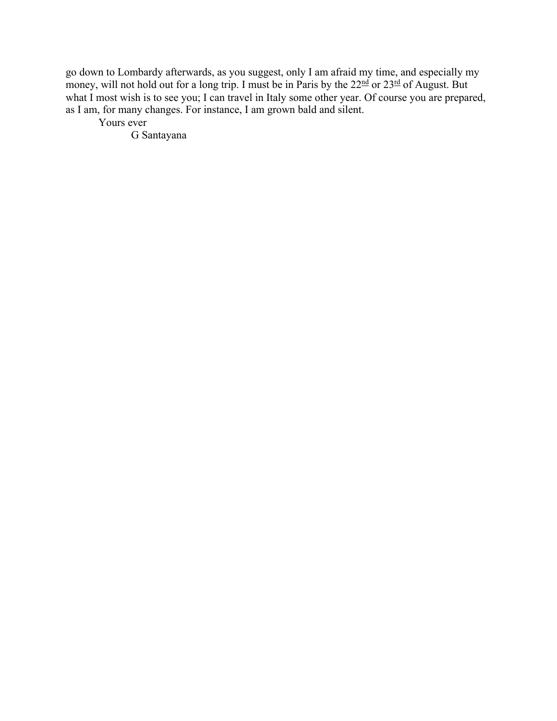go down to Lombardy afterwards, as you suggest, only I am afraid my time, and especially my money, will not hold out for a long trip. I must be in Paris by the  $22<sup>nd</sup>$  or  $23<sup>rd</sup>$  of August. But what I most wish is to see you; I can travel in Italy some other year. Of course you are prepared, as I am, for many changes. For instance, I am grown bald and silent.

Yours ever

G Santayana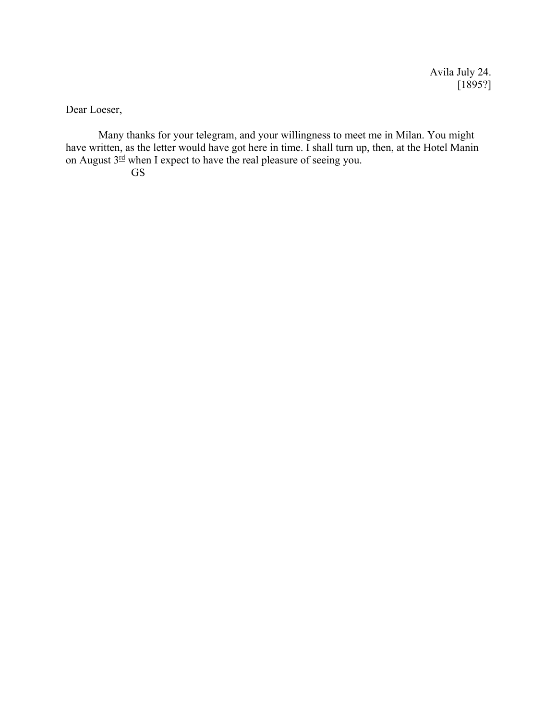Avila July 24. [1895?]

Dear Loeser,

Many thanks for your telegram, and your willingness to meet me in Milan. You might have written, as the letter would have got here in time. I shall turn up, then, at the Hotel Manin on August  $3^{\frac{rd}{rd}}$  when I expect to have the real pleasure of seeing you. GS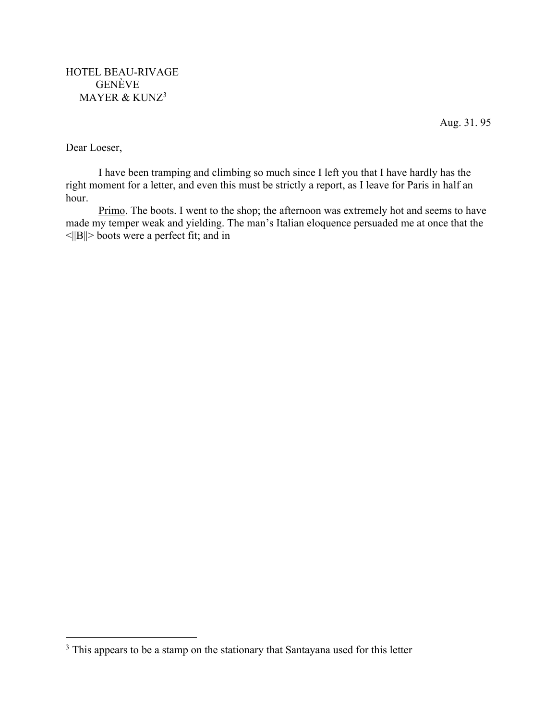Aug. 31. 95

Dear Loeser,

I have been tramping and climbing so much since I left you that I have hardly has the right moment for a letter, and even this must be strictly a report, as I leave for Paris in half an hour.

Primo. The boots. I went to the shop; the afternoon was extremely hot and seems to have made my temper weak and yielding. The man's Italian eloquence persuaded me at once that the  $\leq$ ||B||> boots were a perfect fit; and in

<sup>&</sup>lt;sup>3</sup> This appears to be a stamp on the stationary that Santayana used for this letter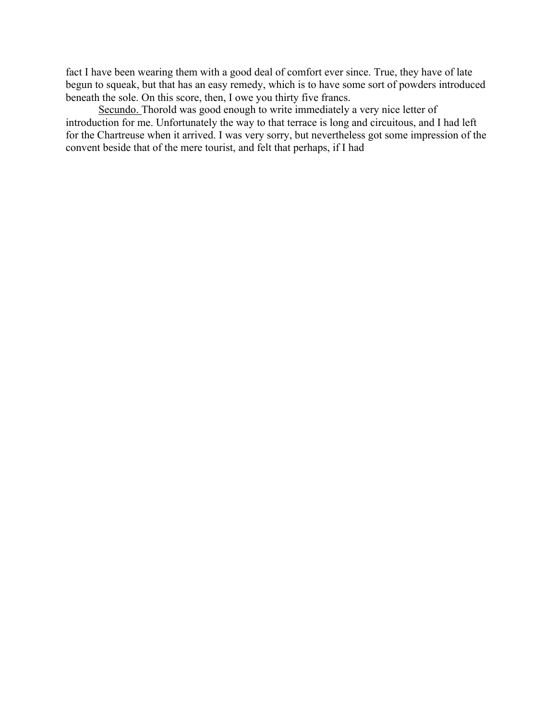fact I have been wearing them with a good deal of comfort ever since. True, they have of late begun to squeak, but that has an easy remedy, which is to have some sort of powders introduced beneath the sole. On this score, then, I owe you thirty five francs.

Secundo. Thorold was good enough to write immediately a very nice letter of introduction for me. Unfortunately the way to that terrace is long and circuitous, and I had left for the Chartreuse when it arrived. I was very sorry, but nevertheless got some impression of the convent beside that of the mere tourist, and felt that perhaps, if I had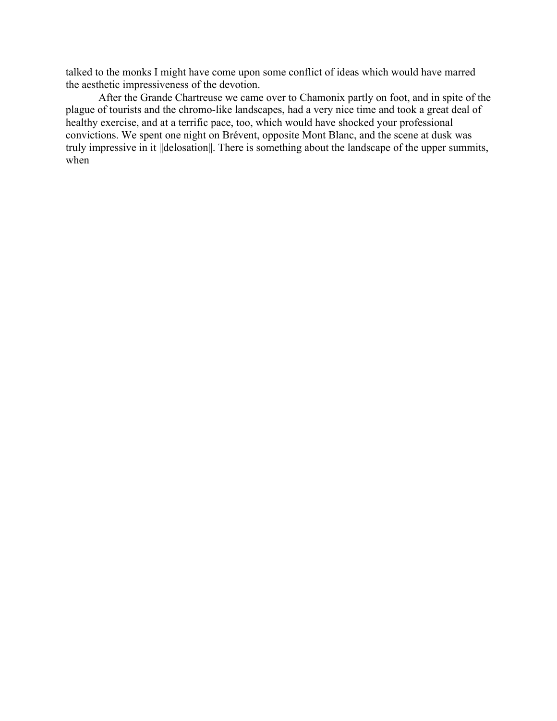talked to the monks I might have come upon some conflict of ideas which would have marred the aesthetic impressiveness of the devotion.

After the Grande Chartreuse we came over to Chamonix partly on foot, and in spite of the plague of tourists and the chromo-like landscapes, had a very nice time and took a great deal of healthy exercise, and at a terrific pace, too, which would have shocked your professional convictions. We spent one night on Brévent, opposite Mont Blanc, and the scene at dusk was truly impressive in it ||delosation||. There is something about the landscape of the upper summits, when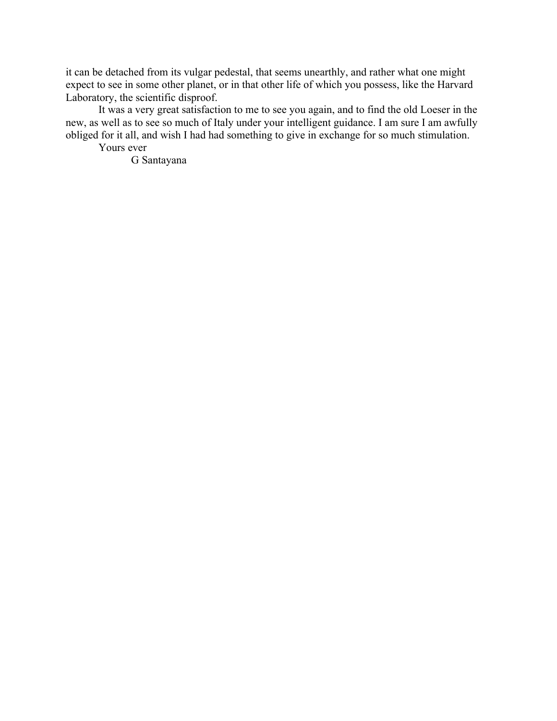it can be detached from its vulgar pedestal, that seems unearthly, and rather what one might expect to see in some other planet, or in that other life of which you possess, like the Harvard Laboratory, the scientific disproof.

It was a very great satisfaction to me to see you again, and to find the old Loeser in the new, as well as to see so much of Italy under your intelligent guidance. I am sure I am awfully obliged for it all, and wish I had had something to give in exchange for so much stimulation.

Yours ever

G Santayana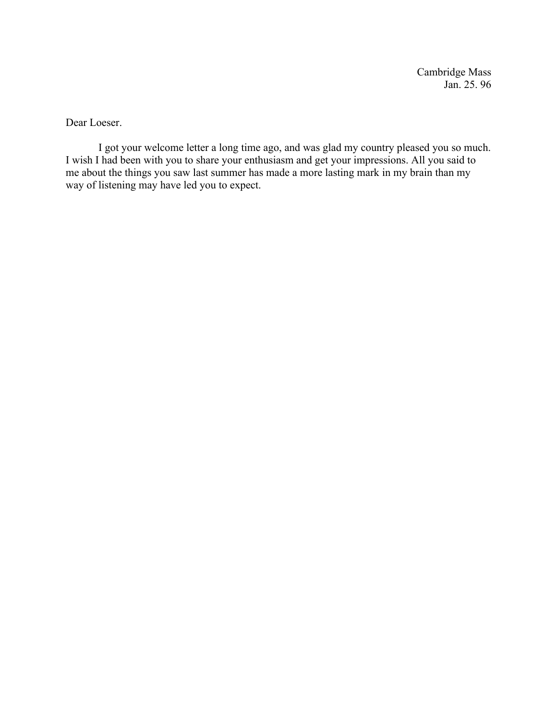Cambridge Mass Jan. 25. 96

Dear Loeser.

I got your welcome letter a long time ago, and was glad my country pleased you so much. I wish I had been with you to share your enthusiasm and get your impressions. All you said to me about the things you saw last summer has made a more lasting mark in my brain than my way of listening may have led you to expect.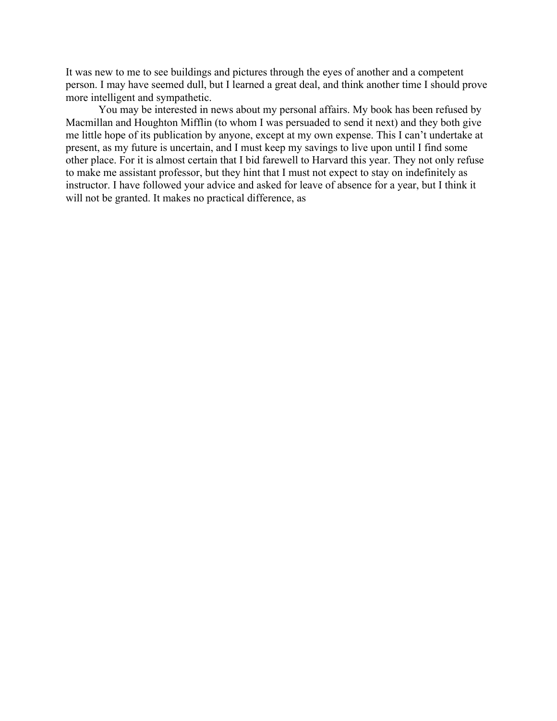It was new to me to see buildings and pictures through the eyes of another and a competent person. I may have seemed dull, but I learned a great deal, and think another time I should prove more intelligent and sympathetic.

You may be interested in news about my personal affairs. My book has been refused by Macmillan and Houghton Mifflin (to whom I was persuaded to send it next) and they both give me little hope of its publication by anyone, except at my own expense. This I can't undertake at present, as my future is uncertain, and I must keep my savings to live upon until I find some other place. For it is almost certain that I bid farewell to Harvard this year. They not only refuse to make me assistant professor, but they hint that I must not expect to stay on indefinitely as instructor. I have followed your advice and asked for leave of absence for a year, but I think it will not be granted. It makes no practical difference, as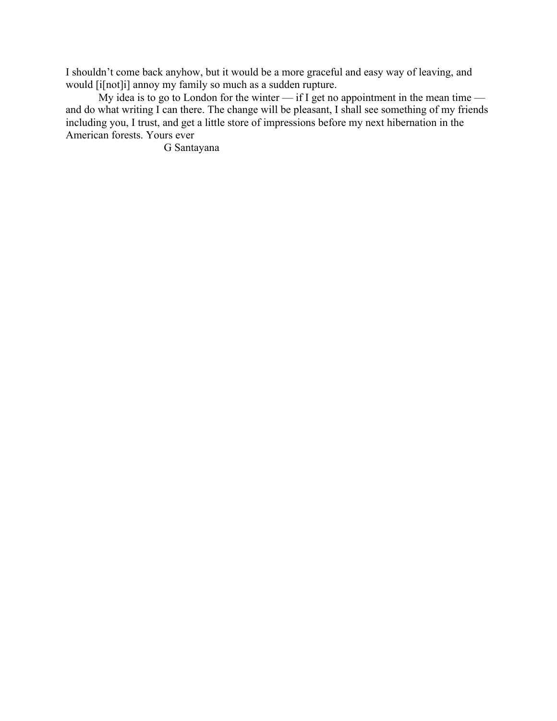I shouldn't come back anyhow, but it would be a more graceful and easy way of leaving, and would [i[not]i] annoy my family so much as a sudden rupture.

My idea is to go to London for the winter — if I get no appointment in the mean time and do what writing I can there. The change will be pleasant, I shall see something of my friends including you, I trust, and get a little store of impressions before my next hibernation in the American forests. Yours ever

G Santayana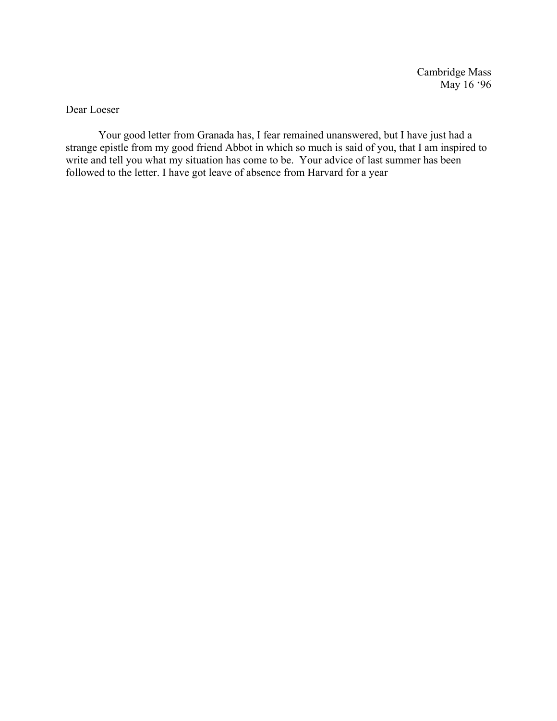Cambridge Mass May 16 '96

Dear Loeser

Your good letter from Granada has, I fear remained unanswered, but I have just had a strange epistle from my good friend Abbot in which so much is said of you, that I am inspired to write and tell you what my situation has come to be. Your advice of last summer has been followed to the letter. I have got leave of absence from Harvard for a year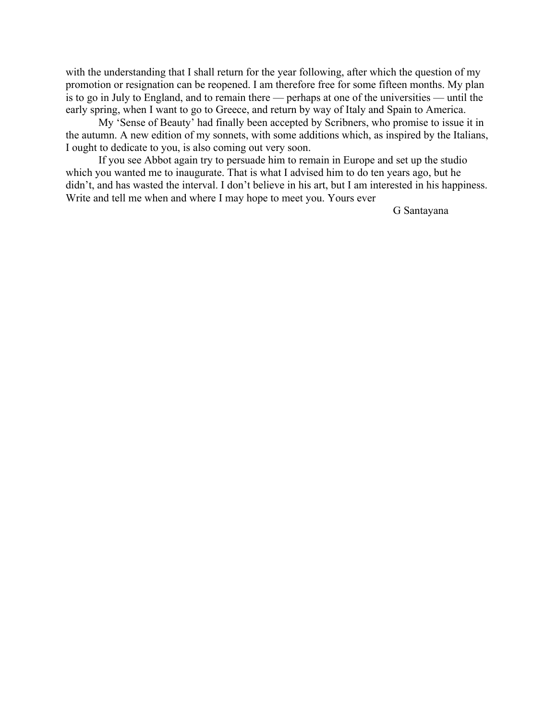with the understanding that I shall return for the year following, after which the question of my promotion or resignation can be reopened. I am therefore free for some fifteen months. My plan is to go in July to England, and to remain there — perhaps at one of the universities — until the early spring, when I want to go to Greece, and return by way of Italy and Spain to America.

My 'Sense of Beauty' had finally been accepted by Scribners, who promise to issue it in the autumn. A new edition of my sonnets, with some additions which, as inspired by the Italians, I ought to dedicate to you, is also coming out very soon.

If you see Abbot again try to persuade him to remain in Europe and set up the studio which you wanted me to inaugurate. That is what I advised him to do ten years ago, but he didn't, and has wasted the interval. I don't believe in his art, but I am interested in his happiness. Write and tell me when and where I may hope to meet you. Yours ever

G Santayana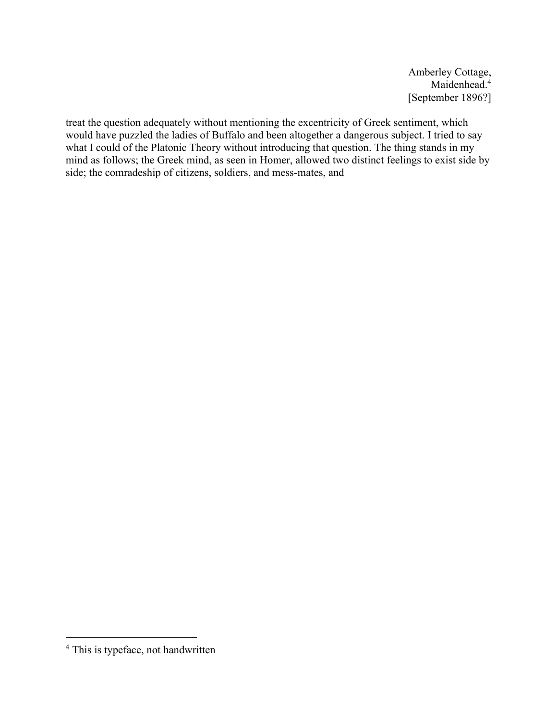Amberley Cottage, Maidenhead.<sup>4</sup> [September 1896?]

treat the question adequately without mentioning the excentricity of Greek sentiment, which would have puzzled the ladies of Buffalo and been altogether a dangerous subject. I tried to say what I could of the Platonic Theory without introducing that question. The thing stands in my mind as follows; the Greek mind, as seen in Homer, allowed two distinct feelings to exist side by side; the comradeship of citizens, soldiers, and mess-mates, and

<sup>4</sup> This is typeface, not handwritten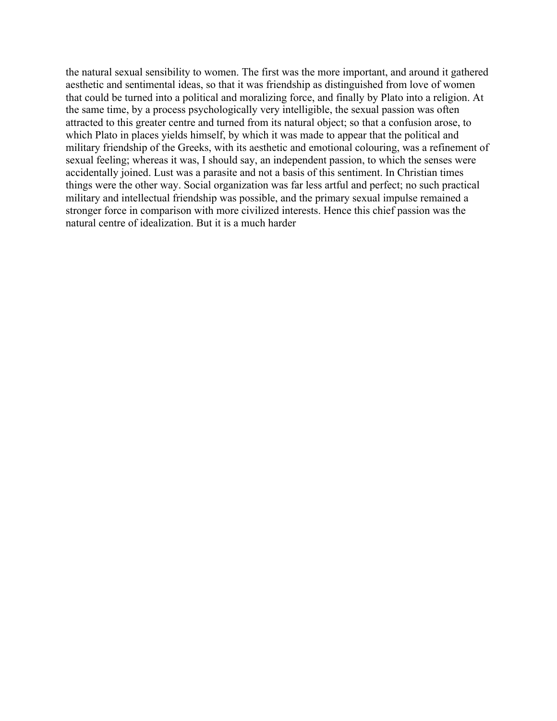the natural sexual sensibility to women. The first was the more important, and around it gathered aesthetic and sentimental ideas, so that it was friendship as distinguished from love of women that could be turned into a political and moralizing force, and finally by Plato into a religion. At the same time, by a process psychologically very intelligible, the sexual passion was often attracted to this greater centre and turned from its natural object; so that a confusion arose, to which Plato in places yields himself, by which it was made to appear that the political and military friendship of the Greeks, with its aesthetic and emotional colouring, was a refinement of sexual feeling; whereas it was, I should say, an independent passion, to which the senses were accidentally joined. Lust was a parasite and not a basis of this sentiment. In Christian times things were the other way. Social organization was far less artful and perfect; no such practical military and intellectual friendship was possible, and the primary sexual impulse remained a stronger force in comparison with more civilized interests. Hence this chief passion was the natural centre of idealization. But it is a much harder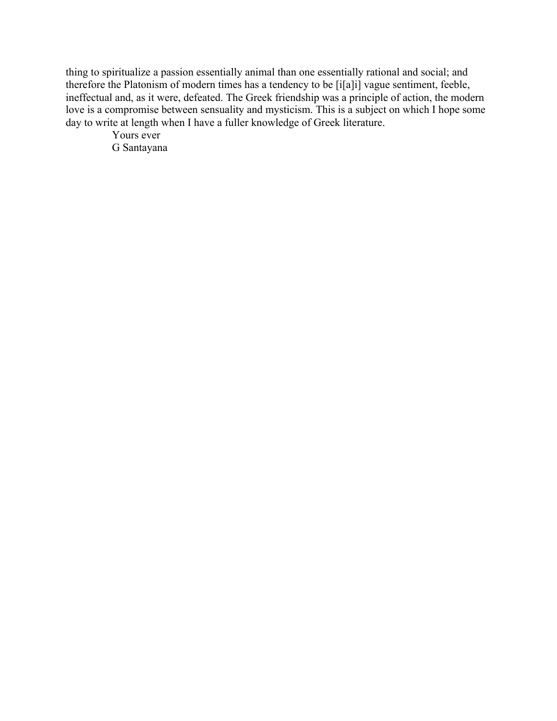thing to spiritualize a passion essentially animal than one essentially rational and social; and therefore the Platonism of modern times has a tendency to be [i[a]i] vague sentiment, feeble, ineffectual and, as it were, defeated. The Greek friendship was a principle of action, the modern love is a compromise between sensuality and mysticism. This is a subject on which I hope some day to write at length when I have a fuller knowledge of Greek literature.

Yours ever G Santayana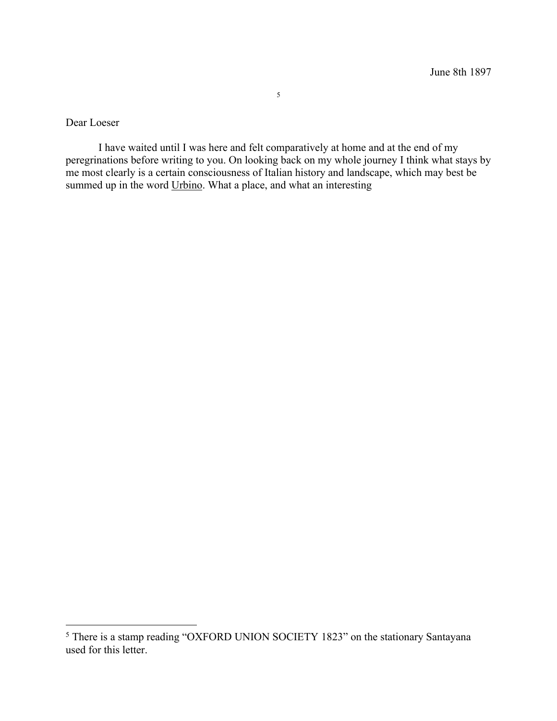Dear Loeser

I have waited until I was here and felt comparatively at home and at the end of my peregrinations before writing to you. On looking back on my whole journey I think what stays by me most clearly is a certain consciousness of Italian history and landscape, which may best be summed up in the word Urbino. What a place, and what an interesting

<sup>5</sup> There is a stamp reading "OXFORD UNION SOCIETY 1823" on the stationary Santayana used for this letter.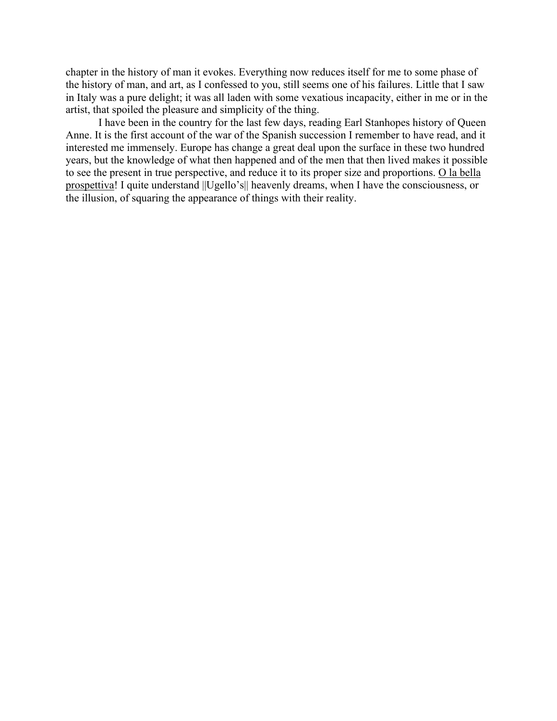chapter in the history of man it evokes. Everything now reduces itself for me to some phase of the history of man, and art, as I confessed to you, still seems one of his failures. Little that I saw in Italy was a pure delight; it was all laden with some vexatious incapacity, either in me or in the artist, that spoiled the pleasure and simplicity of the thing.

I have been in the country for the last few days, reading Earl Stanhopes history of Queen Anne. It is the first account of the war of the Spanish succession I remember to have read, and it interested me immensely. Europe has change a great deal upon the surface in these two hundred years, but the knowledge of what then happened and of the men that then lived makes it possible to see the present in true perspective, and reduce it to its proper size and proportions. O la bella prospettiva! I quite understand ||Ugello's|| heavenly dreams, when I have the consciousness, or the illusion, of squaring the appearance of things with their reality.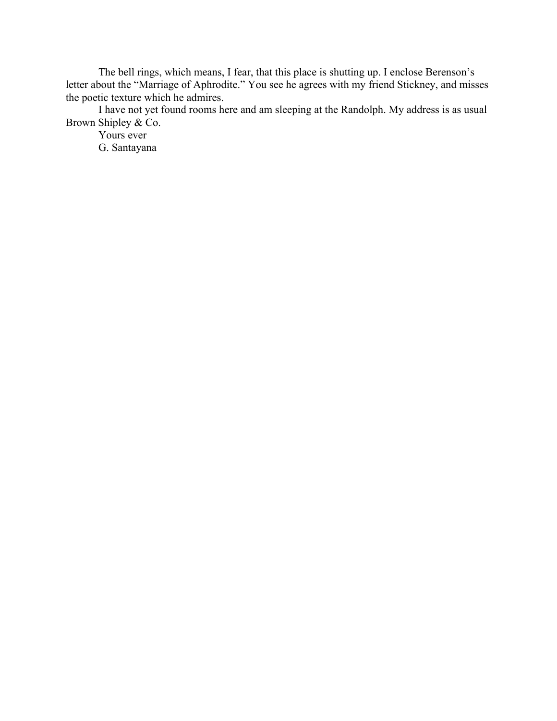The bell rings, which means, I fear, that this place is shutting up. I enclose Berenson's letter about the "Marriage of Aphrodite." You see he agrees with my friend Stickney, and misses the poetic texture which he admires.

I have not yet found rooms here and am sleeping at the Randolph. My address is as usual Brown Shipley & Co.

Yours ever G. Santayana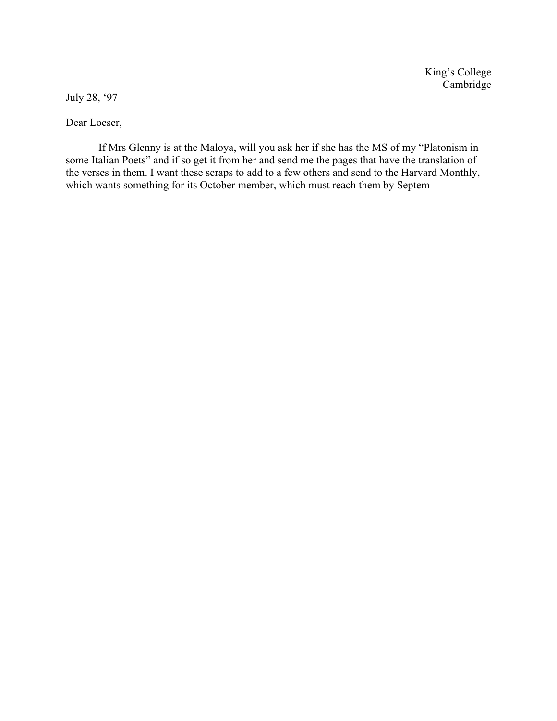King's College Cambridge

July 28, '97

Dear Loeser,

If Mrs Glenny is at the Maloya, will you ask her if she has the MS of my "Platonism in some Italian Poets" and if so get it from her and send me the pages that have the translation of the verses in them. I want these scraps to add to a few others and send to the Harvard Monthly, which wants something for its October member, which must reach them by Septem-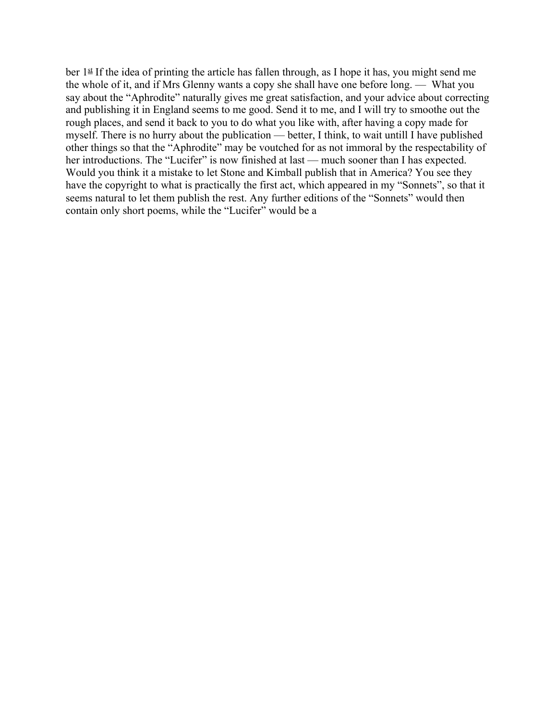ber  $1^{\underline{\text{st}}}$  If the idea of printing the article has fallen through, as I hope it has, you might send me the whole of it, and if Mrs Glenny wants a copy she shall have one before long. — What you say about the "Aphrodite" naturally gives me great satisfaction, and your advice about correcting and publishing it in England seems to me good. Send it to me, and I will try to smoothe out the rough places, and send it back to you to do what you like with, after having a copy made for myself. There is no hurry about the publication — better, I think, to wait untill I have published other things so that the "Aphrodite" may be voutched for as not immoral by the respectability of her introductions. The "Lucifer" is now finished at last — much sooner than I has expected. Would you think it a mistake to let Stone and Kimball publish that in America? You see they have the copyright to what is practically the first act, which appeared in my "Sonnets", so that it seems natural to let them publish the rest. Any further editions of the "Sonnets" would then contain only short poems, while the "Lucifer" would be a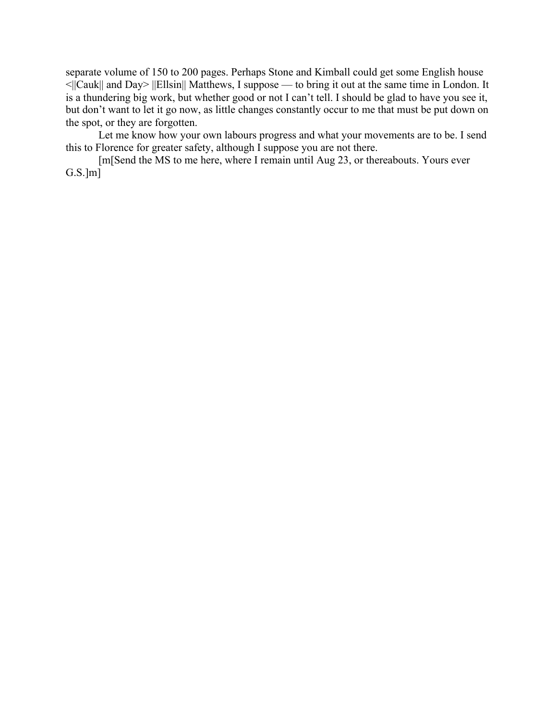separate volume of 150 to 200 pages. Perhaps Stone and Kimball could get some English house <||Cauk|| and Day> ||Ellsin|| Matthews, I suppose — to bring it out at the same time in London. It is a thundering big work, but whether good or not I can't tell. I should be glad to have you see it, but don't want to let it go now, as little changes constantly occur to me that must be put down on the spot, or they are forgotten.

Let me know how your own labours progress and what your movements are to be. I send this to Florence for greater safety, although I suppose you are not there.

[m[Send the MS to me here, where I remain until Aug 23, or thereabouts. Yours ever  $G.S.]m]$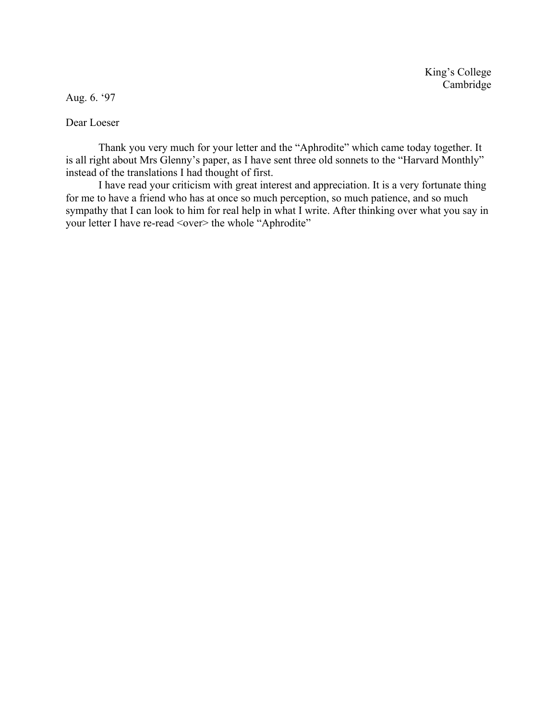Aug. 6. '97

Dear Loeser

Thank you very much for your letter and the "Aphrodite" which came today together. It is all right about Mrs Glenny's paper, as I have sent three old sonnets to the "Harvard Monthly" instead of the translations I had thought of first.

I have read your criticism with great interest and appreciation. It is a very fortunate thing for me to have a friend who has at once so much perception, so much patience, and so much sympathy that I can look to him for real help in what I write. After thinking over what you say in your letter I have re-read <over> the whole "Aphrodite"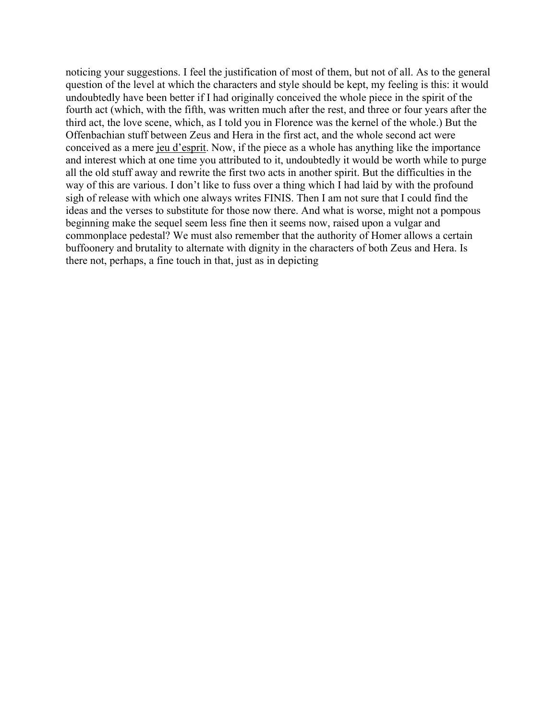noticing your suggestions. I feel the justification of most of them, but not of all. As to the general question of the level at which the characters and style should be kept, my feeling is this: it would undoubtedly have been better if I had originally conceived the whole piece in the spirit of the fourth act (which, with the fifth, was written much after the rest, and three or four years after the third act, the love scene, which, as I told you in Florence was the kernel of the whole.) But the Offenbachian stuff between Zeus and Hera in the first act, and the whole second act were conceived as a mere jeu d'esprit. Now, if the piece as a whole has anything like the importance and interest which at one time you attributed to it, undoubtedly it would be worth while to purge all the old stuff away and rewrite the first two acts in another spirit. But the difficulties in the way of this are various. I don't like to fuss over a thing which I had laid by with the profound sigh of release with which one always writes FINIS. Then I am not sure that I could find the ideas and the verses to substitute for those now there. And what is worse, might not a pompous beginning make the sequel seem less fine then it seems now, raised upon a vulgar and commonplace pedestal? We must also remember that the authority of Homer allows a certain buffoonery and brutality to alternate with dignity in the characters of both Zeus and Hera. Is there not, perhaps, a fine touch in that, just as in depicting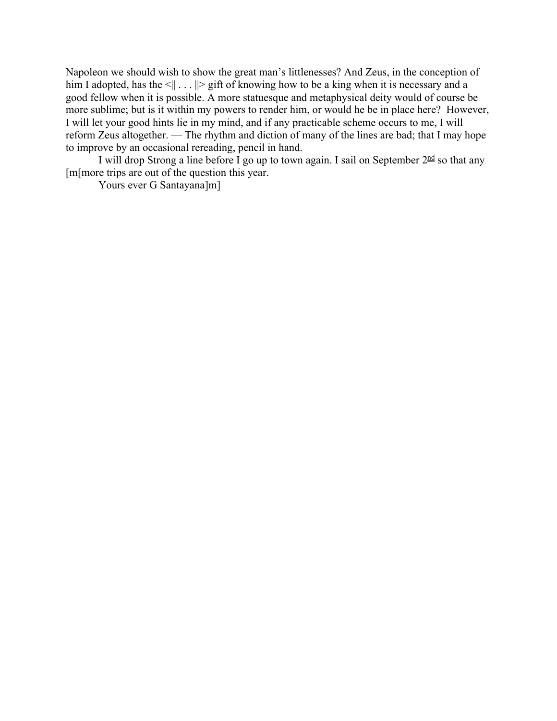Napoleon we should wish to show the great man's littlenesses? And Zeus, in the conception of him I adopted, has the  $\leq || \dots ||$  gift of knowing how to be a king when it is necessary and a good fellow when it is possible. A more statuesque and metaphysical deity would of course be more sublime; but is it within my powers to render him, or would he be in place here? However, I will let your good hints lie in my mind, and if any practicable scheme occurs to me, I will reform Zeus altogether. — The rhythm and diction of many of the lines are bad; that I may hope to improve by an occasional rereading, pencil in hand.

I will drop Strong a line before I go up to town again. I sail on September  $2^{\text{nd}}$  so that any [m[more trips are out of the question this year.

Yours ever G Santayana]m]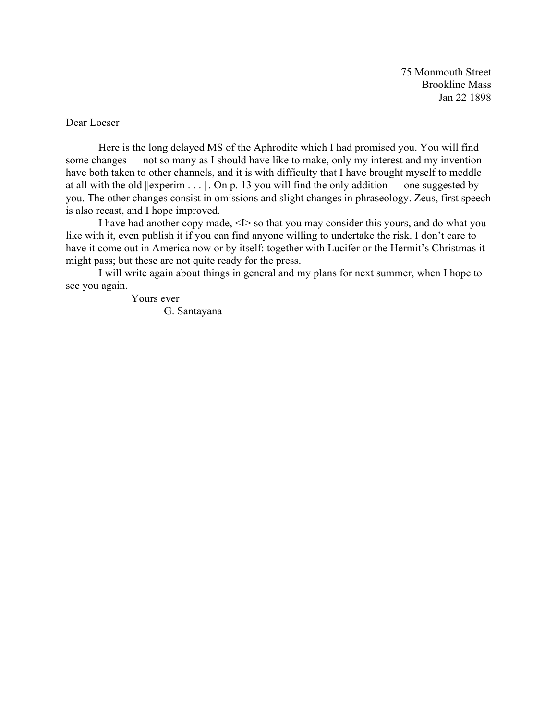75 Monmouth Street Brookline Mass Jan 22 1898

Dear Loeser

Here is the long delayed MS of the Aphrodite which I had promised you. You will find some changes — not so many as I should have like to make, only my interest and my invention have both taken to other channels, and it is with difficulty that I have brought myself to meddle at all with the old  $||$ experim  $\dots||$ . On p. 13 you will find the only addition — one suggested by you. The other changes consist in omissions and slight changes in phraseology. Zeus, first speech is also recast, and I hope improved.

I have had another copy made, <I> so that you may consider this yours, and do what you like with it, even publish it if you can find anyone willing to undertake the risk. I don't care to have it come out in America now or by itself: together with Lucifer or the Hermit's Christmas it might pass; but these are not quite ready for the press.

I will write again about things in general and my plans for next summer, when I hope to see you again.

> Yours ever G. Santayana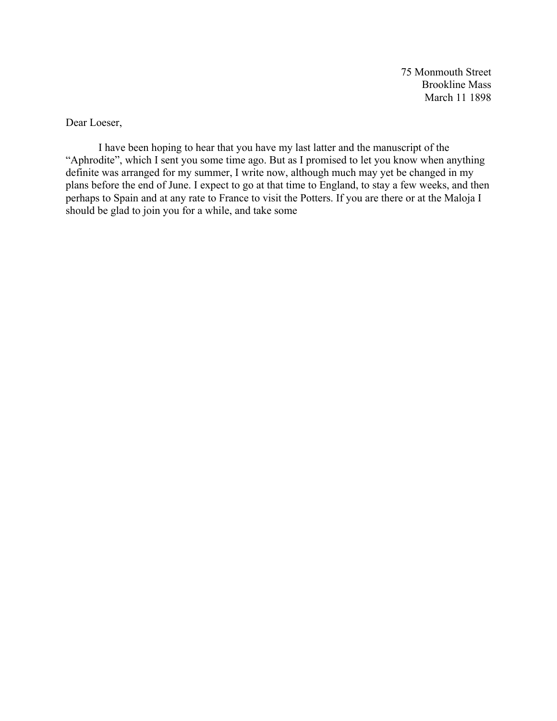75 Monmouth Street Brookline Mass March 11 1898

Dear Loeser,

I have been hoping to hear that you have my last latter and the manuscript of the "Aphrodite", which I sent you some time ago. But as I promised to let you know when anything definite was arranged for my summer, I write now, although much may yet be changed in my plans before the end of June. I expect to go at that time to England, to stay a few weeks, and then perhaps to Spain and at any rate to France to visit the Potters. If you are there or at the Maloja I should be glad to join you for a while, and take some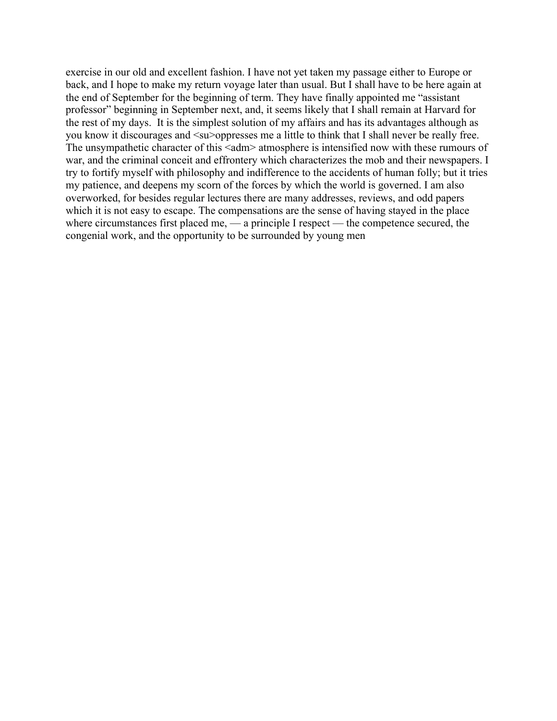exercise in our old and excellent fashion. I have not yet taken my passage either to Europe or back, and I hope to make my return voyage later than usual. But I shall have to be here again at the end of September for the beginning of term. They have finally appointed me "assistant professor" beginning in September next, and, it seems likely that I shall remain at Harvard for the rest of my days. It is the simplest solution of my affairs and has its advantages although as you know it discourages and <su>oppresses me a little to think that I shall never be really free. The unsympathetic character of this <adm> atmosphere is intensified now with these rumours of war, and the criminal conceit and effrontery which characterizes the mob and their newspapers. I try to fortify myself with philosophy and indifference to the accidents of human folly; but it tries my patience, and deepens my scorn of the forces by which the world is governed. I am also overworked, for besides regular lectures there are many addresses, reviews, and odd papers which it is not easy to escape. The compensations are the sense of having stayed in the place where circumstances first placed me, — a principle I respect — the competence secured, the congenial work, and the opportunity to be surrounded by young men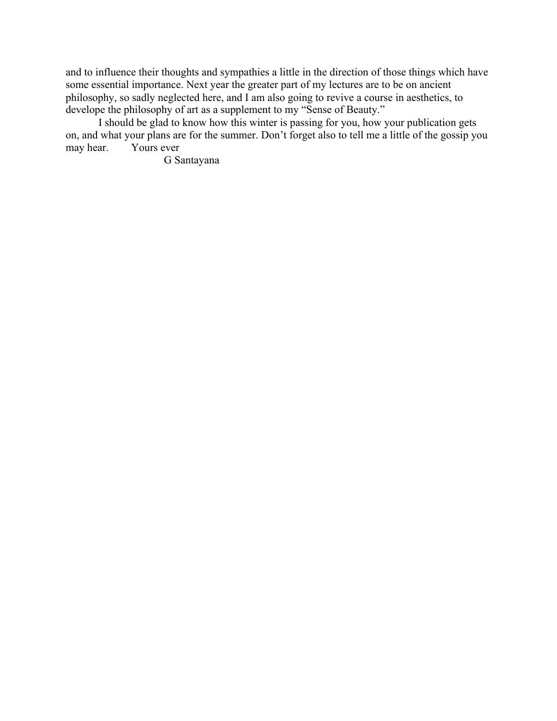and to influence their thoughts and sympathies a little in the direction of those things which have some essential importance. Next year the greater part of my lectures are to be on ancient philosophy, so sadly neglected here, and I am also going to revive a course in aesthetics, to develope the philosophy of art as a supplement to my "Sense of Beauty."

I should be glad to know how this winter is passing for you, how your publication gets on, and what your plans are for the summer. Don't forget also to tell me a little of the gossip you Yours ever.

G Santayana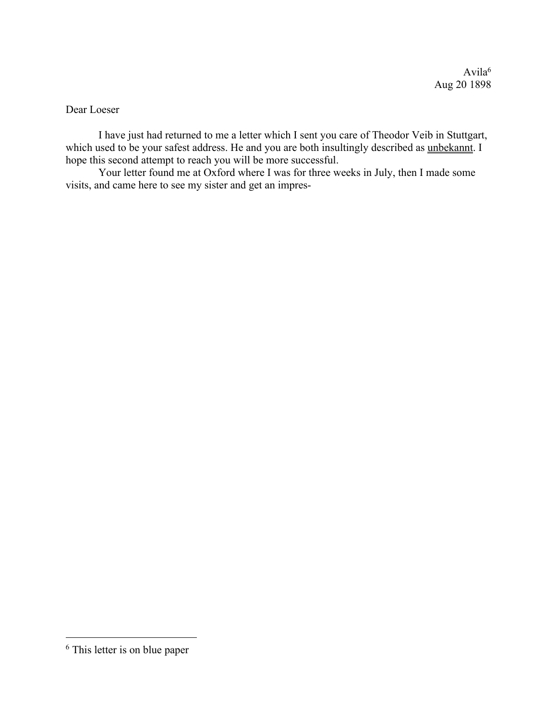Dear Loeser

I have just had returned to me a letter which I sent you care of Theodor Veib in Stuttgart, which used to be your safest address. He and you are both insultingly described as unbekannt. I hope this second attempt to reach you will be more successful.

Your letter found me at Oxford where I was for three weeks in July, then I made some visits, and came here to see my sister and get an impres-

<sup>6</sup> This letter is on blue paper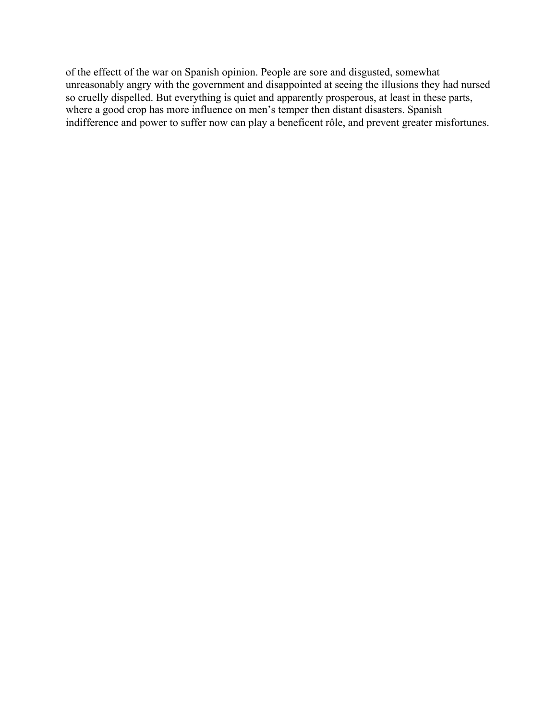of the effectt of the war on Spanish opinion. People are sore and disgusted, somewhat unreasonably angry with the government and disappointed at seeing the illusions they had nursed so cruelly dispelled. But everything is quiet and apparently prosperous, at least in these parts, where a good crop has more influence on men's temper then distant disasters. Spanish indifference and power to suffer now can play a beneficent rôle, and prevent greater misfortunes.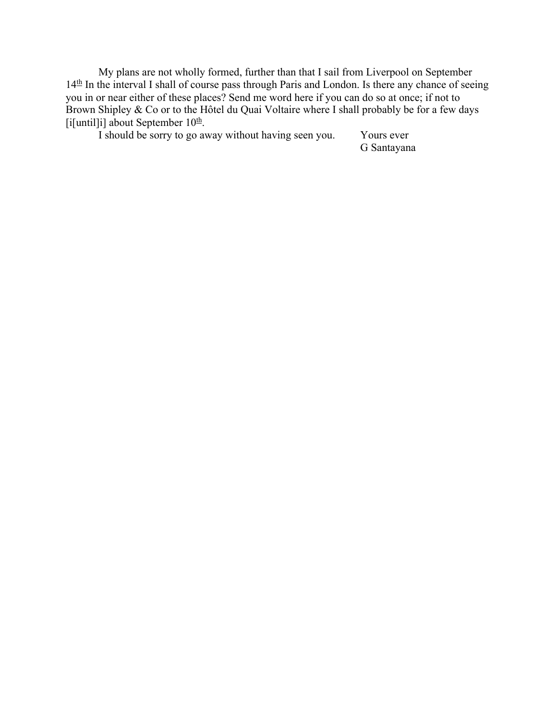My plans are not wholly formed, further than that I sail from Liverpool on September 14<sup>th</sup> In the interval I shall of course pass through Paris and London. Is there any chance of seeing you in or near either of these places? Send me word here if you can do so at once; if not to Brown Shipley & Co or to the Hôtel du Quai Voltaire where I shall probably be for a few days [i[until]i] about September  $10<sup>th</sup>$ .

I should be sorry to go away without having seen you. Yours ever

G Santayana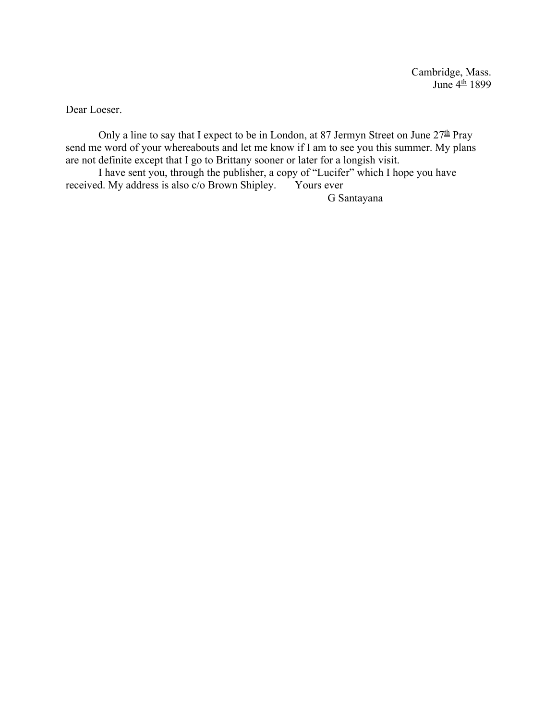Dear Loeser.

Only a line to say that I expect to be in London, at 87 Jermyn Street on June  $27^{\underline{\text{th}}}$  Pray send me word of your whereabouts and let me know if I am to see you this summer. My plans are not definite except that I go to Brittany sooner or later for a longish visit.

I have sent you, through the publisher, a copy of "Lucifer" which I hope you have received. My address is also c/o Brown Shipley. Yours ever

G Santayana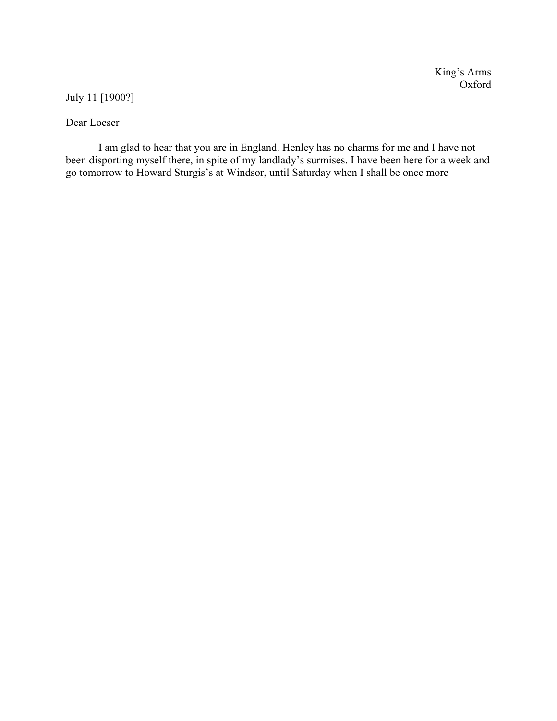## July 11 [1900?]

## Dear Loeser

I am glad to hear that you are in England. Henley has no charms for me and I have not been disporting myself there, in spite of my landlady's surmises. I have been here for a week and go tomorrow to Howard Sturgis's at Windsor, until Saturday when I shall be once more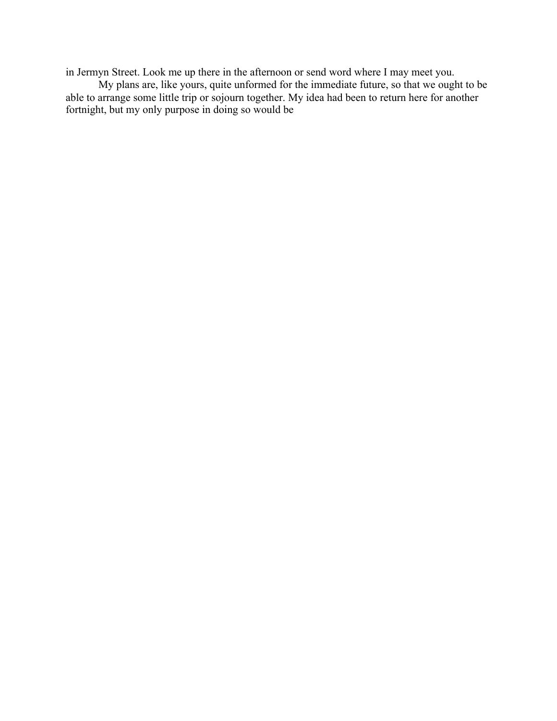in Jermyn Street. Look me up there in the afternoon or send word where I may meet you.

My plans are, like yours, quite unformed for the immediate future, so that we ought to be able to arrange some little trip or sojourn together. My idea had been to return here for another fortnight, but my only purpose in doing so would be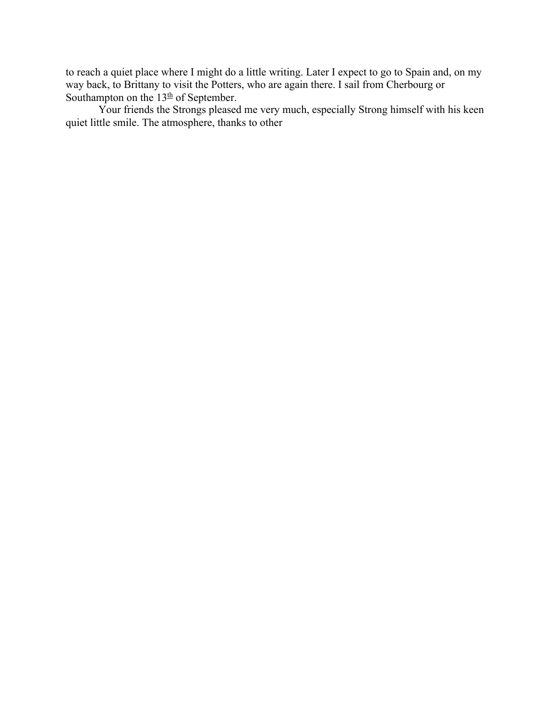to reach a quiet place where I might do a little writing. Later I expect to go to Spain and, on my way back, to Brittany to visit the Potters, who are again there. I sail from Cherbourg or Southampton on the  $13<sup>th</sup>$  of September.

Your friends the Strongs pleased me very much, especially Strong himself with his keen quiet little smile. The atmosphere, thanks to other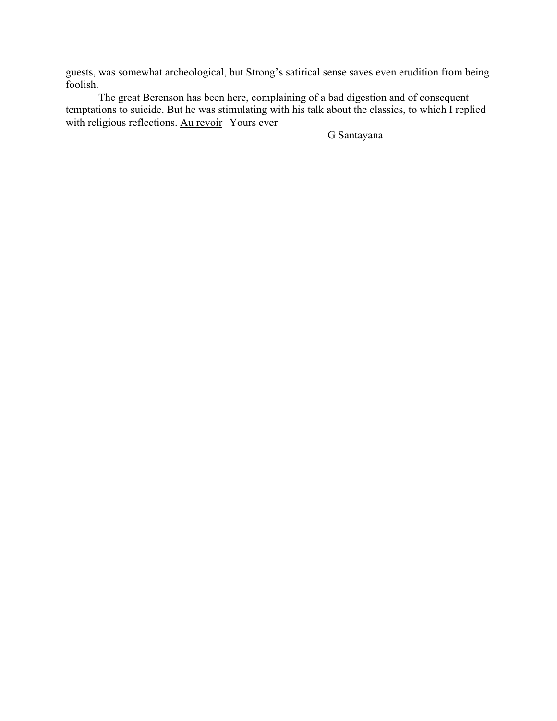guests, was somewhat archeological, but Strong's satirical sense saves even erudition from being foolish.

The great Berenson has been here, complaining of a bad digestion and of consequent temptations to suicide. But he was stimulating with his talk about the classics, to which I replied with religious reflections. Au revoir Yours ever

G Santayana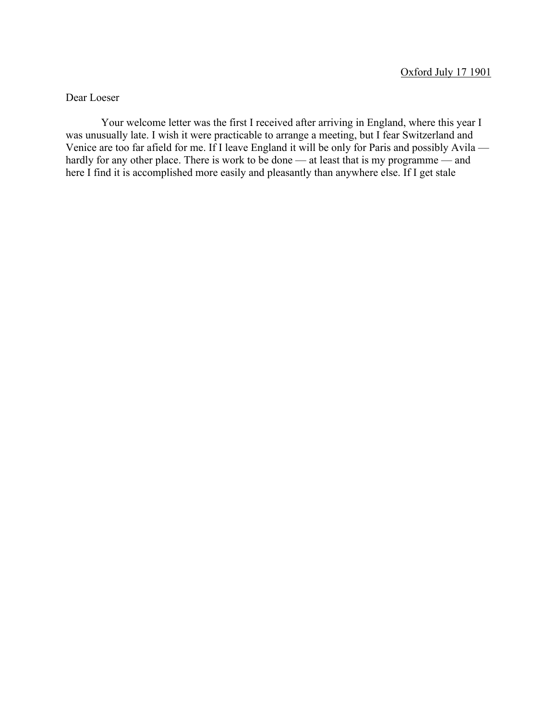Dear Loeser

Your welcome letter was the first I received after arriving in England, where this year I was unusually late. I wish it were practicable to arrange a meeting, but I fear Switzerland and Venice are too far afield for me. If I leave England it will be only for Paris and possibly Avila hardly for any other place. There is work to be done — at least that is my programme — and here I find it is accomplished more easily and pleasantly than anywhere else. If I get stale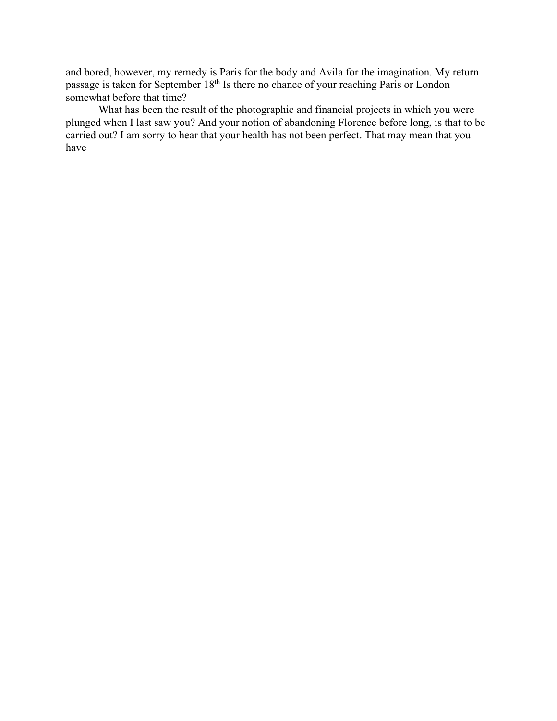and bored, however, my remedy is Paris for the body and Avila for the imagination. My return passage is taken for September  $18<sup>th</sup>$  Is there no chance of your reaching Paris or London somewhat before that time?

What has been the result of the photographic and financial projects in which you were plunged when I last saw you? And your notion of abandoning Florence before long, is that to be carried out? I am sorry to hear that your health has not been perfect. That may mean that you have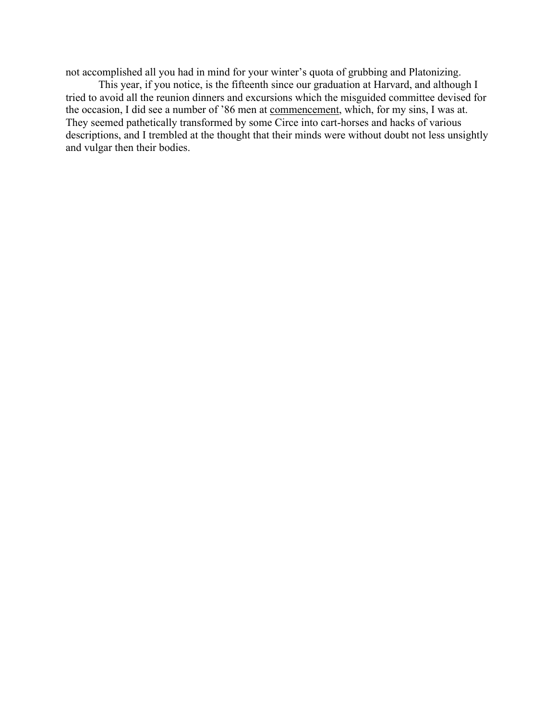not accomplished all you had in mind for your winter's quota of grubbing and Platonizing.

This year, if you notice, is the fifteenth since our graduation at Harvard, and although I tried to avoid all the reunion dinners and excursions which the misguided committee devised for the occasion, I did see a number of '86 men at commencement, which, for my sins, I was at. They seemed pathetically transformed by some Circe into cart-horses and hacks of various descriptions, and I trembled at the thought that their minds were without doubt not less unsightly and vulgar then their bodies.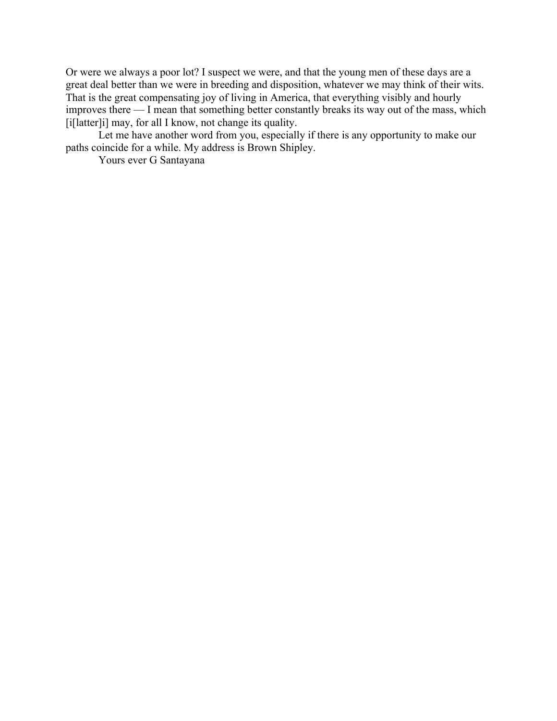Or were we always a poor lot? I suspect we were, and that the young men of these days are a great deal better than we were in breeding and disposition, whatever we may think of their wits. That is the great compensating joy of living in America, that everything visibly and hourly improves there — I mean that something better constantly breaks its way out of the mass, which [i[latter]i] may, for all I know, not change its quality.

Let me have another word from you, especially if there is any opportunity to make our paths coincide for a while. My address is Brown Shipley.

Yours ever G Santayana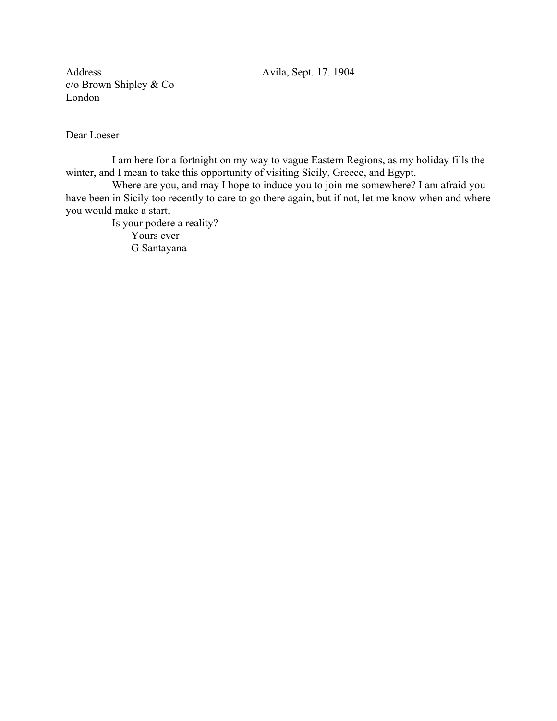Address Avila, Sept. 17. 1904 c/o Brown Shipley & Co London

Dear Loeser

I am here for a fortnight on my way to vague Eastern Regions, as my holiday fills the winter, and I mean to take this opportunity of visiting Sicily, Greece, and Egypt.

Where are you, and may I hope to induce you to join me somewhere? I am afraid you have been in Sicily too recently to care to go there again, but if not, let me know when and where you would make a start.

Is your podere a reality? Yours ever G Santayana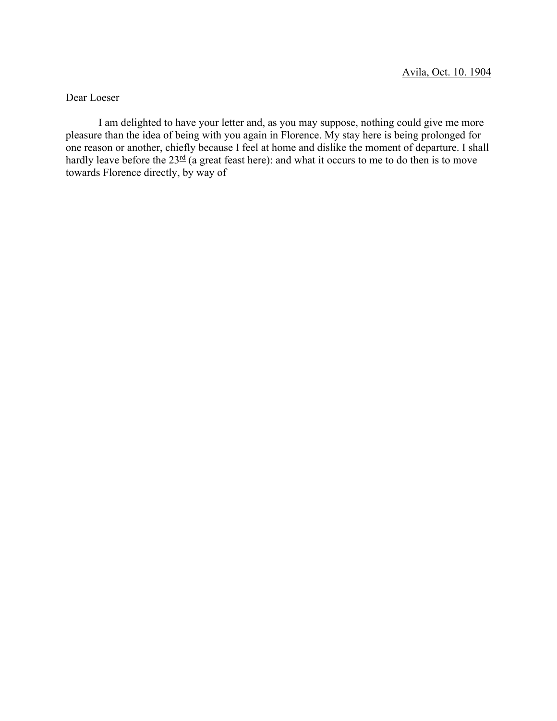Dear Loeser

I am delighted to have your letter and, as you may suppose, nothing could give me more pleasure than the idea of being with you again in Florence. My stay here is being prolonged for one reason or another, chiefly because I feel at home and dislike the moment of departure. I shall hardly leave before the  $23^{\text{rd}}$  (a great feast here): and what it occurs to me to do then is to move towards Florence directly, by way of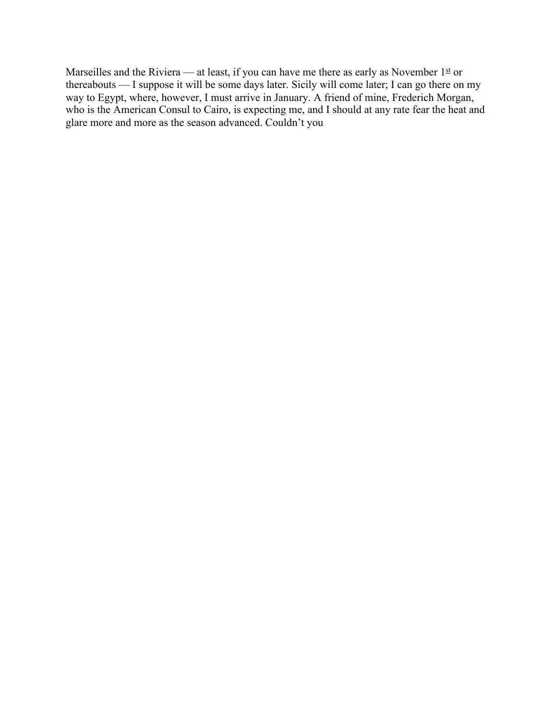Marseilles and the Riviera — at least, if you can have me there as early as November  $1<sup>st</sup>$  or thereabouts — I suppose it will be some days later. Sicily will come later; I can go there on my way to Egypt, where, however, I must arrive in January. A friend of mine, Frederich Morgan, who is the American Consul to Cairo, is expecting me, and I should at any rate fear the heat and glare more and more as the season advanced. Couldn't you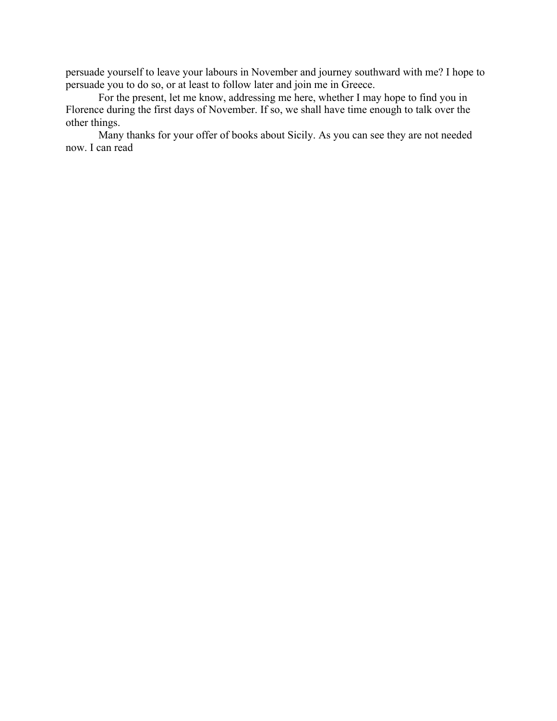persuade yourself to leave your labours in November and journey southward with me? I hope to persuade you to do so, or at least to follow later and join me in Greece.

For the present, let me know, addressing me here, whether I may hope to find you in Florence during the first days of November. If so, we shall have time enough to talk over the other things.

Many thanks for your offer of books about Sicily. As you can see they are not needed now. I can read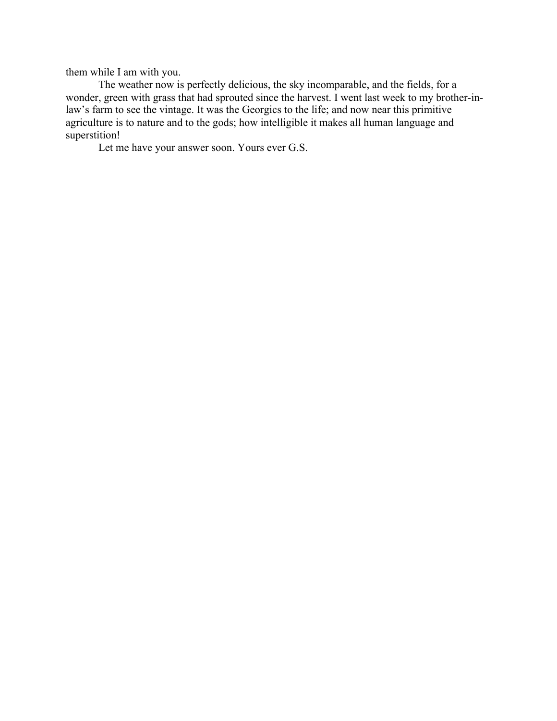them while I am with you.

The weather now is perfectly delicious, the sky incomparable, and the fields, for a wonder, green with grass that had sprouted since the harvest. I went last week to my brother-inlaw's farm to see the vintage. It was the Georgics to the life; and now near this primitive agriculture is to nature and to the gods; how intelligible it makes all human language and superstition!

Let me have your answer soon. Yours ever G.S.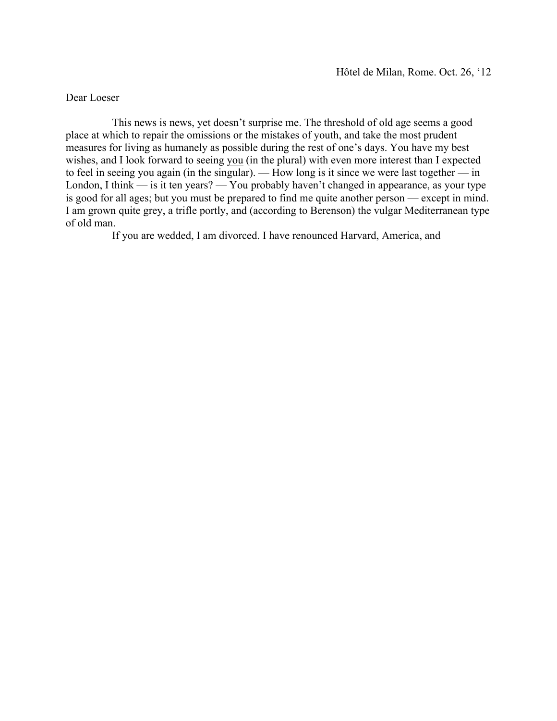## Dear Loeser

This news is news, yet doesn't surprise me. The threshold of old age seems a good place at which to repair the omissions or the mistakes of youth, and take the most prudent measures for living as humanely as possible during the rest of one's days. You have my best wishes, and I look forward to seeing you (in the plural) with even more interest than I expected to feel in seeing you again (in the singular). — How long is it since we were last together — in London, I think — is it ten years? — You probably haven't changed in appearance, as your type is good for all ages; but you must be prepared to find me quite another person — except in mind. I am grown quite grey, a trifle portly, and (according to Berenson) the vulgar Mediterranean type of old man.

If you are wedded, I am divorced. I have renounced Harvard, America, and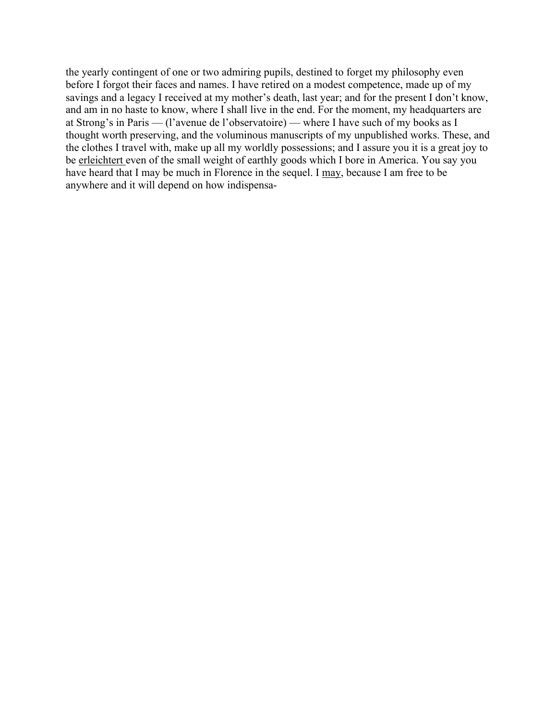the yearly contingent of one or two admiring pupils, destined to forget my philosophy even before I forgot their faces and names. I have retired on a modest competence, made up of my savings and a legacy I received at my mother's death, last year; and for the present I don't know, and am in no haste to know, where I shall live in the end. For the moment, my headquarters are at Strong's in Paris — (l'avenue de l'observatoire) — where I have such of my books as I thought worth preserving, and the voluminous manuscripts of my unpublished works. These, and the clothes I travel with, make up all my worldly possessions; and I assure you it is a great joy to be erleichtert even of the small weight of earthly goods which I bore in America. You say you have heard that I may be much in Florence in the sequel. I may, because I am free to be anywhere and it will depend on how indispensa-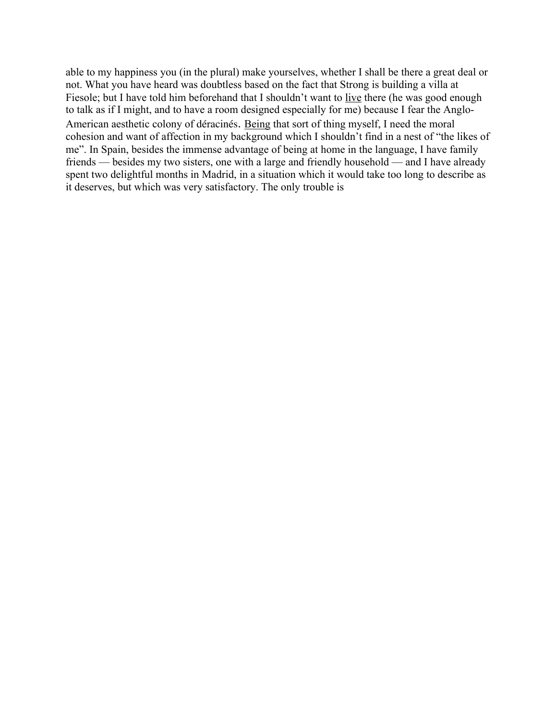able to my happiness you (in the plural) make yourselves, whether I shall be there a great deal or not. What you have heard was doubtless based on the fact that Strong is building a villa at Fiesole; but I have told him beforehand that I shouldn't want to live there (he was good enough to talk as if I might, and to have a room designed especially for me) because I fear the Anglo-American aesthetic colony of déracinés. Being that sort of thing myself, I need the moral cohesion and want of affection in my background which I shouldn't find in a nest of "the likes of me". In Spain, besides the immense advantage of being at home in the language, I have family friends — besides my two sisters, one with a large and friendly household — and I have already spent two delightful months in Madrid, in a situation which it would take too long to describe as it deserves, but which was very satisfactory. The only trouble is